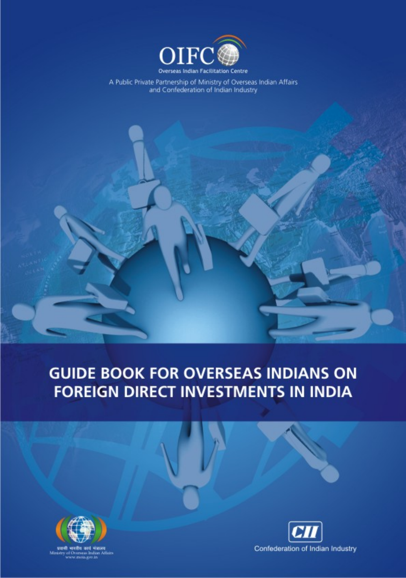

A Public Private Partnership of Ministry of Overseas Indian Affairs and Confederation of Indian Industry

## **GUIDE BOOK FOR OVERSEAS INDIANS ON FOREIGN DIRECT INVESTMENTS IN INDIA**



Affain

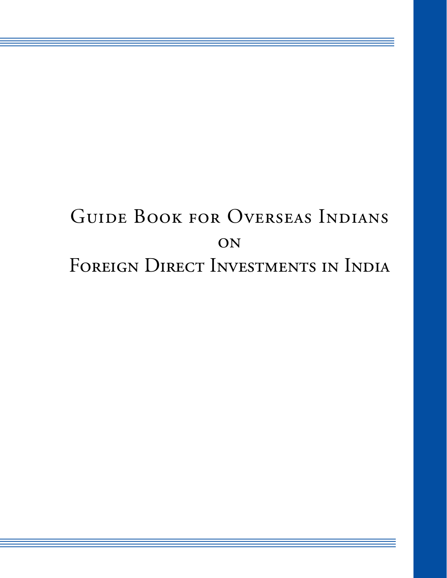# Guide Book for Overseas Indians **ON** FOREIGN DIRECT INVESTMENTS IN INDIA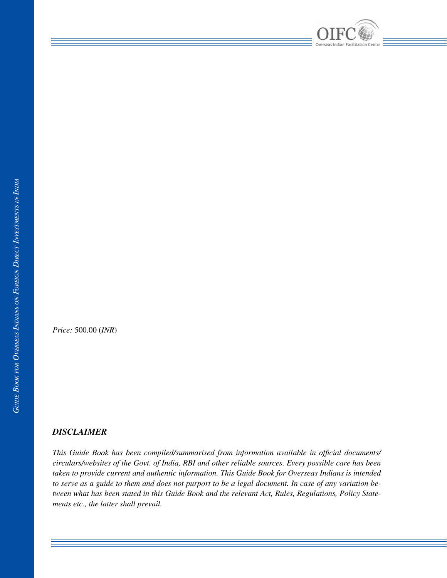

*India*

#### *Price:* 500.00 (*INR*)

#### *DISCLAIMER*

*This Guide Book has been compiled/summarised from information available in official documents/ circulars/websites of the Govt. of India, RBI and other reliable sources. Every possible care has been taken to provide current and authentic information. This Guide Book for Overseas Indians is intended to serve as a guide to them and does not purport to be a legal document. In case of any variation between what has been stated in this Guide Book and the relevant Act, Rules, Regulations, Policy Statements etc., the latter shall prevail.*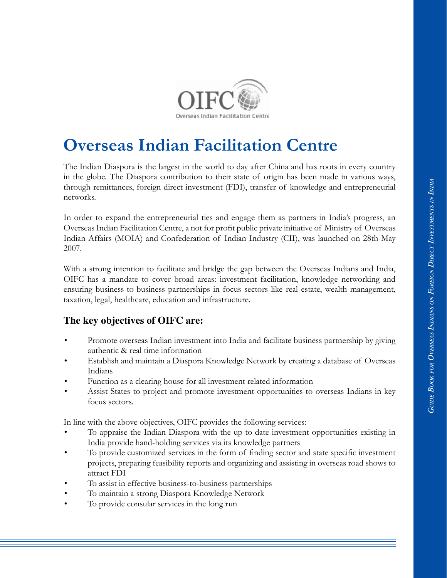

# **Overseas Indian Facilitation Centre**

The Indian Diaspora is the largest in the world to day after China and has roots in every country in the globe. The Diaspora contribution to their state of origin has been made in various ways, through remittances, foreign direct investment (FDI), transfer of knowledge and entrepreneurial networks.

In order to expand the entrepreneurial ties and engage them as partners in India's progress, an Overseas Indian Facilitation Centre, a not for profit public private initiative of Ministry of Overseas Indian Affairs (MOIA) and Confederation of Indian Industry (CII), was launched on 28th May 2007.

With a strong intention to facilitate and bridge the gap between the Overseas Indians and India, OIFC has a mandate to cover broad areas: investment facilitation, knowledge networking and ensuring business-to-business partnerships in focus sectors like real estate, wealth management, taxation, legal, healthcare, education and infrastructure.

### **The key objectives of OIFC are:**

- Promote overseas Indian investment into India and facilitate business partnership by giving authentic & real time information
- Establish and maintain a Diaspora Knowledge Network by creating a database of Overseas Indians
- Function as a clearing house for all investment related information
- Assist States to project and promote investment opportunities to overseas Indians in key focus sectors.

In line with the above objectives, OIFC provides the following services:

- To appraise the Indian Diaspora with the up-to-date investment opportunities existing in India provide hand-holding services via its knowledge partners
- To provide customized services in the form of finding sector and state specific investment projects, preparing feasibility reports and organizing and assisting in overseas road shows to attract FDI
- To assist in effective business-to-business partnerships
- To maintain a strong Diaspora Knowledge Network
- To provide consular services in the long run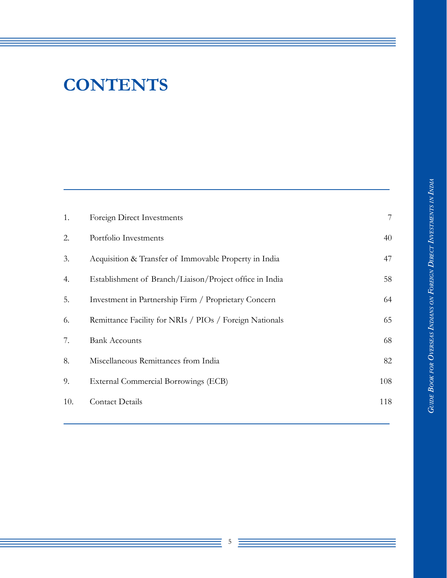# **CONTENTS**

| 1.  | Foreign Direct Investments                              | $\overline{7}$ |
|-----|---------------------------------------------------------|----------------|
| 2.  | Portfolio Investments                                   | 40             |
| 3.  | Acquisition & Transfer of Immovable Property in India   | 47             |
| 4.  | Establishment of Branch/Liaison/Project office in India | 58             |
| 5.  | Investment in Partnership Firm / Proprietary Concern    | 64             |
| 6.  | Remittance Facility for NRIs / PIOs / Foreign Nationals | 65             |
| 7.  | <b>Bank Accounts</b>                                    | 68             |
| 8.  | Miscellaneous Remittances from India                    | 82             |
| 9.  | External Commercial Borrowings (ECB)                    | 108            |
| 10. | <b>Contact Details</b>                                  | 118            |
|     |                                                         |                |

Ξ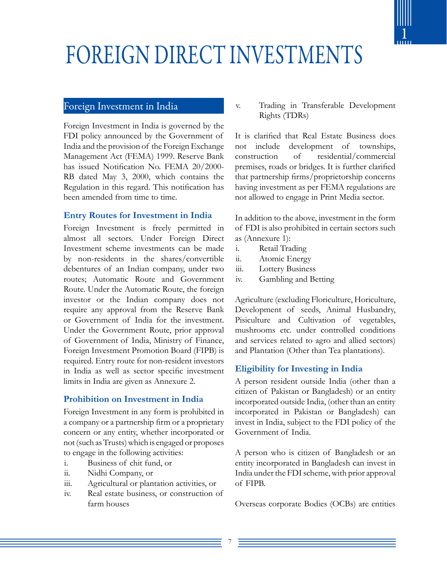

#### Foreign Investment in India

Foreign Investment in India is governed by the FDI policy announced by the Government of India and the provision of the Foreign Exchange Management Act (FEMA) 1999. Reserve Bank has issued Notification No. FEMA 20/2000- RB dated May 3, 2000, which contains the Regulation in this regard. This notification has been amended from time to time.

#### **Entry Routes for Investment in India**

Foreign Investment is freely permitted in almost all sectors. Under Foreign Direct Investment scheme investments can be made by non-residents in the shares/convertible debentures of an Indian company, under two routes; Automatic Route and Government Route. Under the Automatic Route, the foreign investor or the Indian company does not require any approval from the Reserve Bank or Government of India for the investment. Under the Government Route, prior approval of Government of India, Ministry of Finance, Foreign Investment Promotion Board (FIPB) is required. Entry route for non-resident investors in India as well as sector specific investment limits in India are given as Annexure 2.

#### **Prohibition on Investment in India**

Foreign Investment in any form is prohibited in a company or a partnership firm or a proprietary concern or any entity, whether incorporated or not (such as Trusts) which is engaged or proposes to engage in the following activities:

- i. Business of chit fund, or
- ii. Nidhi Company, or
- iii. Agricultural or plantation activities, or
- iv. Real estate business, or construction of farm houses

v. Trading in Transferable Development Rights (TDRs)

It is clarified that Real Estate Business does not include development of townships, construction of residential/commercial premises, roads or bridges. It is further clarified that partnership firms/proprietorship concerns having investment as per FEMA regulations are not allowed to engage in Print Media sector.

In addition to the above, investment in the form of FDI is also prohibited in certain sectors such as (Annexure 1):

- i. Retail Trading
- ii. Atomic Energy
- iii. Lottery Business
- iv. Gambling and Betting

Agriculture (excluding Floriculture, Horiculture, Development of seeds, Animal Husbandry, Pisiculture and Cultivation of vegetables, mushrooms etc. under controlled conditions and services related to agro and allied sectors) and Plantation (Other than Tea plantations).

#### **Eligibility for Investing in India**

A person resident outside India (other than a citizen of Pakistan or Bangladesh) or an entity incorporated outside India, (other than an entity incorporated in Pakistan or Bangladesh) can invest in India, subject to the FDI policy of the Government of India.

A person who is citizen of Bangladesh or an entity incorporated in Bangladesh can invest in India under the FDI scheme, with prior approval of FIPB.

Overseas corporate Bodies (OCBs) are entities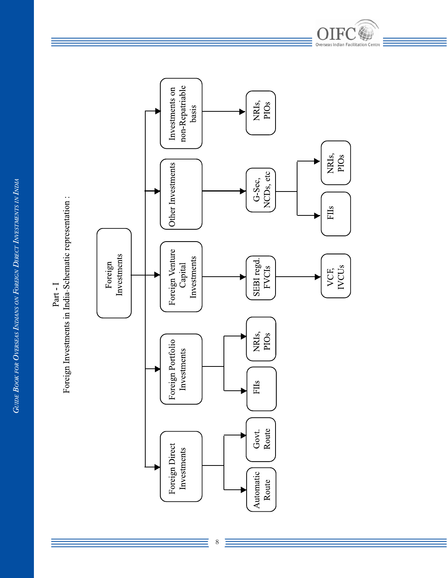

GUIDE BOOK FOR OVERSEAS INDIANS ON FOREIGN DIRECT INVESTMENTS IN INDIA *Guide Book for Overseas Indians on Foreign Direct Investments in India*



8

Ξ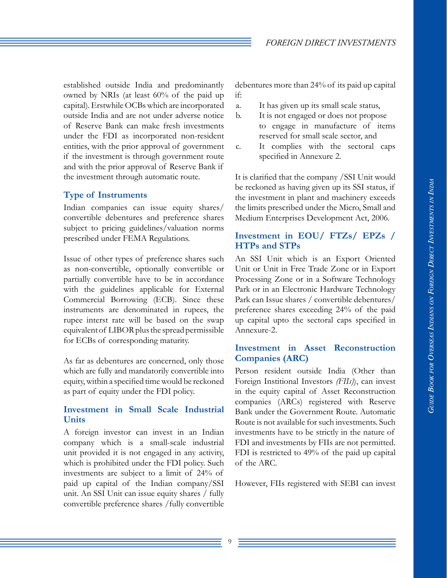established outside India and predominantly owned by NRIs (at least 60% of the paid up capital). Erstwhile OCBs which are incorporated outside India and are not under adverse notice of Reserve Bank can make fresh investments under the FDI as incorporated non-resident entities, with the prior approval of government if the investment is through government route and with the prior approval of Reserve Bank if the investment through automatic route.

#### **Type of Instruments**

Indian companies can issue equity shares/ convertible debentures and preference shares subject to pricing guidelines/valuation norms prescribed under FEMA Regulations.

Issue of other types of preference shares such as non-convertible, optionally convertible or partially convertible have to be in accordance with the guidelines applicable for External Commercial Borrowing (ECB). Since these instruments are denominated in rupees, the rupee interst rate will be based on the swap equivalent of LIBOR plus the spread permissible for ECBs of corresponding maturity.

As far as debentures are concerned, only those which are fully and mandatorily convertible into equity, within a specified time would be reckoned as part of equity under the FDI policy.

#### **Investment in Small Scale Industrial Units**

A foreign investor can invest in an Indian company which is a small-scale industrial unit provided it is not engaged in any activity, which is prohibited under the FDI policy. Such investments are subject to a limit of 24% of paid up capital of the Indian company/SSI unit. An SSI Unit can issue equity shares / fully convertible preference shares /fully convertible

debentures more than 24% of its paid up capital if:

- a. It has given up its small scale status,
- b. It is not engaged or does not propose to engage in manufacture of items reserved for small scale sector, and
- c. It complies with the sectoral caps specified in Annexure 2.

It is clarified that the company /SSI Unit would be reckoned as having given up its SSI status, if the investment in plant and machinery exceeds the limits prescribed under the Micro, Small and Medium Enterprises Development Act, 2006.

#### **Investment in EOU/ FTZs/ EPZs / HTPs and STPs**

An SSI Unit which is an Export Oriented Unit or Unit in Free Trade Zone or in Export Processing Zone or in a Software Technology Park or in an Electronic Hardware Technology Park can Issue shares / convertible debentures/ preference shares exceeding 24% of the paid up capital upto the sectoral caps specified in Annexure-2.

#### **Investment in Asset Reconstruction Companies (ARC)**

Person resident outside India (Other than Foreign Institional Investors *(FIIs)*), can invest in the equity capital of Asset Reconstruction companies (ARCs) registered with Reserve Bank under the Government Route. Automatic Route is not available for such investments. Such investments have to be strictly in the nature of FDI and investments by FIIs are not permitted. FDI is restricted to 49% of the paid up capital of the ARC.

However, FIIs registered with SEBI can invest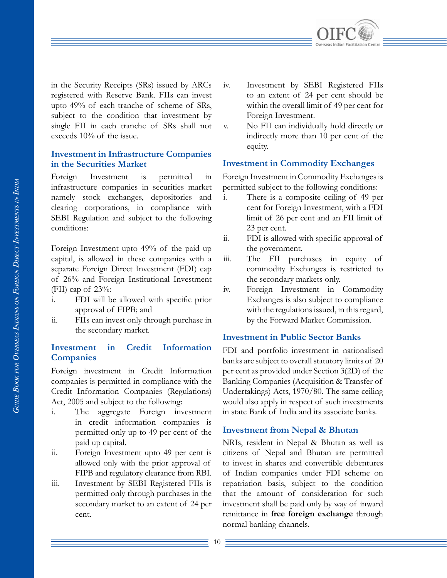

in the Security Receipts (SRs) issued by ARCs registered with Reserve Bank. FIIs can invest upto 49% of each tranche of scheme of SRs, subject to the condition that investment by single FII in each tranche of SRs shall not exceeds 10% of the issue.

#### **Investment in Infrastructure Companies in the Securities Market**

Foreign Investment is permitted in infrastructure companies in securities market namely stock exchanges, depositories and clearing corporations, in compliance with SEBI Regulation and subject to the following conditions:

Foreign Investment upto 49% of the paid up capital, is allowed in these companies with a separate Foreign Direct Investment (FDI) cap of 26% and Foreign Institutional Investment (FII) cap of  $23\%$ :

- i. FDI will be allowed with specific prior approval of FIPB; and
- ii. FIIs can invest only through purchase in the secondary market.

#### **Investment in Credit Information Companies**

Foreign investment in Credit Information companies is permitted in compliance with the Credit Information Companies (Regulations) Act, 2005 and subject to the following:

- i. The aggregate Foreign investment in credit information companies is permitted only up to 49 per cent of the paid up capital.
- ii. Foreign Investment upto 49 per cent is allowed only with the prior approval of FIPB and regulatory clearance from RBI.
- iii. Investment by SEBI Registered FIIs is permitted only through purchases in the secondary market to an extent of 24 per cent.
- iv. Investment by SEBI Registered FIIs to an extent of 24 per cent should be within the overall limit of 49 per cent for Foreign Investment.
- v. No FII can individually hold directly or indirectly more than 10 per cent of the equity.

#### **Investment in Commodity Exchanges**

Foreign Investment in Commodity Exchanges is permitted subject to the following conditions:

- i. There is a composite ceiling of 49 per cent for Foreign Investment, with a FDI limit of 26 per cent and an FII limit of 23 per cent.
- ii. FDI is allowed with specific approval of the government.
- iii. The FII purchases in equity of commodity Exchanges is restricted to the secondary markets only.
- iv. Foreign Investment in Commodity Exchanges is also subject to compliance with the regulations issued, in this regard, by the Forward Market Commission.

#### **Investment in Public Sector Banks**

FDI and portfolio investment in nationalised banks are subject to overall statutory limits of 20 per cent as provided under Section 3(2D) of the Banking Companies (Acquisition & Transfer of Undertakings) Acts, 1970/80. The same ceiling would also apply in respect of such investments in state Bank of India and its associate banks.

#### **Investment from Nepal & Bhutan**

NRIs, resident in Nepal & Bhutan as well as citizens of Nepal and Bhutan are permitted to invest in shares and convertible debentures of Indian companies under FDI scheme on repatriation basis, subject to the condition that the amount of consideration for such investment shall be paid only by way of inward remittance in **free foreign exchange** through normal banking channels.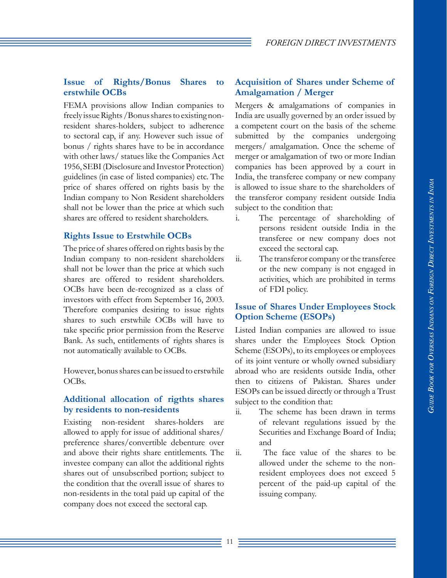#### **Issue of Rights/Bonus Shares to erstwhile OCBs**

FEMA provisions allow Indian companies to freely issue Rights /Bonus shares to existing nonresident shares-holders, subject to adherence to sectoral cap, if any. However such issue of bonus / rights shares have to be in accordance with other laws/ statues like the Companies Act 1956, SEBI (Disclosure and Investor Protection) guidelines (in case of listed companies) etc. The price of shares offered on rights basis by the Indian company to Non Resident shareholders shall not be lower than the price at which such shares are offered to resident shareholders.

#### **Rights Issue to Erstwhile OCBs**

The price of shares offered on rights basis by the Indian company to non-resident shareholders shall not be lower than the price at which such shares are offered to resident shareholders. OCBs have been de-recognized as a class of investors with effect from September 16, 2003. Therefore companies desiring to issue rights shares to such erstwhile OCBs will have to take specific prior permission from the Reserve Bank. As such, entitlements of rights shares is not automatically available to OCBs.

However, bonus shares can be issued to erstwhile OCBs.

#### **Additional allocation of rigthts shares by residents to non-residents**

Existing non-resident shares-holders are allowed to apply for issue of additional shares/ preference shares/convertible debenture over and above their rights share entitlements. The investee company can allot the additional rights shares out of unsubscribed portion; subject to the condition that the overall issue of shares to non-residents in the total paid up capital of the company does not exceed the sectoral cap.

#### **Acquisition of Shares under Scheme of Amalgamation / Merger**

Mergers & amalgamations of companies in India are usually governed by an order issued by a competent court on the basis of the scheme submitted by the companies undergoing mergers/ amalgamation. Once the scheme of merger or amalgamation of two or more Indian companies has been approved by a court in India, the transferee company or new company is allowed to issue share to the shareholders of the transferor company resident outside India subject to the condition that:

- i. The percentage of shareholding of persons resident outside India in the transferee or new company does not exceed the sectoral cap.
- ii. The transferor company or the transferee or the new company is not engaged in activities, which are prohibited in terms of FDI policy.

#### **Issue of Shares Under Employees Stock Option Scheme (ESOPs)**

Listed Indian companies are allowed to issue shares under the Employees Stock Option Scheme (ESOPs), to its employees or employees of its joint venture or wholly owned subsidiary abroad who are residents outside India, other then to citizens of Pakistan. Shares under ESOPs can be issued directly or through a Trust subject to the condition that:

- ii. The scheme has been drawn in terms of relevant regulations issued by the Securities and Exchange Board of India; and
- ii. The face value of the shares to be allowed under the scheme to the nonresident employees does not exceed 5 percent of the paid-up capital of the issuing company.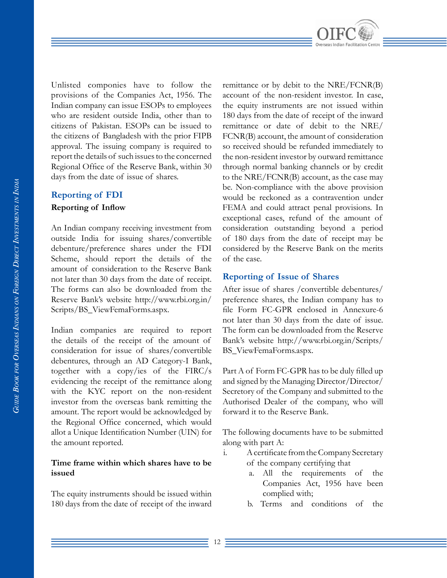

Unlisted componies have to follow the provisions of the Companies Act, 1956. The Indian company can issue ESOPs to employees who are resident outside India, other than to citizens of Pakistan. ESOPs can be issued to the citizens of Bangladesh with the prior FIPB approval. The issuing company is required to report the details of such issues to the concerned Regional Office of the Reserve Bank, within 30 days from the date of issue of shares.

#### **Reporting of FDI**

#### **Reporting of Inflow**

An Indian company receiving investment from outside India for issuing shares/convertible debenture/preference shares under the FDI Scheme, should report the details of the amount of consideration to the Reserve Bank not later than 30 days from the date of receipt. The forms can also be downloaded from the Reserve Bank's website http://www.rbi.org.in/ scripts/bs\_viewfemaforms.aspx.

Indian companies are required to report the details of the receipt of the amount of consideration for issue of shares/convertible debentures, through an AD Category-I Bank, together with a copy/ies of the FIRC/s evidencing the receipt of the remittance along with the KYC report on the non-resident investor from the overseas bank remitting the amount. The report would be acknowledged by the Regional Office concerned, which would allot a Unique Identification Number (UIN) for the amount reported.

#### **Time frame within which shares have to be issued**

The equity instruments should be issued within 180 days from the date of receipt of the inward

remittance or by debit to the NRE/FCNR(b) account of the non-resident investor. In case, the equity instruments are not issued within 180 days from the date of receipt of the inward remittance or date of debit to the NRE/ FCNR(B) account, the amount of consideration so received should be refunded immediately to the non-resident investor by outward remittance through normal banking channels or by credit to the NRE/FCNR(B) account, as the case may be. Non-compliance with the above provision would be reckoned as a contravention under FEMA and could attract penal provisions. In exceptional cases, refund of the amount of consideration outstanding beyond a period of 180 days from the date of receipt may be considered by the Reserve Bank on the merits of the case.

#### **Reporting of Issue of Shares**

After issue of shares /convertible debentures/ preference shares, the Indian company has to file Form FC-GPR enclosed in Annexure-6 not later than 30 days from the date of issue. The form can be downloaded from the Reserve Bank's website http://www.rbi.org.in/Scripts/ BS\_ViewFemaForms.aspx.

Part A of Form FC-GPR has to be duly filled up and signed by the Managing Director/Director/ Secretory of the Company and submitted to the Authorised Dealer of the company, who will forward it to the Reserve Bank.

The following documents have to be submitted along with part A:

- i. A certificate from the Company Secretary of the company certifying that
	- a. All the requirements of the Companies Act, 1956 have been complied with;
	- b. Terms and conditions of the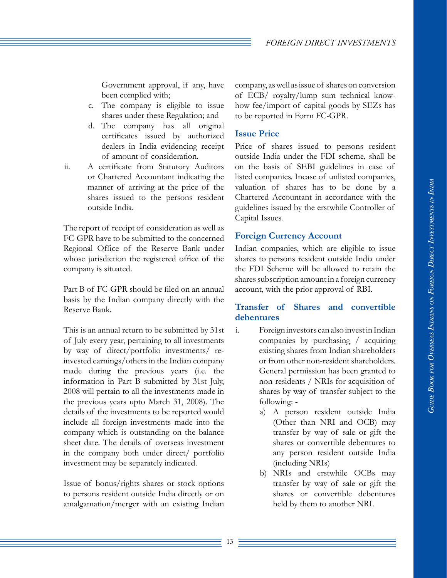Government approval, if any, have been complied with;

- c. The company is eligible to issue shares under these Regulation; and
- d. The company has all original certificates issued by authorized dealers in India evidencing receipt of amount of consideration.
- ii. A certificate from Statutory Auditors or Chartered Accountant indicating the manner of arriving at the price of the shares issued to the persons resident outside India.

The report of receipt of consideration as well as FC-GPR have to be submitted to the concerned Regional Office of the Reserve Bank under whose jurisdiction the registered office of the company is situated.

Part B of FC-GPR should be filed on an annual basis by the Indian company directly with the Reserve Bank.

This is an annual return to be submitted by 31st of July every year, pertaining to all investments by way of direct/portfolio investments/ reinvested earnings/others in the Indian company made during the previous years (i.e. the information in Part B submitted by 31st July, 2008 will pertain to all the investments made in the previous years upto march 31, 2008). The details of the investments to be reported would include all foreign investments made into the company which is outstanding on the balance sheet date. The details of overseas investment in the company both under direct/ portfolio investment may be separately indicated.

Issue of bonus/rights shares or stock options to persons resident outside India directly or on amalgamation/merger with an existing Indian

company, as well as issue of shares on conversion of ECB/ royalty/lump sum technical knowhow fee/import of capital goods by SEZs has to be reported in Form FC-GPR.

#### **Issue Price**

Price of shares issued to persons resident outside India under the FDI scheme, shall be on the basis of SEBI guidelines in case of listed companies. Incase of unlisted companies, valuation of shares has to be done by a Chartered Accountant in accordance with the guidelines issued by the erstwhile Controller of Capital Issues.

#### **Foreign Currency Account**

Indian companies, which are eligible to issue shares to persons resident outside India under the FDI Scheme will be allowed to retain the shares subscription amount in a foreign currency account, with the prior approval of RBI.

#### **Transfer of Shares and convertible debentures**

- i. Foreign investors can also invest in Indian companies by purchasing / acquiring existing shares from Indian shareholders or from other non-resident shareholders. General permission has been granted to non-residents / NRIs for acquisition of shares by way of transfer subject to the following:
	- a) A person resident outside India (Other than NRI and OCB) may transfer by way of sale or gift the shares or convertible debentures to any person resident outside India (including NRIs)
	- b) NRIs and erstwhile OCBs may transfer by way of sale or gift the shares or convertible debentures held by them to another NRI.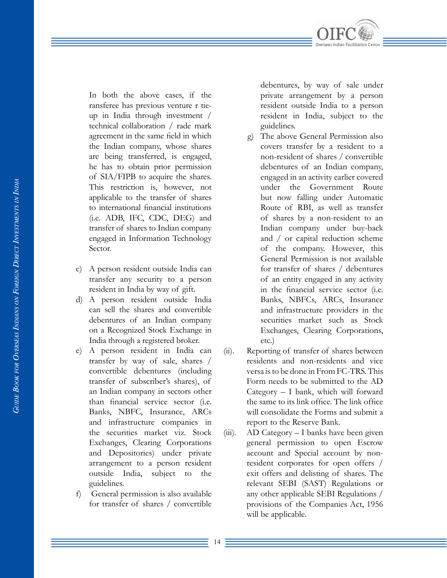

In both the above cases, if the ransferee has previous venture r tieup in India through investment / technical collaboration / rade mark agreement in the same field in which the Indian company, whose shares are being transferred, is engaged, he has to obtain prior permission of SIA/FIPB to acquire the shares. This restriction is, however, not applicable to the transfer of shares to international financial institutions (i.e. ADB, IFC, CDC, DEG) and transfer of shares to Indian company engaged in Information Technology Sector.

- c) A person resident outside India can transfer any security to a person resident in India by way of gift.
- d) A person resident outside India can sell the shares and convertible debentures of an Indian company on a Recognized Stock Exchange in India through a registered broker.
- e) A person resident in India can transfer by way of sale, shares / convertible debentures (including transfer of subscriber's shares), of an Indian company in sectors other than financial service sector (i.e. Banks, NBFC, Insurance, ARCs and infrastructure companies in the securities market viz. Stock Exchanges, Clearing Corporations and Depositories) under private arrangement to a person resident outside India, subject to the guidelines.
- f) General permission is also available for transfer of shares / convertible

debentures, by way of sale under private arrangement by a person resident outside India to a person resident in India, subject to the guidelines.

- g) The above General Permission also covers transfer by a resident to a non-resident of shares / convertible debentures of an Indian company, engaged in an activity earlier covered under the Government Route but now falling under Automatic Route of RBI, as well as transfer of shares by a non-resident to an Indian company under buy-back and / or capital reduction scheme of the company. However, this General Permission is not available for transfer of shares / debentures of an entity engaged in any activity in the financial service sector (i.e. Banks, NBFCs, ARCs, Insurance and infrastructure providers in the securities market such as Stock Exchanges, Clearing Corporations, etc.)
- (ii). Reporting of transfer of shares between residents and non-residents and vice versa is to be done in From FC-TRS. This Form needs to be submitted to the AD Category – I bank, which will forward the same to its link office. The link office will consolidate the Forms and submit a report to the Reserve Bank.
- (iii). AD Category I banks have been given general permission to open Escrow account and Special account by nonresident corporates for open offers / exit offers and delisting of shares. The relevant SEBI (SAST) Regulations or any other applicable SEBI Regulations / provisions of the Companies Act, 1956 will be applicable.

GUIDE BOOK FOR OVERSEAS INDIANS ON FOREIGN DIRECT INVESTMENTS IN INDIA *Guide Book for Overseas Indians on Foreign Direct Investments in India*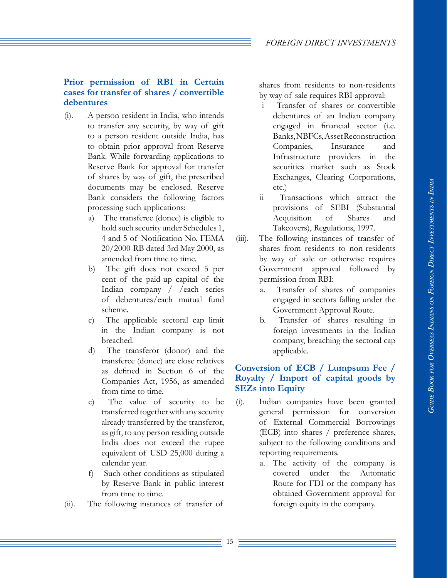#### **Prior permission of RBI in Certain cases for transfer of shares / convertible debentures**

- (i). A person resident in India, who intends to transfer any security, by way of gift to a person resident outside India, has to obtain prior approval from Reserve Bank. While forwarding applications to Reserve Bank for approval for transfer of shares by way of gift, the prescribed documents may be enclosed. Reserve Bank considers the following factors processing such applications:
	- a) The transferee (donee) is eligible to hold such security under Schedules 1, 4 and 5 of Notification No. FEMA 20/2000-RB dated 3rd May 2000, as amended from time to time.
	- b) The gift does not exceed 5 per cent of the paid-up capital of the Indian company / /each series of debentures/each mutual fund scheme.
	- c) The applicable sectoral cap limit in the Indian company is not breached.
	- d) The transferor (donor) and the transferee (donee) are close relatives as defined in Section 6 of the Companies Act, 1956, as amended from time to time.
	- e) The value of security to be transferred together with any security already transferred by the transferor, as gift, to any person residing outside India does not exceed the rupee equivalent of USD 25,000 during a calendar year.
	- Such other conditions as stipulated by Reserve Bank in public interest from time to time.
- (ii). The following instances of transfer of

shares from residents to non-residents by way of sale requires RBI approval:

- i Transfer of shares or convertible debentures of an Indian company engaged in financial sector (i.e. Banks, NBFCs, Asset Reconstruction Companies, Insurance and Infrastructure providers in the securities market such as Stock Exchanges, Clearing Corporations, etc.)
- ii Transactions which attract the provisions of SEBI (Substantial Acquisition of Shares and Takeovers), Regulations, 1997.
- (iii). The following instances of transfer of shares from residents to non-residents by way of sale or otherwise requires Government approval followed by permission from RBI:
	- a. Transfer of shares of companies engaged in sectors falling under the Government Approval Route.
	- b. Transfer of shares resulting in foreign investments in the Indian company, breaching the sectoral cap applicable.

#### **Conversion of ECB / Lumpsum Fee / Royalty / Import of capital goods by SEZs into Equity**

- (i). Indian companies have been granted general permission for conversion of External Commercial Borrowings (ECB) into shares / preference shares, subject to the following conditions and reporting requirements.
	- a. The activity of the company is covered under the Automatic Route for FDI or the company has obtained Government approval for foreign equity in the company.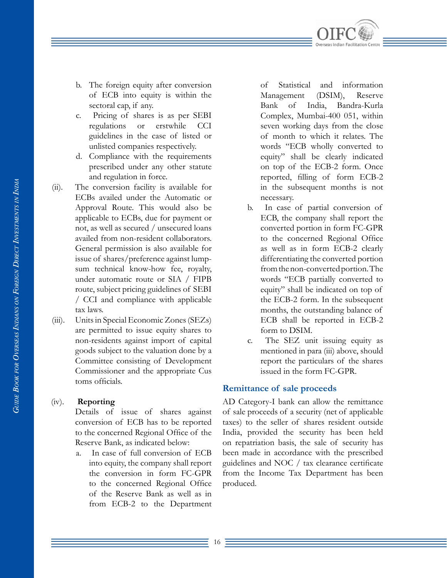

- b. The foreign equity after conversion of ECB into equity is within the sectoral cap, if any.
- c. Pricing of shares is as per SEBI regulations or erstwhile CCI guidelines in the case of listed or unlisted companies respectively.
- d. Compliance with the requirements prescribed under any other statute and regulation in force.
- (ii). The conversion facility is available for ECBs availed under the Automatic or Approval Route. This would also be applicable to ECBs, due for payment or not, as well as secured / unsecured loans availed from non-resident collaborators. General permission is also available for issue of shares/preference against lumpsum technical know-how fee, royalty, under automatic route or SIA / FIPB route, subject pricing guidelines of SEBI / CCI and compliance with applicable tax laws.
- (iii). Units in Special Economic Zones (SEZs) are permitted to issue equity shares to non-residents against import of capital goods subject to the valuation done by a Committee consisting of Development Commissioner and the appropriate Cus toms officials.

#### (iv). **Reporting**

Details of issue of shares against conversion of ECB has to be reported to the concerned Regional Office of the Reserve Bank, as indicated below:

a. In case of full conversion of ECB into equity, the company shall report the conversion in form FC-GPR to the concerned Regional Office of the Reserve Bank as well as in from ECB-2 to the Department of Statistical and information Management (DSIM), Reserve Bank of India, Bandra-Kurla Complex, Mumbai-400 051, within seven working days from the close of month to which it relates. The words "ECB wholly converted to equity" shall be clearly indicated on top of the ECB-2 form. Once reported, filling of form ECB-2 in the subsequent months is not necessary.

- b. In case of partial conversion of ECB, the company shall report the converted portion in form FC-GPR to the concerned Regional Office as well as in form ECB-2 clearly differentiating the converted portion from the non-converted portion. The words "ECB partially converted to equity" shall be indicated on top of the ECB-2 form. In the subsequent months, the outstanding balance of ECB shall be reported in ECB-2 form to DSIM.
- c. The SEZ unit issuing equity as mentioned in para (iii) above, should report the particulars of the shares issued in the form FC-GPR.

#### **Remittance of sale proceeds**

AD Category-I bank can allow the remittance of sale proceeds of a security (net of applicable taxes) to the seller of shares resident outside India, provided the security has been held on repatriation basis, the sale of security has been made in accordance with the prescribed guidelines and NOC / tax clearance certificate from the Income Tax Department has been produced.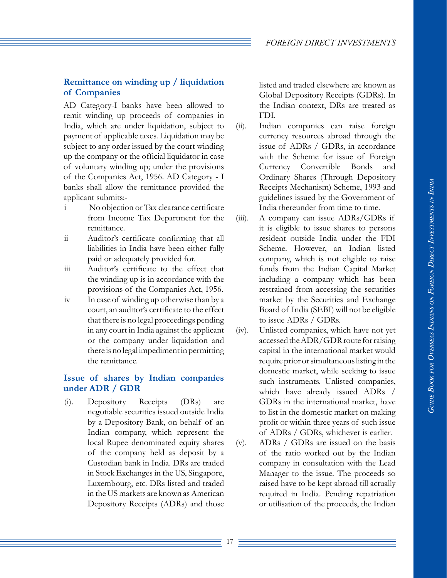#### **Remittance on winding up / liquidation of Companies**

AD Category-I banks have been allowed to remit winding up proceeds of companies in India, which are under liquidation, subject to payment of applicable taxes. Liquidation may be subject to any order issued by the court winding up the company or the official liquidator in case of voluntary winding up; under the provisions of the Companies Act, 1956. AD Category - I banks shall allow the remittance provided the applicant submits:-

- i No objection or Tax clearance certificate from Income Tax Department for the remittance.
- ii Auditor's certificate confirming that all liabilities in India have been either fully paid or adequately provided for.
- iii Auditor's certificate to the effect that the winding up is in accordance with the provisions of the Companies Act, 1956.
- iv In case of winding up otherwise than by a court, an auditor's certificate to the effect that there is no legal proceedings pending in any court in India against the applicant or the company under liquidation and there is no legal impediment in permitting the remittance.

#### **Issue of shares by Indian companies under ADR / GDR**

(i). Depository Receipts (DRs) are negotiable securities issued outside India by a Depository Bank, on behalf of an Indian company, which represent the local Rupee denominated equity shares of the company held as deposit by a Custodian bank in India. DRs are traded in Stock Exchanges in the US, Singapore, Luxembourg, etc. DRs listed and traded in the US markets are known as American Depository Receipts (ADRs) and those listed and traded elsewhere are known as Global Depository Receipts (GDRs). In the Indian context, DRs are treated as FDI.

- (ii). Indian companies can raise foreign currency resources abroad through the issue of ADRs / GDRs, in accordance with the Scheme for issue of Foreign Currency Convertible Bonds and Ordinary Shares (Through Depository Receipts Mechanism) Scheme, 1993 and guidelines issued by the Government of India thereunder from time to time.
- (iii). A company can issue ADRs/GDRs if it is eligible to issue shares to persons resident outside India under the FDI Scheme. However, an Indian listed company, which is not eligible to raise funds from the Indian Capital Market including a company which has been restrained from accessing the securities market by the Securities and Exchange Board of India (SEBI) will not be eligible to issue ADRs / GDRs.
- (iv). Unlisted companies, which have not yet accessed the ADR/GDR route for raising capital in the international market would require prior or simultaneous listing in the domestic market, while seeking to issue such instruments. Unlisted companies, which have already issued ADRs / GDRs in the international market, have to list in the domestic market on making profit or within three years of such issue of ADRs / GDRs, whichever is earlier.
- (v). ADRs / GDRs are issued on the basis of the ratio worked out by the Indian company in consultation with the Lead Manager to the issue. The proceeds so raised have to be kept abroad till actually required in India. Pending repatriation or utilisation of the proceeds, the Indian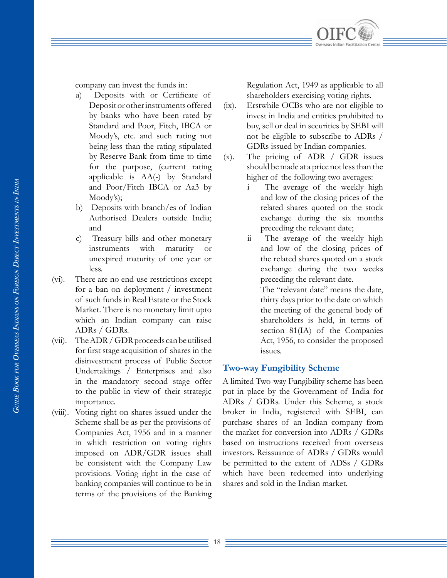

company can invest the funds in:

- a) Deposits with or Certificate of Deposit or other instruments offered by banks who have been rated by Standard and Poor, Fitch, IBCA or Moody's, etc. and such rating not being less than the rating stipulated by Reserve Bank from time to time for the purpose, (current rating applicable is AA(-) by Standard and Poor/Fitch IBCA or Aa3 by Moody's);
- b) Deposits with branch/es of Indian Authorised Dealers outside India; and
- c) Treasury bills and other monetary instruments with maturity or unexpired maturity of one year or less.
- (vi). There are no end-use restrictions except for a ban on deployment / investment of such funds in Real Estate or the Stock Market. There is no monetary limit upto which an Indian company can raise ADRs / GDRs.
- (vii). The ADR / GDR proceeds can be utilised for first stage acquisition of shares in the disinvestment process of Public Sector Undertakings / Enterprises and also in the mandatory second stage offer to the public in view of their strategic importance.
- (viii). Voting right on shares issued under the Scheme shall be as per the provisions of Companies Act, 1956 and in a manner in which restriction on voting rights imposed on ADR/GDR issues shall be consistent with the Company Law provisions. Voting right in the case of banking companies will continue to be in terms of the provisions of the Banking

Regulation Act, 1949 as applicable to all shareholders exercising voting rights.

- (ix). Erstwhile OCBs who are not eligible to invest in India and entities prohibited to buy, sell or deal in securities by SEBI will not be eligible to subscribe to ADRs / GDRs issued by Indian companies.
- (x). The pricing of ADR / GDR issues should be made at a price not less than the higher of the following two averages:
	- i The average of the weekly high and low of the closing prices of the related shares quoted on the stock exchange during the six months preceding the relevant date;
	- ii The average of the weekly high and low of the closing prices of the related shares quoted on a stock exchange during the two weeks preceding the relevant date.

The "relevant date" means the date, thirty days prior to the date on which the meeting of the general body of shareholders is held, in terms of section 81(IA) of the Companies Act, 1956, to consider the proposed issues.

#### **Two-way Fungibility Scheme**

A limited Two-way Fungibility scheme has been put in place by the Government of India for ADRs / GDRs. Under this Scheme, a stock broker in India, registered with SEBI, can purchase shares of an Indian company from the market for conversion into ADRs / GDRs based on instructions received from overseas investors. Reissuance of ADRs / GDRs would be permitted to the extent of ADSs / GDRs which have been redeemed into underlying shares and sold in the Indian market.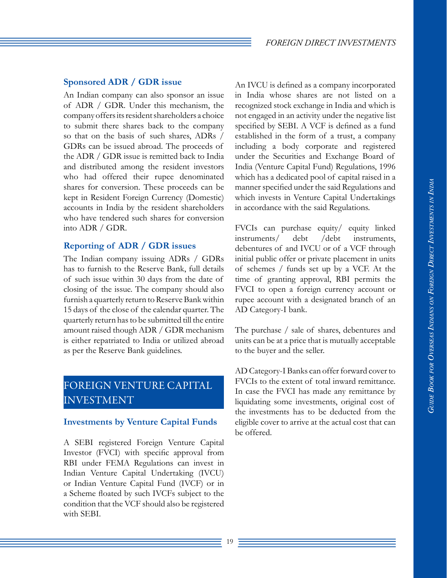#### **Sponsored ADR / GDR issue**

An Indian company can also sponsor an issue of ADR / GDR. Under this mechanism, the company offers its resident shareholders a choice to submit there shares back to the company so that on the basis of such shares, ADRs / GDRs can be issued abroad. The proceeds of the ADR / GDR issue is remitted back to India and distributed among the resident investors who had offered their rupee denominated shares for conversion. These proceeds can be kept in Resident Foreign Currency (Domestic) accounts in India by the resident shareholders who have tendered such shares for conversion into ADR / GDR.

#### **Reporting of ADR / GDR issues**

The Indian company issuing ADRs / GDRs has to furnish to the Reserve Bank, full details of such issue within 30 days from the date of closing of the issue. The company should also furnish a quarterly return to Reserve Bank within 15 days of the close of the calendar quarter. The quarterly return has to be submitted till the entire amount raised though ADR / GDR mechanism is either repatriated to India or utilized abroad as per the Reserve Bank guidelines.

### FOREIGN VENTURE CAPITAL INVESTMENT

#### **Investments by Venture Capital Funds**

A SEBI registered Foreign Venture Capital Investor (FVCI) with specific approval from RBI under FEMA Regulations can invest in Indian Venture Capital Undertaking (IVCU) or Indian Venture Capital Fund (IVCF) or in a Scheme floated by such IVCFs subject to the condition that the VCF should also be registered with SEBI.

An IVCU is defined as a company incorporated in India whose shares are not listed on a recognized stock exchange in India and which is not engaged in an activity under the negative list specified by SEBI. A VCF is defined as a fund established in the form of a trust, a company including a body corporate and registered under the Securities and Exchange Board of India (Venture Capital Fund) Regulations, 1996 which has a dedicated pool of capital raised in a manner specified under the said Regulations and which invests in Venture Capital Undertakings in accordance with the said Regulations.

FVCIs can purchase equity/ equity linked instruments/ debt /debt instruments, debentures of and IVCU or of a VCF through initial public offer or private placement in units of schemes / funds set up by a VCF. At the time of granting approval, RBI permits the FVCI to open a foreign currency account or rupee account with a designated branch of an AD Category-I bank.

The purchase / sale of shares, debentures and units can be at a price that is mutually acceptable to the buyer and the seller.

AD Category-I Banks can offer forward cover to FVCIs to the extent of total inward remittance. In case the FVCI has made any remittance by liquidating some investments, original cost of the investments has to be deducted from the eligible cover to arrive at the actual cost that can be offered.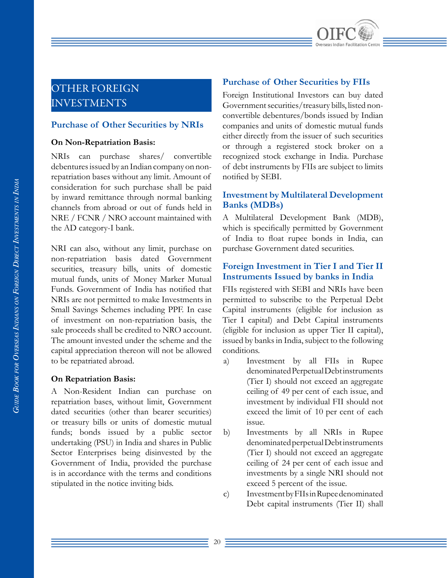

### OTHER FOREIGN INVESTMENTS

#### **Purchase of Other Securities by NRIs**

#### **On Non-Repatriation Basis:**

NRIs can purchase shares/ convertible debentures issued by an Indian company on nonrepatriation bases without any limit. Amount of consideration for such purchase shall be paid by inward remittance through normal banking channels from abroad or out of funds held in NRE / FCNR / NRO account maintained with the AD category-I bank.

NRI can also, without any limit, purchase on non-repatriation basis dated Government securities, treasury bills, units of domestic mutual funds, units of Money Marker Mutual Funds. Government of India has notified that NRIs are not permitted to make Investments in Small Savings Schemes including PPF. In case of investment on non-repatriation basis, the sale proceeds shall be credited to NRO account. The amount invested under the scheme and the capital appreciation thereon will not be allowed to be repatriated abroad.

#### **On Repatriation Basis:**

A Non-Resident Indian can purchase on repatriation bases, without limit, Government dated securities (other than bearer securities) or treasury bills or units of domestic mutual funds; bonds issued by a public sector undertaking (PSU) in India and shares in Public Sector Enterprises being disinvested by the Government of India, provided the purchase is in accordance with the terms and conditions stipulated in the notice inviting bids.

#### **Purchase of Other Securities by FIIs**

Foreign Institutional Investors can buy dated Government securities/treasury bills, listed nonconvertible debentures/bonds issued by Indian companies and units of domestic mutual funds either directly from the issuer of such securities or through a registered stock broker on a recognized stock exchange in India. Purchase of debt instruments by FIIs are subject to limits notified by SEBI.

#### **Investment by Multilateral Development Banks (MDBs)**

A Multilateral Development Bank (MDB), which is specifically permitted by Government of India to float rupee bonds in India, can purchase Government dated securities.

#### **Foreign Investment in Tier I and Tier II Instruments Issued by banks in India**

FIIs registered with SEBI and NRIs have been permitted to subscribe to the Perpetual Debt Capital instruments (eligible for inclusion as Tier I capital) and Debt Capital instruments (eligible for inclusion as upper Tier II capital), issued by banks in India, subject to the following conditions.

- a) Investment by all FIIs in Rupee denominated Perpetual Debt instruments (Tier I) should not exceed an aggregate ceiling of 49 per cent of each issue, and investment by individual FII should not exceed the limit of 10 per cent of each issue.
- b) Investments by all NRIs in Rupee denominated perpetual Debt instruments (Tier I) should not exceed an aggregate ceiling of 24 per cent of each issue and investments by a single NRI should not exceed 5 percent of the issue.
- c) Investment by FIIs in Rupee denominated Debt capital instruments (Tier II) shall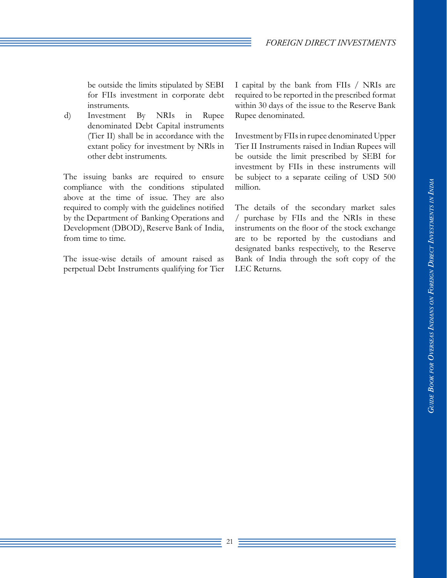be outside the limits stipulated by SEBI for FIIs investment in corporate debt instruments.

d) Investment By NRIs in Rupee denominated Debt Capital instruments (Tier II) shall be in accordance with the extant policy for investment by NRls in other debt instruments.

The issuing banks are required to ensure compliance with the conditions stipulated above at the time of issue. They are also required to comply with the guidelines notified by the Department of Banking Operations and Development (DBOD), Reserve Bank of India, from time to time.

The issue-wise details of amount raised as perpetual Debt Instruments qualifying for Tier I capital by the bank from FIIs / NRIs are required to be reported in the prescribed format within 30 days of the issue to the Reserve Bank Rupee denominated.

Investment by FIIs in rupee denominated Upper Tier II Instruments raised in Indian Rupees will be outside the limit prescribed by SEBI for investment by FIIs in these instruments will be subject to a separate ceiling of USD 500 million.

The details of the secondary market sales / purchase by FIIs and the NRIs in these instruments on the floor of the stock exchange are to be reported by the custodians and designated banks respectively, to the Reserve Bank of India through the soft copy of the LEC Returns.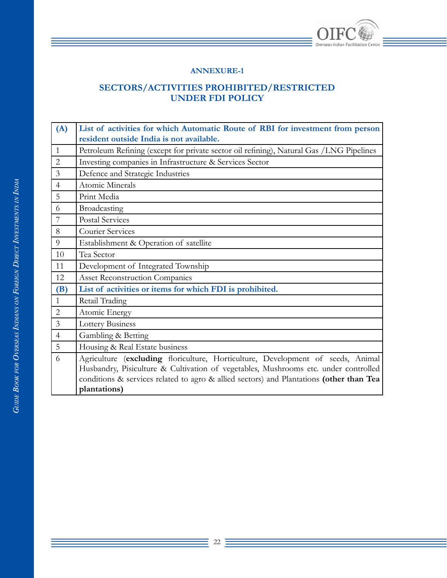

#### **ANNEXURE-1**

#### **SECTORS/ACTIVITIES PROHIBITED/RESTRICTED UNDER FDI POLICY**

| (A)            | List of activities for which Automatic Route of RBI for investment from person          |
|----------------|-----------------------------------------------------------------------------------------|
|                | resident outside India is not available.                                                |
| $\mathbf{1}$   | Petroleum Refining (except for private sector oil refining), Natural Gas /LNG Pipelines |
| $\overline{2}$ | Investing companies in Infrastructure & Services Sector                                 |
| $\mathfrak{Z}$ | Defence and Strategic Industries                                                        |
| $\overline{4}$ | Atomic Minerals                                                                         |
| 5              | Print Media                                                                             |
| 6              | Broadcasting                                                                            |
| $\overline{7}$ | <b>Postal Services</b>                                                                  |
| $8\,$          | <b>Courier Services</b>                                                                 |
| 9              | Establishment & Operation of satellite                                                  |
| 10             | Tea Sector                                                                              |
| 11             | Development of Integrated Township                                                      |
| 12             | <b>Asset Reconstruction Companies</b>                                                   |
| (B)            | List of activities or items for which FDI is prohibited.                                |
| $\mathbf{1}$   | Retail Trading                                                                          |
| $\overline{2}$ | Atomic Energy                                                                           |
| $\mathfrak{Z}$ | Lottery Business                                                                        |
| $\overline{4}$ | Gambling & Betting                                                                      |
| 5              | Housing & Real Estate business                                                          |
| 6              | Agriculture (excluding floriculture, Horticulture, Development of seeds, Animal         |
|                | Husbandry, Pisiculture & Cultivation of vegetables, Mushrooms etc. under controlled     |
|                | conditions & services related to agro & allied sectors) and Plantations (other than Tea |
|                | plantations)                                                                            |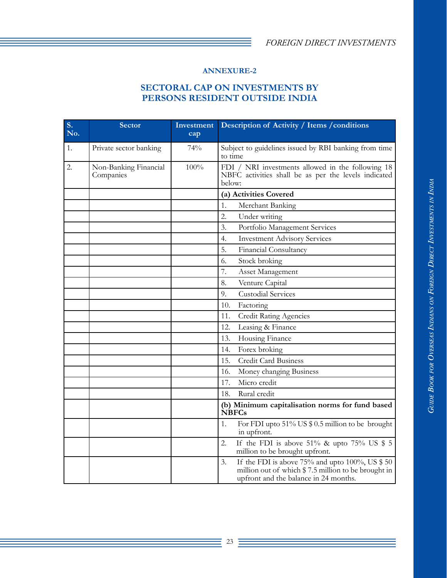#### **ANNEXURE-2**

#### **SECTORAL CAP ON INVESTMENTS BY PERSONS RESIDENT OUTSIDE INDIA**

| S.<br>No. | <b>Sector</b>                      | Investment<br>cap | Description of Activity / Items / conditions                                                                                                          |
|-----------|------------------------------------|-------------------|-------------------------------------------------------------------------------------------------------------------------------------------------------|
| 1.        | Private sector banking             | 74%               | Subject to guidelines issued by RBI banking from time<br>to time                                                                                      |
| 2.        | Non-Banking Financial<br>Companies | 100%              | FDI / NRI investments allowed in the following 18<br>NBFC activities shall be as per the levels indicated<br>below:                                   |
|           |                                    |                   | (a) Activities Covered                                                                                                                                |
|           |                                    |                   | Merchant Banking<br>1.                                                                                                                                |
|           |                                    |                   | 2.<br>Under writing                                                                                                                                   |
|           |                                    |                   | 3.<br>Portfolio Management Services                                                                                                                   |
|           |                                    |                   | <b>Investment Advisory Services</b><br>$\overline{4}$ .                                                                                               |
|           |                                    |                   | 5.<br>Financial Consultancy                                                                                                                           |
|           |                                    |                   | 6.<br>Stock broking                                                                                                                                   |
|           |                                    |                   | 7.<br>Asset Management                                                                                                                                |
|           |                                    |                   | 8.<br>Venture Capital                                                                                                                                 |
|           |                                    |                   | <b>Custodial Services</b><br>9.                                                                                                                       |
|           |                                    |                   | 10.<br>Factoring                                                                                                                                      |
|           |                                    |                   | <b>Credit Rating Agencies</b><br>11.                                                                                                                  |
|           |                                    |                   | Leasing & Finance<br>12.                                                                                                                              |
|           |                                    |                   | Housing Finance<br>13.                                                                                                                                |
|           |                                    |                   | Forex broking<br>14.                                                                                                                                  |
|           |                                    |                   | <b>Credit Card Business</b><br>15.                                                                                                                    |
|           |                                    |                   | Money changing Business<br>16.                                                                                                                        |
|           |                                    |                   | Micro credit<br>17.                                                                                                                                   |
|           |                                    |                   | Rural credit<br>18.                                                                                                                                   |
|           |                                    |                   | (b) Minimum capitalisation norms for fund based<br><b>NBFCs</b>                                                                                       |
|           |                                    |                   | For FDI upto 51% US \$ 0.5 million to be brought<br>1.<br>in upfront.                                                                                 |
|           |                                    |                   | 2.<br>If the FDI is above 51% & upto 75% US $$5$<br>million to be brought upfront.                                                                    |
|           |                                    |                   | 3.<br>If the FDI is above 75% and upto 100%, US $$50$<br>million out of which \$7.5 million to be brought in<br>upfront and the balance in 24 months. |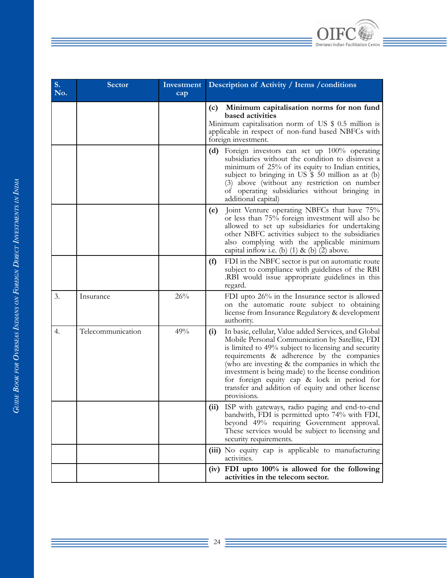

| S.<br>No. | <b>Sector</b>     | Investment<br>cap | Description of Activity / Items / conditions                                                                                                                                                                                                                                                                                                                                                                                                   |  |
|-----------|-------------------|-------------------|------------------------------------------------------------------------------------------------------------------------------------------------------------------------------------------------------------------------------------------------------------------------------------------------------------------------------------------------------------------------------------------------------------------------------------------------|--|
|           |                   |                   | Minimum capitalisation norms for non fund<br>(c)<br>based activities<br>Minimum capitalisation norm of US \$ 0.5 million is<br>applicable in respect of non-fund based NBFCs with<br>foreign investment.                                                                                                                                                                                                                                       |  |
|           |                   |                   | (d) Foreign investors can set up 100% operating<br>subsidiaries without the condition to disinvest a<br>minimum of 25% of its equity to Indian entities,<br>subject to bringing in US \$ 50 million as at (b)<br>(3) above (without any restriction on number<br>of operating subsidiaries without bringing in<br>additional capital)                                                                                                          |  |
|           |                   |                   | Joint Venture operating NBFCs that have 75%<br>(e)<br>or less than 75% foreign investment will also be<br>allowed to set up subsidiaries for undertaking<br>other NBFC activities subject to the subsidiaries<br>also complying with the applicable minimum<br>capital inflow i.e. (b) $(1)$ & (b) $(2)$ above.                                                                                                                                |  |
|           |                   |                   | FDI in the NBFC sector is put on automatic route<br>(f)<br>subject to compliance with guidelines of the RBI<br>.RBI would issue appropriate guidelines in this<br>regard.                                                                                                                                                                                                                                                                      |  |
| 3.        | Insurance         | 26%               | FDI upto 26% in the Insurance sector is allowed<br>on the automatic route subject to obtaining<br>license from Insurance Regulatory & development<br>authority.                                                                                                                                                                                                                                                                                |  |
| 4.        | Telecommunication | 49%               | In basic, cellular, Value added Services, and Global<br>(i)<br>Mobile Personal Communication by Satellite, FDI<br>is limited to 49% subject to licensing and security<br>requirements & adherence by the companies<br>(who are investing & the companies in which the<br>investment is being made) to the license condition<br>for foreign equity cap & lock in period for<br>transfer and addition of equity and other license<br>provisions. |  |
|           |                   |                   | ISP with gateways, radio paging and end-to-end<br>(ii)<br>bandwith, FDI is permitted upto 74% with FDI,<br>beyond 49% requiring Government approval.<br>These services would be subject to licensing and<br>security requirements.                                                                                                                                                                                                             |  |
|           |                   |                   | (iii) No equity cap is applicable to manufacturing<br>activities.                                                                                                                                                                                                                                                                                                                                                                              |  |
|           |                   |                   | (iv) FDI upto 100% is allowed for the following<br>activities in the telecom sector.                                                                                                                                                                                                                                                                                                                                                           |  |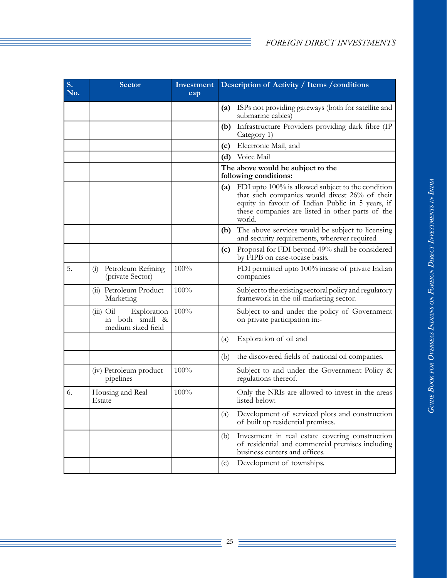| S.<br>No. | <b>Sector</b>                                                       | Investment<br>cap |                   | Description of Activity / Items / conditions                                                                                                                                                                         |
|-----------|---------------------------------------------------------------------|-------------------|-------------------|----------------------------------------------------------------------------------------------------------------------------------------------------------------------------------------------------------------------|
|           |                                                                     |                   | $\left( a\right)$ | ISPs not providing gateways (both for satellite and<br>submarine cables)                                                                                                                                             |
|           |                                                                     |                   | (b)               | Infrastructure Providers providing dark fibre (IP<br>Category 1)                                                                                                                                                     |
|           |                                                                     |                   | (c)               | Electronic Mail, and                                                                                                                                                                                                 |
|           |                                                                     |                   | (d)               | Voice Mail                                                                                                                                                                                                           |
|           |                                                                     |                   |                   | The above would be subject to the<br>following conditions:                                                                                                                                                           |
|           |                                                                     |                   | $\left( a\right)$ | FDI upto 100% is allowed subject to the condition<br>that such companies would divest 26% of their<br>equity in favour of Indian Public in 5 years, if<br>these companies are listed in other parts of the<br>world. |
|           |                                                                     |                   | (b)               | The above services would be subject to licensing<br>and security requirements, wherever required                                                                                                                     |
|           |                                                                     |                   | (c)               | Proposal for FDI beyond 49% shall be considered<br>by FIPB on case-tocase basis.                                                                                                                                     |
| 5.        | Petroleum Refining<br>(i)<br>(private Sector)                       | 100%              |                   | FDI permitted upto 100% incase of private Indian<br>companies                                                                                                                                                        |
|           | (ii) Petroleum Product<br>Marketing                                 | 100%              |                   | Subject to the existing sectoral policy and regulatory<br>framework in the oil-marketing sector.                                                                                                                     |
|           | Exploration<br>$(iii)$ Oil<br>in both small &<br>medium sized field | 100%              |                   | Subject to and under the policy of Government<br>on private participation in:-                                                                                                                                       |
|           |                                                                     |                   | (a)               | Exploration of oil and                                                                                                                                                                                               |
|           |                                                                     |                   | (b)               | the discovered fields of national oil companies.                                                                                                                                                                     |
|           | (iv) Petroleum product<br>pipelines                                 | 100%              |                   | Subject to and under the Government Policy &<br>regulations thereof.                                                                                                                                                 |
| 6.        | Housing and Real<br>Estate                                          | 100%              |                   | Only the NRIs are allowed to invest in the areas<br>listed below:                                                                                                                                                    |
|           |                                                                     |                   | (a)               | Development of serviced plots and construction<br>of built up residential premises.                                                                                                                                  |
|           |                                                                     |                   | (b)               | Investment in real estate covering construction<br>of residential and commercial premises including<br>business centers and offices.                                                                                 |
|           |                                                                     |                   | (c)               | Development of townships.                                                                                                                                                                                            |

Ξ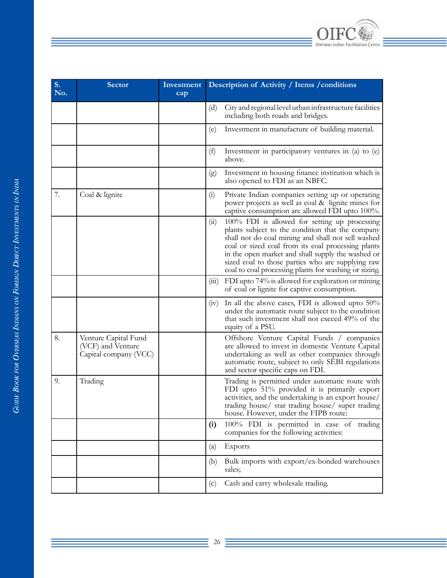

| S.<br>No. | <b>Sector</b>                                                      | Investment<br>cap |       | Description of Activity / Items / conditions                                                                                                                                                                                                                                                                                                                                     |
|-----------|--------------------------------------------------------------------|-------------------|-------|----------------------------------------------------------------------------------------------------------------------------------------------------------------------------------------------------------------------------------------------------------------------------------------------------------------------------------------------------------------------------------|
|           |                                                                    |                   | (d)   | City and regional level urban infrastructure facilities<br>including both roads and bridges.                                                                                                                                                                                                                                                                                     |
|           |                                                                    |                   | (e)   | Investment in manufacture of building material.                                                                                                                                                                                                                                                                                                                                  |
|           |                                                                    |                   | (f)   | Investment in participatory ventures in (a) to (e)<br>above.                                                                                                                                                                                                                                                                                                                     |
|           |                                                                    |                   | (g)   | Investment in housing finance institution which is<br>also opened to FDI as an NBFC.                                                                                                                                                                                                                                                                                             |
| 7.        | Coal & lignite                                                     |                   | (i)   | Private Indian companies setting up or operating<br>power projects as well as coal & lignite mines for<br>captive consumption are allowed FDI upto 100%.                                                                                                                                                                                                                         |
|           |                                                                    |                   | (i)   | 100% FDI is allowed for setting up processing<br>plants subject to the condition that the company<br>shall not do coal mining and shall not sell washed<br>coal or sized coal from its coal processing plants<br>in the open market and shall supply the washed or<br>sized coal to those parties who are supplying raw<br>coal to coal processing plants for washing or sizing. |
|           |                                                                    |                   | (iii) | FDI upto 74% is allowed for exploration or mining<br>of coal or lignite for captive consumption.                                                                                                                                                                                                                                                                                 |
|           |                                                                    |                   | (iv)  | In all the above cases, FDI is allowed upto 50%<br>under the automatic route subject to the condition<br>that such investment shall not exceed 49% of the<br>equity of a PSU.                                                                                                                                                                                                    |
| 8.        | Venture Capital Fund<br>(VCF) and Venture<br>Capital company (VCC) |                   |       | Offshore Venture Capital Funds / companies<br>are allowed to invest in domestic Venture Capital<br>undertaking as well as other companies through<br>automatic route, subject to only SEBI regulations<br>and sector specific caps on FDI.                                                                                                                                       |
| 9.        | Trading                                                            |                   |       | Trading is permitted under automatic route with<br>FDI upto 51% provided it is primarily export<br>activities, and the undertaking is an export house/<br>trading house/ star trading house/ super trading<br>house. However, under the FIPB route:                                                                                                                              |
|           |                                                                    |                   | (i)   | 100% FDI is permitted in case of<br>trading<br>companies for the following activities:                                                                                                                                                                                                                                                                                           |
|           |                                                                    |                   | (a)   | Exports                                                                                                                                                                                                                                                                                                                                                                          |
|           |                                                                    |                   | (b)   | Bulk imports with export/ex-bonded warehouses<br>sales;                                                                                                                                                                                                                                                                                                                          |
|           |                                                                    |                   | (c)   | Cash and carry wholesale trading.                                                                                                                                                                                                                                                                                                                                                |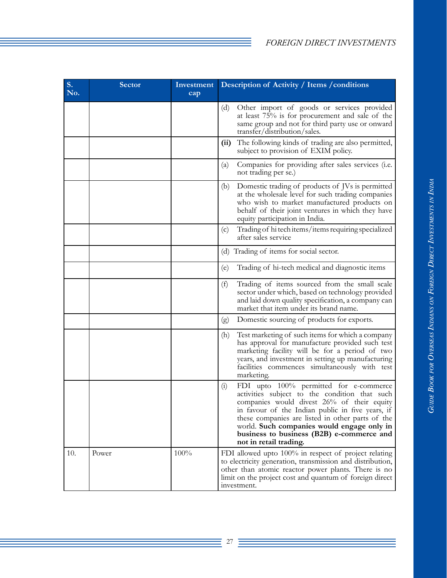| S.<br>No. | <b>Sector</b> | Investment<br>cap | Description of Activity / Items / conditions                                                                                                                                                                                                                                                                                                                              |
|-----------|---------------|-------------------|---------------------------------------------------------------------------------------------------------------------------------------------------------------------------------------------------------------------------------------------------------------------------------------------------------------------------------------------------------------------------|
|           |               |                   | Other import of goods or services provided<br>(d)<br>at least $75\%$ is for procurement and sale of the<br>same group and not for third party use or onward<br>transfer/distribution/sales.                                                                                                                                                                               |
|           |               |                   | The following kinds of trading are also permitted,<br>(ii)<br>subject to provision of EXIM policy.                                                                                                                                                                                                                                                                        |
|           |               |                   | (a)<br>Companies for providing after sales services (i.e.<br>not trading per se.)                                                                                                                                                                                                                                                                                         |
|           |               |                   | Domestic trading of products of JVs is permitted<br>(b)<br>at the wholesale level for such trading companies<br>who wish to market manufactured products on<br>behalf of their joint ventures in which they have<br>equity participation in India.                                                                                                                        |
|           |               |                   | Trading of hitechitems/items requiring specialized<br>(c)<br>after sales service                                                                                                                                                                                                                                                                                          |
|           |               |                   | (d) Trading of items for social sector.                                                                                                                                                                                                                                                                                                                                   |
|           |               |                   | Trading of hi-tech medical and diagnostic items<br>(e)                                                                                                                                                                                                                                                                                                                    |
|           |               |                   | Trading of items sourced from the small scale<br>(f)<br>sector under which, based on technology provided<br>and laid down quality specification, a company can<br>market that item under its brand name.                                                                                                                                                                  |
|           |               |                   | Domestic sourcing of products for exports.<br>(g)                                                                                                                                                                                                                                                                                                                         |
|           |               |                   | Test marketing of such items for which a company<br>(h)<br>has approval for manufacture provided such test<br>marketing facility will be for a period of two<br>years, and investment in setting up manufacturing<br>facilities commences simultaneously with test<br>marketing.                                                                                          |
|           |               |                   | FDI upto 100% permitted for e-commerce<br>(i)<br>activities subject to the condition that such<br>companies would divest 26% of their equity<br>in favour of the Indian public in five years, if<br>these companies are listed in other parts of the<br>world. Such companies would engage only in<br>business to business (B2B) e-commerce and<br>not in retail trading. |
| 10.       | Power         | 100%              | FDI allowed upto 100% in respect of project relating<br>to electricity generation, transmission and distribution,<br>other than atomic reactor power plants. There is no<br>limit on the project cost and quantum of foreign direct<br>investment.                                                                                                                        |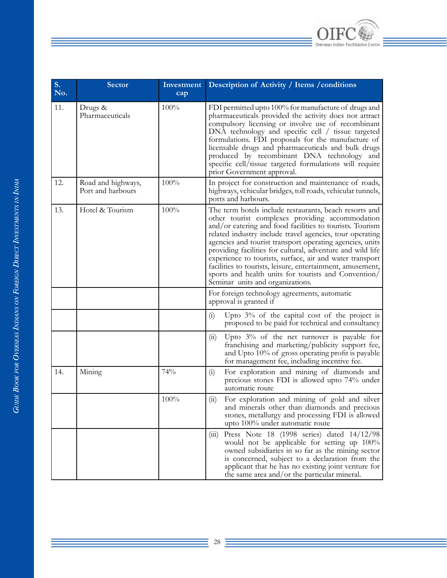

| S <sub>1</sub><br>No. | <b>Sector</b>                           | Investment<br>cap | Description of Activity / Items / conditions                                                                                                                                                                                                                                                                                                                                                                                                                                                                                                                                      |
|-----------------------|-----------------------------------------|-------------------|-----------------------------------------------------------------------------------------------------------------------------------------------------------------------------------------------------------------------------------------------------------------------------------------------------------------------------------------------------------------------------------------------------------------------------------------------------------------------------------------------------------------------------------------------------------------------------------|
| 11.                   | Drugs &<br>Pharmaceuticals              | 100%              | FDI permitted upto 100% for manufacture of drugs and<br>pharmaceuticals provided the activity does not attract<br>compulsory licensing or involve use of recombinant<br>DNA technology and specific cell / tissue targeted<br>formulations. FDI proposals for the manufacture of<br>licensable drugs and pharmaceuticals and bulk drugs<br>produced by recombinant DNA technology and<br>specific cell/tissue targeted formulations will require<br>prior Government approval.                                                                                                    |
| 12.                   | Road and highways,<br>Port and harbours | 100%              | In project for construction and maintenance of roads,<br>highways, vehicular bridges, toll roads, vehicular tunnels,<br>ports and harbours.                                                                                                                                                                                                                                                                                                                                                                                                                                       |
| 13.                   | Hotel & Tourism                         | 100%              | The term hotels include restaurants, beach resorts and<br>other tourist complexes providing accommodation<br>and/or catering and food facilities to tourists. Tourism<br>related industry include travel agencies, tour operating<br>agencies and tourist transport operating agencies, units<br>providing facilities for cultural, adventure and wild life<br>experience to tourists, surface, air and water transport<br>facilities to tourists, leisure, entertainment, amusement,<br>sports and health units for tourists and Convention/<br>Seminar units and organizations. |
|                       |                                         |                   | For foreign technology agreements, automatic<br>approval is granted if                                                                                                                                                                                                                                                                                                                                                                                                                                                                                                            |
|                       |                                         |                   | Upto $3\%$ of the capital cost of the project is<br>(i)<br>proposed to be paid for technical and consultancy                                                                                                                                                                                                                                                                                                                                                                                                                                                                      |
|                       |                                         |                   | Upto $3\%$ of the net turnover is payable for<br>(11)<br>franchising and marketing/publicity support fee,<br>and Upto 10% of gross operating profit is payable<br>for management fee, including incentive fee.                                                                                                                                                                                                                                                                                                                                                                    |
| 14.                   | Mining                                  | 74%               | For exploration and mining of diamonds and<br>(i)<br>precious stones FDI is allowed upto 74% under<br>automatic route                                                                                                                                                                                                                                                                                                                                                                                                                                                             |
|                       |                                         | 100%              | For exploration and mining of gold and silver<br>(ii)<br>and minerals other than diamonds and precious<br>stones, metallurgy and processing FDI is allowed<br>upto 100% under automatic route                                                                                                                                                                                                                                                                                                                                                                                     |
|                       |                                         |                   | Press Note $18$ (1998 series) dated $14/12/98$<br>(iii)<br>would not be applicable for setting up 100%<br>owned subsidiaries in so far as the mining sector<br>is concerned, subject to a declaration from the<br>applicant that he has no existing joint venture for<br>the same area and/or the particular mineral.                                                                                                                                                                                                                                                             |

Ξ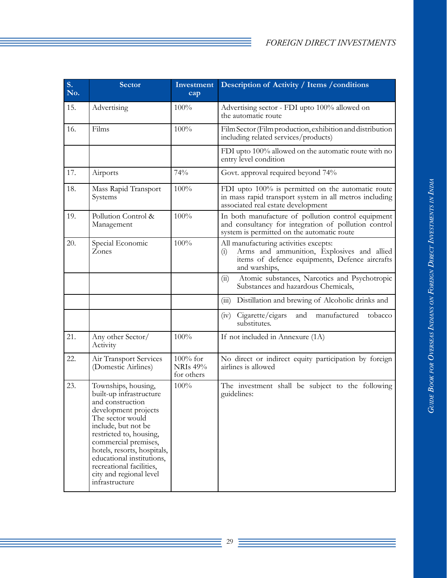| <b>S.</b><br>No. | <b>Sector</b>                                                                                                                                                                                                                                                                                                                 | Investment<br>cap                            | Description of Activity / Items / conditions                                                                                                                  |
|------------------|-------------------------------------------------------------------------------------------------------------------------------------------------------------------------------------------------------------------------------------------------------------------------------------------------------------------------------|----------------------------------------------|---------------------------------------------------------------------------------------------------------------------------------------------------------------|
| 15.              | Advertising                                                                                                                                                                                                                                                                                                                   | 100%                                         | Advertising sector - FDI upto 100% allowed on<br>the automatic route                                                                                          |
| 16.              | Films                                                                                                                                                                                                                                                                                                                         | 100%                                         | Film Sector (Film production, exhibition and distribution<br>including related services/products)                                                             |
|                  |                                                                                                                                                                                                                                                                                                                               |                                              | FDI upto 100% allowed on the automatic route with no<br>entry level condition                                                                                 |
| 17.              | Airports                                                                                                                                                                                                                                                                                                                      | 74%                                          | Govt. approval required beyond 74%                                                                                                                            |
| 18.              | Mass Rapid Transport<br>Systems                                                                                                                                                                                                                                                                                               | 100%                                         | FDI upto 100% is permitted on the automatic route<br>in mass rapid transport system in all metros including<br>associated real estate development             |
| 19.              | Pollution Control &<br>Management                                                                                                                                                                                                                                                                                             | 100%                                         | In both manufacture of pollution control equipment<br>and consultancy for integration of pollution control<br>system is permitted on the automatic route      |
| 20.              | Special Economic<br>Zones                                                                                                                                                                                                                                                                                                     | 100%                                         | All manufacturing activities excepts:<br>Arms and ammunition, Explosives and allied<br>(i)<br>items of defence equipments, Defence aircrafts<br>and warships, |
|                  |                                                                                                                                                                                                                                                                                                                               |                                              | Atomic substances, Narcotics and Psychotropic<br>(ii)<br>Substances and hazardous Chemicals,                                                                  |
|                  |                                                                                                                                                                                                                                                                                                                               |                                              | Distillation and brewing of Alcoholic drinks and<br>(iii)                                                                                                     |
|                  |                                                                                                                                                                                                                                                                                                                               |                                              | Cigarette/cigars<br>manufactured<br>tobacco<br>and<br>(iv)<br>substitutes.                                                                                    |
| 21.              | Any other Sector/<br>Activity                                                                                                                                                                                                                                                                                                 | 100%                                         | If not included in Annexure (1A)                                                                                                                              |
| 22.              | Air Transport Services<br>(Domestic Airlines)                                                                                                                                                                                                                                                                                 | $100\%$ for<br><b>NRIs 49%</b><br>for others | No direct or indirect equity participation by foreign<br>airlines is allowed                                                                                  |
| 23.              | Townships, housing,<br>built-up infrastructure<br>and construction<br>development projects<br>The sector would<br>include, but not be<br>restricted to, housing,<br>commercial premises,<br>hotels, resorts, hospitals,<br>educational institutions,<br>recreational facilities,<br>city and regional level<br>infrastructure | 100%                                         | The investment shall be subject to the following<br>guidelines:                                                                                               |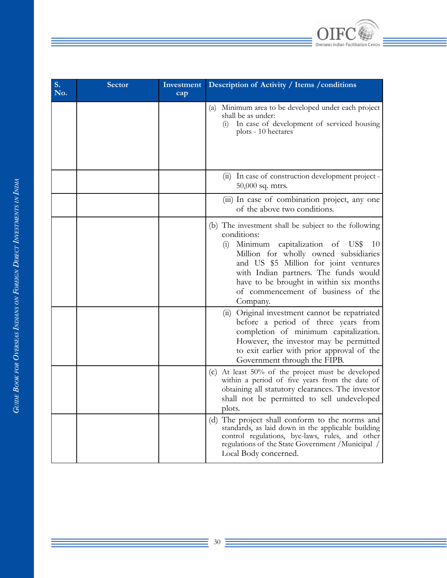

| S.<br>No. | Sector | Investment<br>cap | Description of Activity / Items / conditions                                                                                                                                                                                                                                                                                               |
|-----------|--------|-------------------|--------------------------------------------------------------------------------------------------------------------------------------------------------------------------------------------------------------------------------------------------------------------------------------------------------------------------------------------|
|           |        |                   | (a) Minimum area to be developed under each project<br>shall be as under:<br>In case of development of serviced housing<br>(1)<br>plots - 10 hectares                                                                                                                                                                                      |
|           |        |                   | (ii) In case of construction development project -<br>50,000 sq. mtrs.                                                                                                                                                                                                                                                                     |
|           |        |                   | (iii) In case of combination project, any one<br>of the above two conditions.                                                                                                                                                                                                                                                              |
|           |        |                   | (b) The investment shall be subject to the following<br>conditions:<br>Minimum capitalization of US\$<br>(i)<br>10<br>Million for wholly owned subsidiaries<br>and US \$5 Million for joint ventures<br>with Indian partners. The funds would<br>have to be brought in within six months<br>of commencement of business of the<br>Company. |
|           |        |                   | (ii) Original investment cannot be repatriated<br>before a period of three years from<br>completion of minimum capitalization.<br>However, the investor may be permitted<br>to exit earlier with prior approval of the<br>Government through the FIPB.                                                                                     |
|           |        |                   | (c) At least 50% of the project must be developed<br>within a period of five years from the date of<br>obtaining all statutory clearances. The investor<br>shall not be permitted to sell undeveloped<br>plots.                                                                                                                            |
|           |        |                   | (d) The project shall conform to the norms and<br>standards, as laid down in the applicable building<br>control regulations, bye-laws, rules, and other<br>regulations of the State Government / Municipal /<br>Local Body concerned.                                                                                                      |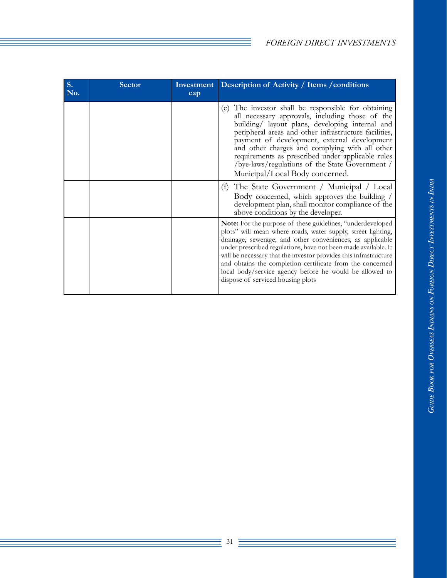| <b>S.</b><br>No. | <b>Sector</b> | Investment<br>cap | Description of Activity / Items / conditions                                                                                                                                                                                                                                                                                                                                                                                                                                                      |
|------------------|---------------|-------------------|---------------------------------------------------------------------------------------------------------------------------------------------------------------------------------------------------------------------------------------------------------------------------------------------------------------------------------------------------------------------------------------------------------------------------------------------------------------------------------------------------|
|                  |               |                   | (e) The investor shall be responsible for obtaining<br>all necessary approvals, including those of the<br>building/ layout plans, developing internal and<br>peripheral areas and other infrastructure facilities,<br>payment of development, external development<br>and other charges and complying with all other<br>requirements as prescribed under applicable rules<br>/bye-laws/regulations of the State Government /<br>Municipal/Local Body concerned.                                   |
|                  |               |                   | The State Government / Municipal / Local<br>(f)<br>Body concerned, which approves the building /<br>development plan, shall monitor compliance of the<br>above conditions by the developer.                                                                                                                                                                                                                                                                                                       |
|                  |               |                   | <b>Note:</b> For the purpose of these guidelines, "underdeveloped<br>plots" will mean where roads, water supply, street lighting,<br>drainage, sewerage, and other conveniences, as applicable<br>under prescribed regulations, have not been made available. It<br>will be necessary that the investor provides this infrastructure<br>and obtains the completion certificate from the concerned<br>local body/service agency before he would be allowed to<br>dispose of serviced housing plots |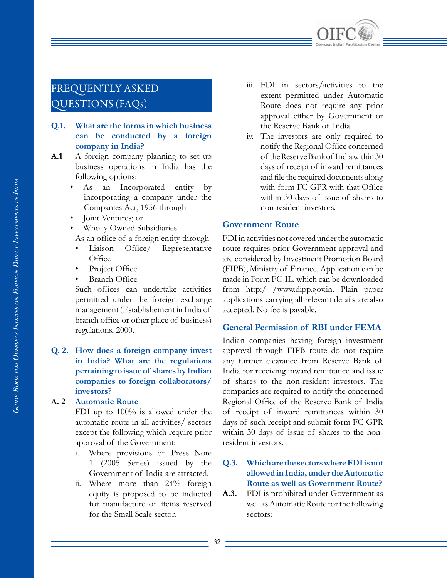

### FREQUENTLY ASKED QUESTIONS (FAQs)

#### **Q.1. What are the forms in which business can be conducted by a foreign company in India?**

- **A.1** A foreign company planning to set up business operations in India has the following options:
	- As an Incorporated entity by incorporating a company under the Companies Act, 1956 through
	- Joint Ventures; or • Wholly Owned Subsidiaries

As an office of a foreign entity through

- Liaison Office/ Representative Office
- Project Office
- **Branch Office**

Such offices can undertake activities permitted under the foreign exchange management (Establishement in India of branch office or other place of business) regulations, 2000.

#### **Q. 2. How does a foreign company invest in India? What are the regulations pertaining to issue of shares by Indian companies to foreign collaborators/ investors?**

#### **A. 2 Automatic Route**

FDI up to 100% is allowed under the automatic route in all activities/ sectors except the following which require prior approval of the Government:

- i. Where provisions of Press Note 1 (2005 Series) issued by the Government of India are attracted.
- ii. Where more than 24% foreign equity is proposed to be inducted for manufacture of items reserved for the Small Scale sector.
- iii. FDI in sectors/activities to the extent permitted under Automatic Route does not require any prior approval either by Government or the Reserve Bank of India.
- iv. The investors are only required to notify the Regional Office concerned of the Reserve Bank of India within 30 days of receipt of inward remittances and file the required documents along with form FC-GPR with that Office within 30 days of issue of shares to non-resident investors.

#### **Government Route**

FDI in activities not covered under the automatic route requires prior Government approval and are considered by Investment Promotion Board (FIPB), Ministry of Finance. Application can be made in Form FC-IL, which can be downloaded from http:/ /www.dipp.gov.in. Plain paper applications carrying all relevant details are also accepted. No fee is payable.

#### **General Permission of RBI under FEMA**

Indian companies having foreign investment approval through FIPB route do not require any further clearance from Reserve Bank of India for receiving inward remittance and issue of shares to the non-resident investors. The companies are required to notify the concerned Regional Office of the Reserve Bank of India of receipt of inward remittances within 30 days of such receipt and submit form FC-GPR within 30 days of issue of shares to the nonresident investors.

- **Q.3. Which are the sectors where FDI is not allowed in India, under the Automatic Route as well as Government Route?**
- **A.3.** FDI is prohibited under Government as well as Automatic Route for the following sectors: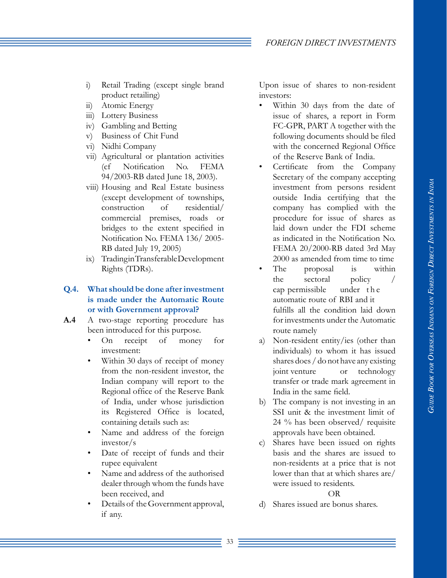- i) Retail Trading (except single brand product retailing)
- ii) Atomic Energy
- iii) Lottery Business
- iv) Gambling and Betting
- v) Business of Chit Fund
- vi) Nidhi Company
- vii) Agricultural or plantation activities (cf Notification No. FEMA 94/2003-RB dated June 18, 2003).
- viii) Housing and Real Estate business (except development of townships, construction of residential/ commercial premises, roads or bridges to the extent specified in Notification No. FEMA 136/ 2005- RB dated July 19, 2005)
- ix) Trading in Transferable Development Rights (TDRs).

#### **Q.4. What should be done after investment is made under the Automatic Route or with Government approval?**

- **A.4** A two-stage reporting procedure has been introduced for this purpose.
	- On receipt of money for investment:
	- Within 30 days of receipt of money from the non-resident investor, the Indian company will report to the Regional office of the Reserve Bank of India, under whose jurisdiction its Registered Office is located, containing details such as:
	- Name and address of the foreign investor/s
	- Date of receipt of funds and their rupee equivalent
	- Name and address of the authorised dealer through whom the funds have been received, and
	- Details of the Government approval, if any.

Upon issue of shares to non-resident investors:

- Within 30 days from the date of issue of shares, a report in Form FC-GPR, PART A together with the following documents should be filed with the concerned Regional Office of the Reserve Bank of India.
- Certificate from the Company Secretary of the company accepting investment from persons resident outside India certifying that the company has complied with the procedure for issue of shares as laid down under the FDI scheme as indicated in the Notification No. FEMA 20/2000-RB dated 3rd May 2000 as amended from time to time
- The proposal is within the sectoral policy / cap permissible under the automatic route of RBI and it fulfills all the condition laid down for investments under the Automatic route namely
- a) Non-resident entity/ies (other than individuals) to whom it has issued shares does / do not have any existing joint venture or technology transfer or trade mark agreement in India in the same field.
- b) The company is not investing in an SSI unit & the investment limit of 24 % has been observed/ requisite approvals have been obtained.
- c) Shares have been issued on rights basis and the shares are issued to non-residents at a price that is not lower than that at which shares are/ were issued to residents.

#### OR

d) Shares issued are bonus shares.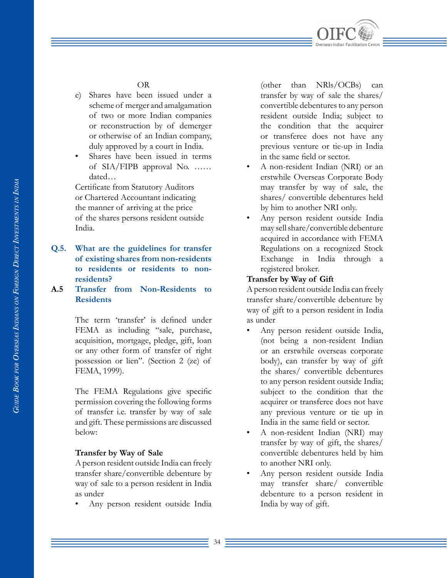

#### OR

- e) Shares have been issued under a scheme of merger and amalgamation of two or more Indian companies or reconstruction by of demerger or otherwise of an Indian company, duly approved by a court in India.
- Shares have been issued in terms of SIA/FIPB approval No. …… dated…

Certificate from Statutory Auditors or Chartered Accountant indicating the manner of arriving at the price of the shares persons resident outside India.

#### **Q.5. What are the guidelines for transfer of existing shares from non-residents to residents or residents to nonresidents?**

#### **A.5 Transfer from Non-Residents to Residents**

The term 'transfer' is defined under FEMA as including "sale, purchase, acquisition, mortgage, pledge, gift, loan or any other form of transfer of right possession or lien". (Section 2 (ze) of FEMA, 1999).

The FEMA Regulations give specific permission covering the following forms of transfer i.e. transfer by way of sale and gift. These permissions are discussed below:

#### **Transfer by Way of Sale**

A person resident outside India can freely transfer share/convertible debenture by way of sale to a person resident in India as under

• Any person resident outside India

(other than NRls/OCBs) can transfer by way of sale the shares/ convertible debentures to any person resident outside India; subject to the condition that the acquirer or transferee does not have any previous venture or tie-up in India in the same field or sector.

- A non-resident Indian (NRI) or an erstwhile Overseas Corporate Body may transfer by way of sale, the shares/ convertible debentures held by him to another NRI only.
- Any person resident outside India may sell share/convertible debenture acquired in accordance with FEMA Regulations on a recognized Stock Exchange in India through a registered broker.

#### **Transfer by Way of Gift**

A person resident outside India can freely transfer share/convertible debenture by way of gift to a person resident in India as under

- Any person resident outside India, (not being a non-resident Indian or an erstwhile overseas corporate body), can transfer by way of gift the shares/ convertible debentures to any person resident outside India; subject to the condition that the acquirer or transferee does not have any previous venture or tie up in India in the same field or sector.
- A non-resident Indian (NRI) may transfer by way of gift, the shares/ convertible debentures held by him to another NRI only.
- Any person resident outside India may transfer share/ convertible debenture to a person resident in India by way of gift.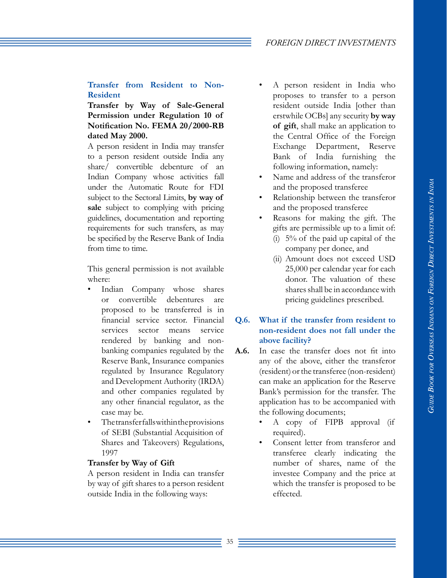#### **Transfer from Resident to Non-Resident**

#### **Transfer by Way of Sale-General Permission under Regulation 10 of Notification No. FEMA 20/2000-RB dated May 2000.**

A person resident in India may transfer to a person resident outside India any share/ convertible debenture of an Indian Company whose activities fall under the Automatic Route for FDI subject to the Sectoral Limits, **by way of sale** subject to complying with pricing guidelines, documentation and reporting requirements for such transfers, as may be specified by the Reserve Bank of India from time to time.

This general permission is not available where:

- Indian Company whose shares or convertible debentures are proposed to be transferred is in financial service sector. Financial services sector means service rendered by banking and nonbanking companies regulated by the Reserve Bank, Insurance companies regulated by Insurance Regulatory and Development Authority (IRDA) and other companies regulated by any other financial regulator, as the case may be.
- The transfer falls within the provisions of SEBI (Substantial Acquisition of Shares and Takeovers) Regulations, 1997

#### **Transfer by Way of Gift**

A person resident in India can transfer by way of gift shares to a person resident outside India in the following ways:

- A person resident in India who proposes to transfer to a person resident outside India [other than erstwhile OCBs] any security **by way of gift**, shall make an application to the Central Office of the Foreign Exchange Department, Reserve Bank of India furnishing the following information, namely:
- Name and address of the transferor and the proposed transferee
- Relationship between the transferor and the proposed transferee
- Reasons for making the gift. The gifts are permissible up to a limit of:
	- (i)  $5\%$  of the paid up capital of the company per donee, and
	- (ii) Amount does not exceed USD 25,000 per calendar year for each donor. The valuation of these shares shall be in accordance with pricing guidelines prescribed.

#### **Q.6. What if the transfer from resident to non-resident does not fall under the above facility?**

- **A.6.** In case the transfer does not fit into any of the above, either the transferor (resident) or the transferee (non-resident) can make an application for the Reserve Bank's permission for the transfer. The application has to be accompanied with the following documents;
	- A copy of FIPB approval (if required).
	- Consent letter from transferor and transferee clearly indicating the number of shares, name of the investee Company and the price at which the transfer is proposed to be effected.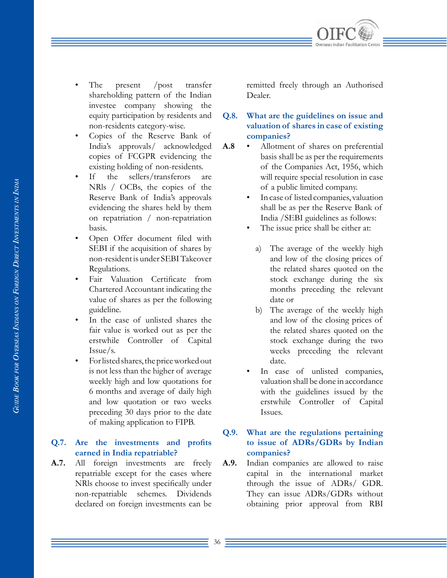

- The present /post transfer shareholding pattern of the Indian investee company showing the equity participation by residents and non-residents category-wise.
- Copies of the Reserve Bank of India's approvals/ acknowledged copies of FCGPR evidencing the existing holding of non-residents.
- If the sellers/transferors are NRls / OCBs, the copies of the Reserve Bank of India's approvals evidencing the shares held by them on repatriation / non-repatriation basis.
- Open Offer document filed with SEBI if the acquisition of shares by non-resident is under SEBI Takeover Regulations.
- Fair Valuation Certificate from Chartered Accountant indicating the value of shares as per the following guideline.
- In the case of unlisted shares the fair value is worked out as per the erstwhile Controller of Capital Issue/s.
- For listed shares, the price worked out is not less than the higher of average weekly high and low quotations for 6 months and average of daily high and low quotation or two weeks preceding 30 days prior to the date of making application to FIPB.

#### **Q.7. Are the investments and profits earned in India repatriable?**

**A.7.** All foreign investments are freely repatriable except for the cases where NRls choose to invest specifically under non-repatriable schemes. Dividends declared on foreign investments can be

remitted freely through an Authorised Dealer.

# **Q.8. What are the guidelines on issue and valuation of shares in case of existing companies?**

- **A.8** Allotment of shares on preferential basis shall be as per the requirements of the Companies Act, 1956, which will require special resolution in case of a public limited company.
	- In case of listed companies, valuation shall be as per the Reserve Bank of India /SEBI guidelines as follows:
	- The issue price shall be either at:
		- a) The average of the weekly high and low of the closing prices of the related shares quoted on the stock exchange during the six months preceding the relevant date or
		- b) The average of the weekly high and low of the closing prices of the related shares quoted on the stock exchange during the two weeks preceding the relevant date.
	- In case of unlisted companies, valuation shall be done in accordance with the guidelines issued by the erstwhile Controller of Capital Issues.

## **Q.9. What are the regulations pertaining to issue of ADRs/GDRs by Indian companies?**

**A.9.** Indian companies are allowed to raise capital in the international market through the issue of ADRs/ GDR. They can issue ADRs/GDRs without obtaining prior approval from RBI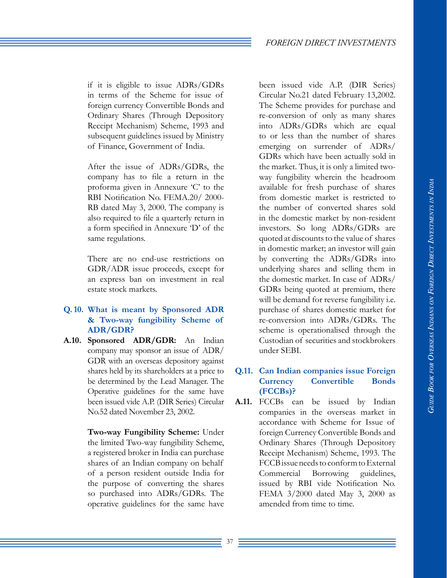if it is eligible to issue ADRs/GDRs in terms of the Scheme for issue of foreign currency Convertible Bonds and Ordinary Shares (Through Depository Receipt Mechanism) Scheme, 1993 and subsequent guidelines issued by Ministry of Finance, Government of India.

After the issue of ADRs/GDRs, the company has to file a return in the proforma given in Annexure 'C' to the RBI Notification No. FEMA.20/ 2000- RB dated May 3, 2000. The company is also required to file a quarterly return in a form specified in Annexure 'D' of the same regulations.

There are no end-use restrictions on GDR/ADR issue proceeds, except for an express ban on investment in real estate stock markets.

#### **Q. 10. What is meant by Sponsored ADR & Two-way fungibility Scheme of ADR/GDR?**

**A.10. Sponsored ADR/GDR:** An Indian company may sponsor an issue of ADR/ GDR with an overseas depository against shares held by its shareholders at a price to be determined by the Lead Manager. The Operative guidelines for the same have been issued vide A.P. (DIR Series) Circular No.52 dated November 23, 2002.

> **Two-way Fungibility Scheme:** Under the limited Two-way fungibility Scheme, a registered broker in India can purchase shares of an Indian company on behalf of a person resident outside India for the purpose of converting the shares so purchased into ADRs/GDRs. The operative guidelines for the same have

been issued vide A.P. (DIR Series) Circular No.21 dated February 13,2002. The Scheme provides for purchase and re-conversion of only as many shares into ADRs/GDRs which are equal to or less than the number of shares emerging on surrender of ADRs/ GDRs which have been actually sold in the market. Thus, it is only a limited twoway fungibility wherein the headroom available for fresh purchase of shares from domestic market is restricted to the number of converted shares sold in the domestic market by non-resident investors. So long ADRs/GDRs are quoted at discounts to the value of shares in domestic market; an investor will gain by converting the ADRs/GDRs into underlying shares and selling them in the domestic market. In case of ADRs/ GDRs being quoted at premium, there will be demand for reverse fungibility i.e. purchase of shares domestic market for re-conversion into ADRs/GDRs. The scheme is operationalised through the Custodian of securities and stockbrokers under SEBI.

#### **Q.11. Can Indian companies issue Foreign Currency Convertible Bonds (FCCBs)?**

**A.11.** FCCBs can be issued by Indian companies in the overseas market in accordance with Scheme for Issue of foreign Currency Convertible Bonds and Ordinary Shares (Through Depository Receipt Mechanism) Scheme, 1993. The FCCB issue needs to conform to External Commercial Borrowing guidelines, issued by RBI vide Notification No. FEMA 3/2000 dated May 3, 2000 as amended from time to time.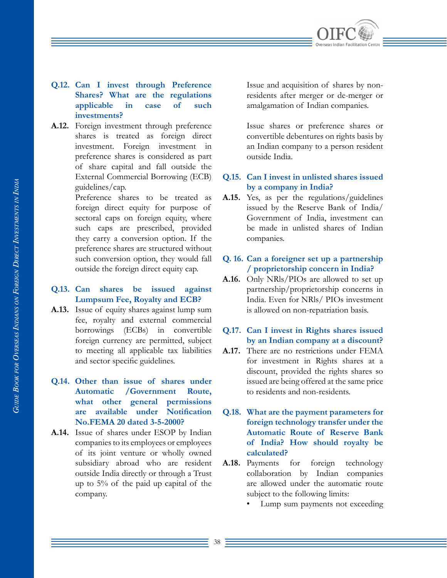

- **Q.12. Can I invest through Preference Shares? What are the regulations applicable in case of such investments?**
- **A.12.** Foreign investment through preference shares is treated as foreign direct investment. Foreign investment in preference shares is considered as part of share capital and fall outside the External Commercial Borrowing (ECB) guidelines/cap.

Preference shares to be treated as foreign direct equity for purpose of sectoral caps on foreign equity, where such caps are prescribed, provided they carry a conversion option. If the preference shares are structured without such conversion option, they would fall outside the foreign direct equity cap.

#### **Q.13. Can shares be issued against Lumpsum Fee, Royalty and ECB?**

- **A.13.** Issue of equity shares against lump sum fee, royalty and external commercial borrowings (ECBs) in convertible foreign currency are permitted, subject to meeting all applicable tax liabilities and sector specific guidelines.
- **Q.14. Other than issue of shares under Automatic /Government Route, what other general permissions are available under Notification No.FEMA 20 dated 3-5-2000?**
- **A.14.** Issue of shares under ESOP by Indian companies to its employees or employees of its joint venture or wholly owned subsidiary abroad who are resident outside India directly or through a Trust up to 5% of the paid up capital of the company.

Issue and acquisition of shares by nonresidents after merger or de-merger or amalgamation of Indian companies.

Issue shares or preference shares or convertible debentures on rights basis by an Indian company to a person resident outside India.

## **Q.15. Can I invest in unlisted shares issued by a company in India?**

**A.15.** Yes, as per the regulations/guidelines issued by the Reserve Bank of India/ Government of India, investment can be made in unlisted shares of Indian companies.

#### **Q. 16. Can a foreigner set up a partnership / proprietorship concern in India?**

**A.16.** Only NRls/PIOs are allowed to set up partnership/proprietorship concerns in India. Even for NRls/ PIOs investment is allowed on non-repatriation basis.

#### **Q.17. Can I invest in Rights shares issued by an Indian company at a discount?**

- **A.17.** There are no restrictions under FEMA for investment in Rights shares at a discount, provided the rights shares so issued are being offered at the same price to residents and non-residents.
- **Q.18. What are the payment parameters for foreign technology transfer under the Automatic Route of Reserve Bank of India? How should royalty be calculated?**
- **A.18.** Payments for foreign technology collaboration by Indian companies are allowed under the automatic route subject to the following limits:
	- Lump sum payments not exceeding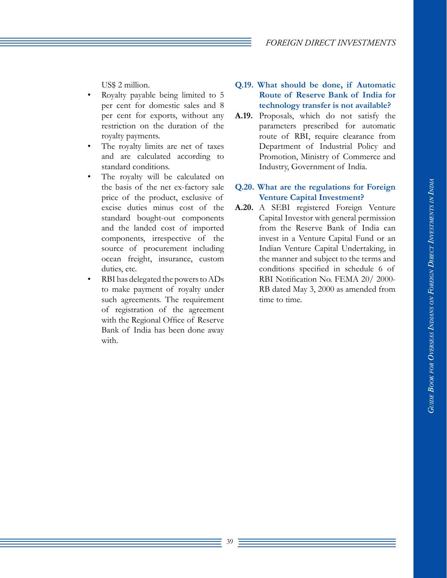# *FOREIGN DIRECT INVESTMENTS*

US\$ 2 million.

- Royalty payable being limited to 5 per cent for domestic sales and 8 per cent for exports, without any restriction on the duration of the royalty payments.
- The royalty limits are net of taxes and are calculated according to standard conditions.
- The royalty will be calculated on the basis of the net ex-factory sale price of the product, exclusive of excise duties minus cost of the standard bought-out components and the landed cost of imported components, irrespective of the source of procurement including ocean freight, insurance, custom duties, etc.
- RBI has delegated the powers to ADs to make payment of royalty under such agreements. The requirement of registration of the agreement with the Regional Office of Reserve Bank of India has been done away with.

# **Q.19. What should be done, if Automatic Route of Reserve Bank of India for technology transfer is not available?**

**A.19.** Proposals, which do not satisfy the parameters prescribed for automatic route of RBI, require clearance from Department of Industrial Policy and Promotion, Ministry of Commerce and Industry, Government of India.

## **Q.20. What are the regulations for Foreign Venture Capital Investment?**

**A.20.** A SEBI registered Foreign Venture Capital Investor with general permission from the Reserve Bank of India can invest in a Venture Capital Fund or an Indian Venture Capital Undertaking, in the manner and subject to the terms and conditions specified in schedule 6 of RBI Notification No. FEMA 20/ 2000- RB dated May 3, 2000 as amended from time to time.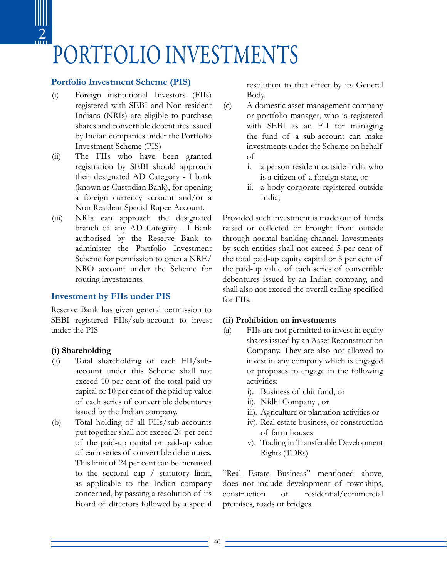

#### **Portfolio Investment Scheme (PIS)**

- (i) Foreign institutional Investors (FIIs) registered with SEBI and Non-resident Indians (NRIs) are eligible to purchase shares and convertible debentures issued by Indian companies under the Portfolio Investment Scheme (PIS)
- (ii) The FIIs who have been granted registration by SEBI should approach their designated AD Category - I bank (known as Custodian Bank), for opening a foreign currency account and/or a Non Resident Special Rupee Account.
- (iii) NRIs can approach the designated branch of any AD Category - I Bank authorised by the Reserve Bank to administer the Portfolio Investment Scheme for permission to open a NRE/ NRO account under the Scheme for routing investments.

#### **Investment by FIIs under PIS**

Reserve Bank has given general permission to SEBI registered FIIs/sub-account to invest under the PIS

#### **(i) Shareholding**

- (a) Total shareholding of each FII/subaccount under this Scheme shall not exceed 10 per cent of the total paid up capital or 10 per cent of the paid up value of each series of convertible debentures issued by the Indian company.
- (b) Total holding of all FIIs/sub-accounts put together shall not exceed 24 per cent of the paid-up capital or paid-up value of each series of convertible debentures. This limit of 24 per cent can be increased to the sectoral cap / statutory limit, as applicable to the Indian company concerned, by passing a resolution of its Board of directors followed by a special

resolution to that effect by its General Body.

- (c) A domestic asset management company or portfolio manager, who is registered with SEBI as an FII for managing the fund of a sub-account can make investments under the Scheme on behalf of
	- i. a person resident outside India who is a citizen of a foreign state, or
	- ii. a body corporate registered outside India;

Provided such investment is made out of funds raised or collected or brought from outside through normal banking channel. Investments by such entities shall not exceed 5 per cent of the total paid-up equity capital or 5 per cent of the paid-up value of each series of convertible debentures issued by an Indian company, and shall also not exceed the overall ceiling specified for FIIs.

#### **(ii) Prohibition on investments**

- (a) FIIs are not permitted to invest in equity shares issued by an Asset Reconstruction Company. They are also not allowed to invest in any company which is engaged or proposes to engage in the following activities:
	- i). Business of chit fund, or
	- ii). Nidhi Company , or
	- iii). Agriculture or plantation activities or
	- iv). Real estate business, or construction of farm houses
	- v). Trading in Transferable Development Rights (TDRs)

"Real Estate Business" mentioned above, does not include development of townships, construction of residential/commercial premises, roads or bridges.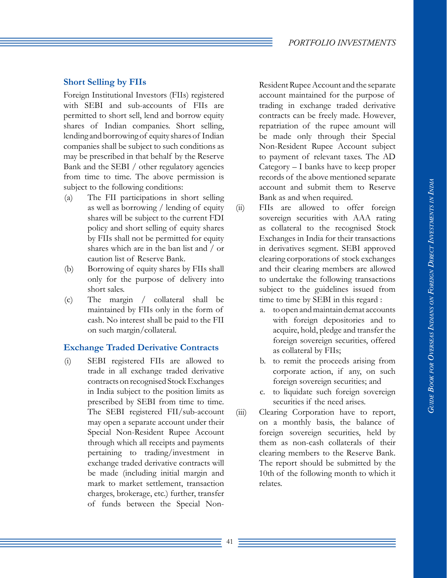# **Short Selling by FIIs**

Foreign Institutional Investors (FIIs) registered with SEBI and sub-accounts of FIIs are permitted to short sell, lend and borrow equity shares of Indian companies. Short selling, lending and borrowing of equity shares of Indian companies shall be subject to such conditions as may be prescribed in that behalf by the Reserve Bank and the SEBI / other regulatory agencies from time to time. The above permission is subject to the following conditions:

- (a) The FII participations in short selling as well as borrowing / lending of equity shares will be subject to the current FDI policy and short selling of equity shares by FIIs shall not be permitted for equity shares which are in the ban list and / or caution list of Reserve Bank.
- (b) Borrowing of equity shares by FIIs shall only for the purpose of delivery into short sales.
- (c) The margin / collateral shall be maintained by FIIs only in the form of cash. No interest shall be paid to the FII on such margin/collateral.

# **Exchange Traded Derivative Contracts**

(i) SEBI registered FIIs are allowed to trade in all exchange traded derivative contracts on recognised Stock Exchanges in India subject to the position limits as prescribed by SEBI from time to time. The SEBI registered FII/sub-account may open a separate account under their Special Non-Resident Rupee Account through which all receipts and payments pertaining to trading/investment in exchange traded derivative contracts will be made (including initial margin and mark to market settlement, transaction charges, brokerage, etc.) further, transfer of funds between the Special NonResident Rupee Account and the separate account maintained for the purpose of trading in exchange traded derivative contracts can be freely made. However, repatriation of the rupee amount will be made only through their Special Non-Resident Rupee Account subject to payment of relevant taxes. The AD Category – I banks have to keep proper records of the above mentioned separate account and submit them to Reserve Bank as and when required.

- (ii) FIIs are allowed to offer foreign sovereign securities with AAA rating as collateral to the recognised Stock Exchanges in India for their transactions in derivatives segment. SEBI approved clearing corporations of stock exchanges and their clearing members are allowed to undertake the following transactions subject to the guidelines issued from time to time by SEBI in this regard :
	- a. to open and maintain demat accounts with foreign depositories and to acquire, hold, pledge and transfer the foreign sovereign securities, offered as collateral by FIIs;
	- b. to remit the proceeds arising from corporate action, if any, on such foreign sovereign securities; and
	- c. to liquidate such foreign sovereign securities if the need arises.
- (iii) Clearing Corporation have to report, on a monthly basis, the balance of foreign sovereign securities, held by them as non-cash collaterals of their clearing members to the Reserve Bank. The report should be submitted by the 10th of the following month to which it relates.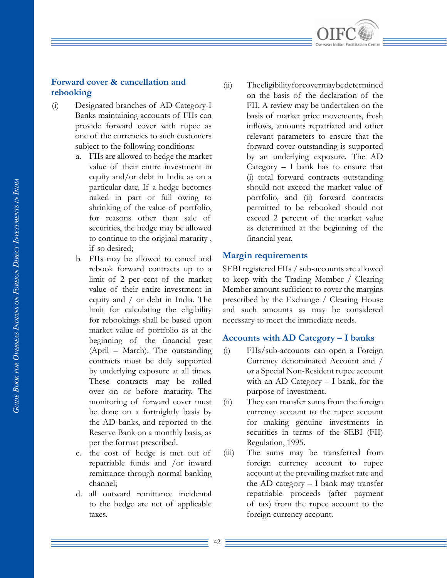### **Forward cover & cancellation and rebooking**

- (i) Designated branches of AD Category-I Banks maintaining accounts of FIIs can provide forward cover with rupee as one of the currencies to such customers subject to the following conditions:
	- a. FIIs are allowed to hedge the market value of their entire investment in equity and/or debt in India as on a particular date. If a hedge becomes naked in part or full owing to shrinking of the value of portfolio, for reasons other than sale of securities, the hedge may be allowed to continue to the original maturity , if so desired;
	- b. FIIs may be allowed to cancel and rebook forward contracts up to a limit of 2 per cent of the market value of their entire investment in equity and / or debt in India. The limit for calculating the eligibility for rebookings shall be based upon market value of portfolio as at the beginning of the financial year (April – March). The outstanding contracts must be duly supported by underlying exposure at all times. These contracts may be rolled over on or before maturity. The monitoring of forward cover must be done on a fortnightly basis by the AD banks, and reported to the Reserve Bank on a monthly basis, as per the format prescribed.
	- c. the cost of hedge is met out of repatriable funds and /or inward remittance through normal banking channel;
	- d. all outward remittance incidental to the hedge are net of applicable taxes.

(ii) The eligibility for cover may be determined on the basis of the declaration of the FII. A review may be undertaken on the basis of market price movements, fresh inflows, amounts repatriated and other relevant parameters to ensure that the forward cover outstanding is supported by an underlying exposure. The AD Category  $-$  I bank has to ensure that (i) total forward contracts outstanding should not exceed the market value of portfolio, and (ii) forward contracts permitted to be rebooked should not exceed 2 percent of the market value as determined at the beginning of the financial year.

#### **Margin requirements**

SEBI registered FIIs / sub-accounts are allowed to keep with the Trading Member / Clearing Member amount sufficient to cover the margins prescribed by the Exchange / Clearing House and such amounts as may be considered necessary to meet the immediate needs.

#### **Accounts with AD Category – I banks**

- (i) FIIs/sub-accounts can open a Foreign Currency denominated Account and / or a Special Non-Resident rupee account with an AD Category – I bank, for the purpose of investment.
- (ii) They can transfer sums from the foreign currency account to the rupee account for making genuine investments in securities in terms of the SEBI (FII) Regulation, 1995.
- (iii) The sums may be transferred from foreign currency account to rupee account at the prevailing market rate and the AD category – I bank may transfer repatriable proceeds (after payment of tax) from the rupee account to the foreign currency account.

*India*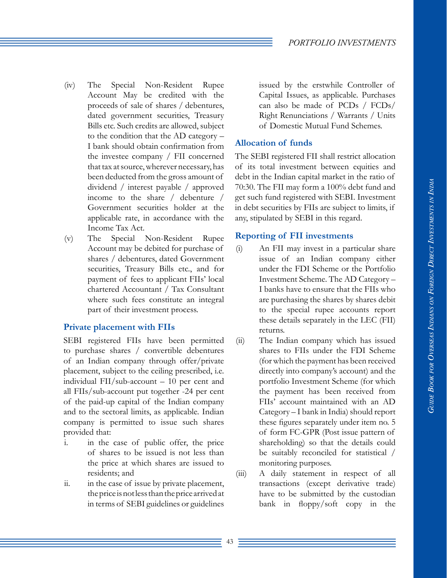#### *PORTFOLIO INVESTMENTS*

- (iv) The Special Non-Resident Rupee Account May be credited with the proceeds of sale of shares / debentures, dated government securities, Treasury Bills etc. Such credits are allowed, subject to the condition that the AD category – I bank should obtain confirmation from the investee company / FII concerned that tax at source, wherever necessary, has been deducted from the gross amount of dividend / interest payable / approved income to the share / debenture / Government securities holder at the applicable rate, in accordance with the Income Tax Act.
- (v) The Special Non-Resident Rupee Account may be debited for purchase of shares / debentures, dated Government securities, Treasury Bills etc., and for payment of fees to applicant FIIs' local chartered Accountant / Tax Consultant where such fees constitute an integral part of their investment process.

#### **Private placement with FIIs**

SEBI registered FIIs have been permitted to purchase shares / convertible debentures of an Indian company through offer/private placement, subject to the ceiling prescribed, i.e. individual FII/sub-account – 10 per cent and all FIIs/sub-account put together -24 per cent of the paid-up capital of the Indian company and to the sectoral limits, as applicable. Indian company is permitted to issue such shares provided that:

- i. in the case of public offer, the price of shares to be issued is not less than the price at which shares are issued to residents; and
- ii. in the case of issue by private placement, the price is not less than the price arrived at in terms of SEBI guidelines or guidelines

issued by the erstwhile Controller of Capital Issues, as applicable. Purchases can also be made of PCDs / FCDs/ Right Renunciations / Warrants / Units of Domestic Mutual Fund Schemes.

#### **Allocation of funds**

The SEBI registered FII shall restrict allocation of its total investment between equities and debt in the Indian capital market in the ratio of 70:30. The FII may form a 100% debt fund and get such fund registered with SEBI. Investment in debt securities by FIIs are subject to limits, if any, stipulated by SEBI in this regard.

#### **Reporting of FII investments**

- (i) An FII may invest in a particular share issue of an Indian company either under the FDI Scheme or the Portfolio Investment Scheme. The AD Category – I banks have to ensure that the FIIs who are purchasing the shares by shares debit to the special rupee accounts report these details separately in the LEC (FII) returns.
- (ii) The Indian company which has issued shares to FIIs under the FDI Scheme (for which the payment has been received directly into company's account) and the portfolio Investment Scheme (for which the payment has been received from FIIs' account maintained with an AD Category – I bank in India) should report these figures separately under item no. 5 of form FC-GPR (Post issue pattern of shareholding) so that the details could be suitably reconciled for statistical / monitoring purposes.
- (iii) A daily statement in respect of all transactions (except derivative trade) have to be submitted by the custodian bank in floppy/soft copy in the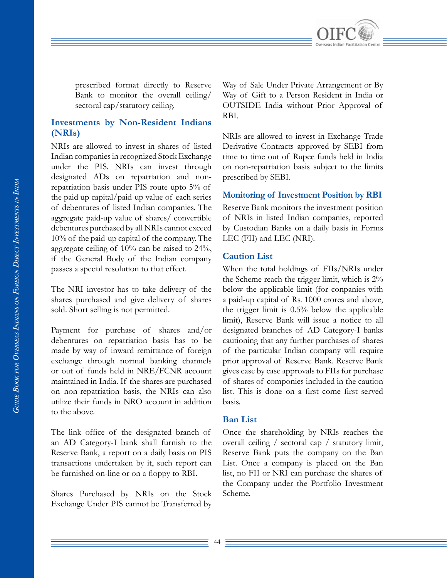

prescribed format directly to Reserve Bank to monitor the overall ceiling/ sectoral cap/statutory ceiling.

# **Investments by Non-Resident Indians (NRIs)**

NRIs are allowed to invest in shares of listed Indian companies in recognized Stock Exchange under the PIS. NRIs can invest through designated ADs on repatriation and nonrepatriation basis under PIS route upto 5% of the paid up capital/paid-up value of each series of debentures of listed Indian companies. The aggregate paid-up value of shares/ convertible debentures purchased by all NRIs cannot exceed 10% of the paid-up capital of the company. The aggregate ceiling of 10% can be raised to 24%, if the General Body of the Indian company passes a special resolution to that effect.

The NRI investor has to take delivery of the shares purchased and give delivery of shares sold. Short selling is not permitted.

Payment for purchase of shares and/or debentures on repatriation basis has to be made by way of inward remittance of foreign exchange through normal banking channels or out of funds held in NRE/FCNR account maintained in India. If the shares are purchased on non-repatriation basis, the NRIs can also utilize their funds in NRO account in addition to the above.

The link office of the designated branch of an AD Category-I bank shall furnish to the Reserve Bank, a report on a daily basis on PIS transactions undertaken by it, such report can be furnished on-line or on a floppy to RBI.

Shares Purchased by NRIs on the Stock Exchange Under PIS cannot be Transferred by Way of Sale Under Private Arrangement or By Way of Gift to a Person Resident in India or OUTSIDE India without Prior Approval of RBI.

NRIs are allowed to invest in Exchange Trade Derivative Contracts approved by SEBI from time to time out of Rupee funds held in India on non-repatriation basis subject to the limits prescribed by SEBI.

#### **Monitoring of Investment Position by RBI**

Reserve Bank monitors the investment position of NRIs in listed Indian companies, reported by Custodian Banks on a daily basis in Forms LEC (FII) and LEC (NRI).

#### **Caution List**

When the total holdings of FIIs/NRIs under the Scheme reach the trigger limit, which is 2% below the applicable limit (for conpanies with a paid-up capital of Rs. 1000 crores and above, the trigger limit is 0.5% below the applicable limit), Reserve Bank will issue a notice to all designated branches of AD Category-I banks cautioning that any further purchases of shares of the particular Indian company will require prior approval of Reserve Bank. Reserve Bank gives case by case approvals to FIIs for purchase of shares of componies included in the caution list. This is done on a first come first served basis.

#### **Ban List**

Once the shareholding by NRIs reaches the overall ceiling / sectoral cap / statutory limit, Reserve Bank puts the company on the Ban List. Once a company is placed on the Ban list, no FII or NRI can purchase the shares of the Company under the Portfolio Investment Scheme.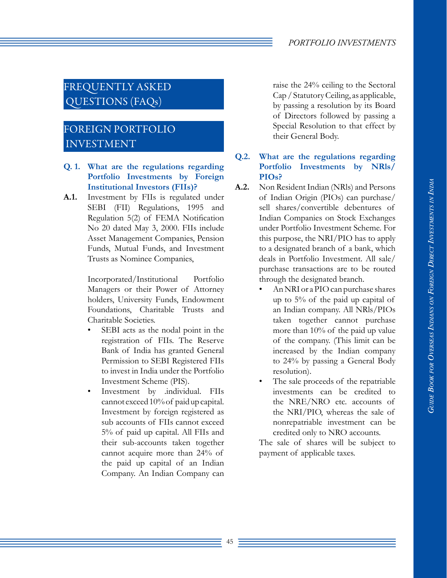# FREQUENTLY ASKED QUESTIONS (FAQs)

# FOREIGN PORTFOLIO INVESTMENT

- **Q. 1. What are the regulations regarding Portfolio Investments by Foreign Institutional Investors (FIIs)?**
- **A.1.** Investment by FIIs is regulated under SEBI (FII) Regulations, 1995 and Regulation 5(2) of FEMA Notification No 20 dated May 3, 2000. FIIs include Asset Management Companies, Pension Funds, Mutual Funds, and Investment Trusts as Nominee Companies,

Incorporated/Institutional Portfolio Managers or their Power of Attorney holders, University Funds, Endowment Foundations, Charitable Trusts and Charitable Societies.

- SEBI acts as the nodal point in the registration of FIIs. The Reserve Bank of India has granted General Permission to SEBI Registered FIIs to invest in India under the Portfolio Investment Scheme (PIS).
- Investment by .individual. FIIs cannot exceed 10% of paid up capital. Investment by foreign registered as sub accounts of FIIs cannot exceed 5% of paid up capital. All FIIs and their sub-accounts taken together cannot acquire more than 24% of the paid up capital of an Indian Company. An Indian Company can

raise the 24% ceiling to the Sectoral Cap / Statutory Ceiling, as applicable, by passing a resolution by its Board of Directors followed by passing a Special Resolution to that effect by their General Body.

# **Q.2. What are the regulations regarding Portfolio Investments by NRls/ PIOs?**

- **A.2.** Non Resident Indian (NRls) and Persons of Indian Origin (PIOs) can purchase/ sell shares/convertible debentures of Indian Companies on Stock Exchanges under Portfolio Investment Scheme. For this purpose, the NRI/PIO has to apply to a designated branch of a bank, which deals in Portfolio Investment. All sale/ purchase transactions are to be routed through the designated branch.
	- An NRI or a PIO can purchase shares up to 5% of the paid up capital of an Indian company. All NRls/PIOs taken together cannot purchase more than 10% of the paid up value of the company. (This limit can be increased by the Indian company to 24% by passing a General Body resolution).
	- The sale proceeds of the repatriable investments can be credited to the NRE/NRO etc. accounts of the NRI/PIO, whereas the sale of nonrepatriable investment can be credited only to NRO accounts.

The sale of shares will be subject to payment of applicable taxes.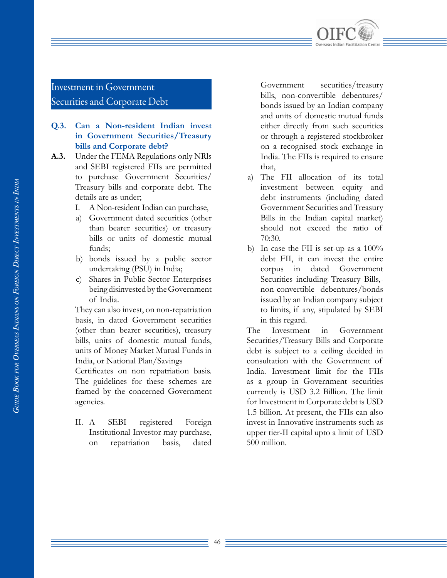

# Investment in Government Securities and Corporate Debt

## **Q.3. Can a Non-resident Indian invest in Government Securities/Treasury bills and Corporate debt?**

- **A.3.** Under the FEMA Regulations only NRls and SEBI registered FIIs are permitted to purchase Government Securities/ Treasury bills and corporate debt. The details are as under;
	- I. A Non-resident Indian can purchase,
	- a) Government dated securities (other than bearer securities) or treasury bills or units of domestic mutual funds;
	- b) bonds issued by a public sector undertaking (PSU) in India;
	- c) Shares in Public Sector Enterprises being disinvested by the Government of India.

They can also invest, on non-repatriation basis, in dated Government securities (other than bearer securities), treasury bills, units of domestic mutual funds, units of Money Market Mutual Funds in India, or National Plan/Savings

Certificates on non repatriation basis. The guidelines for these schemes are framed by the concerned Government agencies.

II. A SEBI registered Foreign Institutional Investor may purchase, on repatriation basis, dated

Government securities/treasury bills, non-convertible debentures/ bonds issued by an Indian company and units of domestic mutual funds either directly from such securities or through a registered stockbroker on a recognised stock exchange in India. The FIIs is required to ensure that,

- a) The FII allocation of its total investment between equity and debt instruments (including dated Government Securities and Treasury Bills in the Indian capital market) should not exceed the ratio of 70:30.
- b) In case the FII is set-up as a 100% debt FII, it can invest the entire corpus in dated Government Securities including Treasury Bills, non-convertible debentures/bonds issued by an Indian company subject to limits, if any, stipulated by SEBI in this regard.

The Investment in Government Securities/Treasury Bills and Corporate debt is subject to a ceiling decided in consultation with the Government of India. Investment limit for the FIIs as a group in Government securities currently is USD 3.2 Billion. The limit for Investment in Corporate debt is USD 1.5 billion. At present, the FIIs can also invest in Innovative instruments such as upper tier-II capital upto a limit of USD 500 million.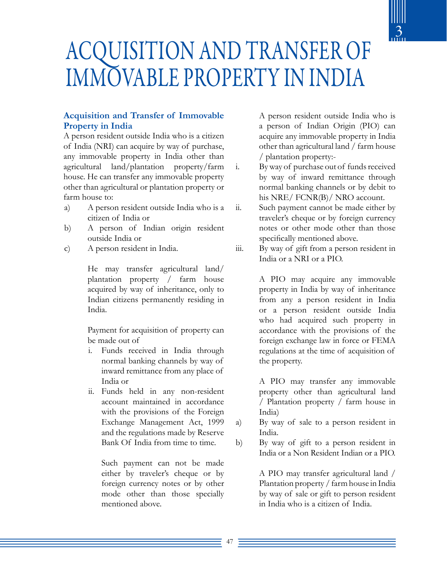

# ACQUISITION AND TRANSFER OF IMMOVABLE PROPERTY IN INDIA

# **Acquisition and Transfer of Immovable Property in India**

A person resident outside India who is a citizen of India (NRI) can acquire by way of purchase, any immovable property in India other than agricultural land/plantation property/farm house. He can transfer any immovable property other than agricultural or plantation property or farm house to:

- a) A person resident outside India who is a citizen of India or
- b) A person of Indian origin resident outside India or
- c) A person resident in India.

He may transfer agricultural land/ plantation property / farm house acquired by way of inheritance, only to Indian citizens permanently residing in India.

Payment for acquisition of property can be made out of

- i. Funds received in India through normal banking channels by way of inward remittance from any place of India or
- ii. Funds held in any non-resident account maintained in accordance with the provisions of the Foreign Exchange Management Act, 1999 and the regulations made by Reserve Bank Of India from time to time.

Such payment can not be made either by traveler's cheque or by foreign currency notes or by other mode other than those specially mentioned above.

A person resident outside India who is a person of Indian Origin (PIO) can acquire any immovable property in India other than agricultural land / farm house / plantation property:-

i. By way of purchase out of funds received by way of inward remittance through normal banking channels or by debit to his NRE/ FCNR(B)/ NRO account.

ii. Such payment cannot be made either by traveler's cheque or by foreign currency notes or other mode other than those specifically mentioned above.

iii. By way of gift from a person resident in India or a NRI or a PIO.

> A PIO may acquire any immovable property in India by way of inheritance from any a person resident in India or a person resident outside India who had acquired such property in accordance with the provisions of the foreign exchange law in force or FEMA regulations at the time of acquisition of the property.

> A PIO may transfer any immovable property other than agricultural land / Plantation property / farm house in India)

- a) By way of sale to a person resident in India.
- b) By way of gift to a person resident in India or a Non Resident Indian or a PIO.

A PIO may transfer agricultural land / Plantation property / farm house in India by way of sale or gift to person resident in India who is a citizen of India.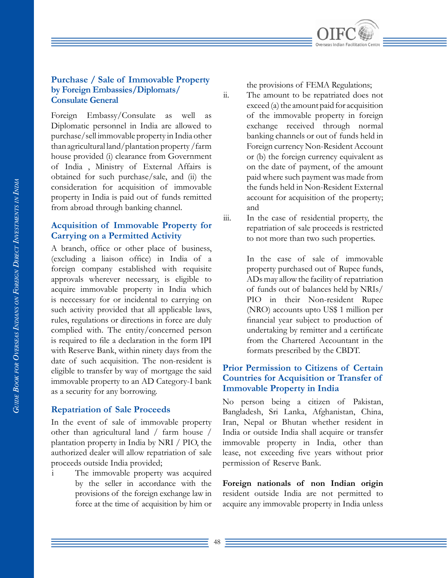

#### **Purchase / Sale of Immovable Property by Foreign Embassies/Diplomats/ Consulate General**

Foreign Embassy/Consulate as well as Diplomatic personnel in India are allowed to purchase/sell immovable property in India other than agricultural land/plantation property /farm house provided (i) clearance from Government of India , Ministry of External Affairs is obtained for such purchase/sale, and (ii) the consideration for acquisition of immovable property in India is paid out of funds remitted from abroad through banking channel.

# **Acquisition of Immovable Property for Carrying on a Permitted Activity**

A branch, office or other place of business, (excluding a liaison office) in India of a foreign company established with requisite approvals wherever necessary, is eligible to acquire immovable property in India which is neccessary for or incidental to carrying on such activity provided that all applicable laws, rules, regulations or directions in force are duly complied with. The entity/concerned person is required to file a declaration in the form IPI with Reserve Bank, within ninety days from the date of such acquisition. The non-resident is eligible to transfer by way of mortgage the said immovable property to an AD Category-I bank as a security for any borrowing.

#### **Repatriation of Sale Proceeds**

In the event of sale of immovable property other than agricultural land / farm house / plantation property in India by NRI / PIO, the authorized dealer will allow repatriation of sale proceeds outside India provided;

The immovable property was acquired by the seller in accordance with the provisions of the foreign exchange law in force at the time of acquisition by him or the provisions of FEMA Regulations;

ii. The amount to be repatriated does not exceed (a) the amount paid for acquisition of the immovable property in foreign exchange received through normal banking channels or out of funds held in Foreign currency Non-Resident Account or (b) the foreign currency equivalent as on the date of payment, of the amount paid where such payment was made from the funds held in Non-Resident External account for acquisition of the property; and

iii. In the case of residential property, the repatriation of sale proceeds is restricted to not more than two such properties.

> In the case of sale of immovable property purchased out of Rupee funds, ADs may allow the facility of repatriation of funds out of balances held by NRIs/ PIO in their Non-resident Rupee (NRO) accounts upto US\$ 1 million per financial year subject to production of undertaking by remitter and a certificate from the Chartered Accountant in the formats prescribed by the CBDT.

# **Prior Permission to Citizens of Certain Countries for Acquisition or Transfer of Immovable Property in India**

No person being a citizen of Pakistan, Bangladesh, Sri Lanka, Afghanistan, China, Iran, Nepal or Bhutan whether resident in India or outside India shall acquire or transfer immovable property in India, other than lease, not exceeding five years without prior permission of Reserve Bank.

**Foreign nationals of non Indian origin**  resident outside India are not permitted to acquire any immovable property in India unless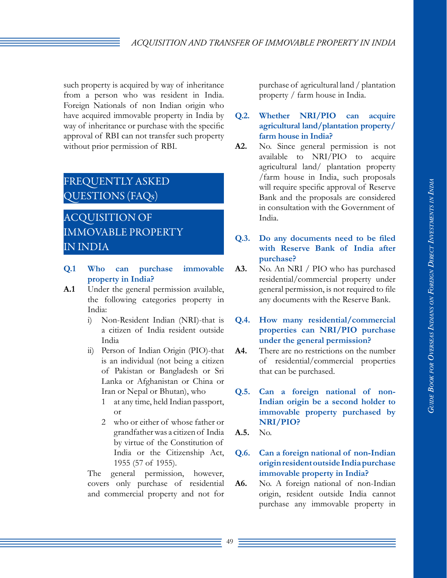such property is acquired by way of inheritance from a person who was resident in India. Foreign Nationals of non Indian origin who have acquired immovable property in India by way of inheritance or purchase with the specific approval of RBI can not transfer such property without prior permission of RBI.

# FREQUENTLY ASKED QUESTIONS (FAQs)

# ACQUISITION OF IMMOVABLE PROPERTY IN INDIA

**Q.1 Who can purchase immovable property in India?** 

- **A.1** Under the general permission available, the following categories property in India:
	- i) Non-Resident Indian (NRI)-that is a citizen of India resident outside India
	- ii) Person of Indian Origin (PIO)-that is an individual (not being a citizen of Pakistan or Bangladesh or Sri Lanka or Afghanistan or China or Iran or Nepal or Bhutan), who
		- 1 at any time, held Indian passport, or
		- 2 who or either of whose father or grandfather was a citizen of India by virtue of the Constitution of India or the Citizenship Act, 1955 (57 of 1955).

The general permission, however, covers only purchase of residential and commercial property and not for

purchase of agricultural land / plantation property / farm house in India.

## **Q.2. Whether NRI/PIO can acquire agricultural land/plantation property/ farm house in India?**

- **A2.** No. Since general permission is not available to NRI/PIO to acquire agricultural land/ plantation property /farm house in India, such proposals will require specific approval of Reserve Bank and the proposals are considered in consultation with the Government of India.
- **Q.3. Do any documents need to be filed with Reserve Bank of India after purchase?**
- **A3.** No. An NRI / PIO who has purchased residential/commercial property under general permission, is not required to file any documents with the Reserve Bank.
- **Q.4. How many residential/commercial properties can NRI/PIO purchase under the general permission?**
- **A4.** There are no restrictions on the number of residential/commercial properties that can be purchased.
- **Q.5. Can a foreign national of non-Indian origin be a second holder to immovable property purchased by NRI/PIO?**
- **A.5.** No.

## **Q.6. Can a foreign national of non-Indian origin resident outside India purchase immovable property in India?**

**A6.** No. A foreign national of non-Indian origin, resident outside India cannot purchase any immovable property in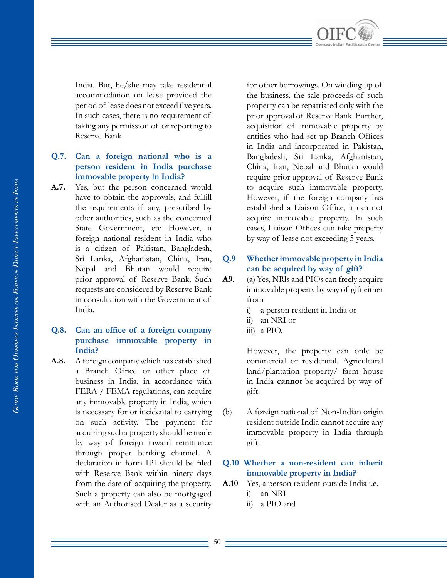

India. But, he/she may take residential accommodation on lease provided the period of lease does not exceed five years. In such cases, there is no requirement of taking any permission of or reporting to Reserve Bank

# **Q.7. Can a foreign national who is a person resident in India purchase immovable property in India?**

**A.7.** Yes, but the person concerned would have to obtain the approvals, and fulfill the requirements if any, prescribed by other authorities, such as the concerned State Government, etc However, a foreign national resident in India who is a citizen of Pakistan, Bangladesh, Sri Lanka, Afghanistan, China, Iran, Nepal and Bhutan would require prior approval of Reserve Bank. Such requests are considered by Reserve Bank in consultation with the Government of India.

#### **Q.8. Can an office of a foreign company purchase immovable property in India?**

**A.8.** A foreign company which has established a Branch Office or other place of business in India, in accordance with FERA / FEMA regulations, can acquire any immovable property in India, which is necessary for or incidental to carrying on such activity. The payment for acquiring such a property should be made by way of foreign inward remittance through proper banking channel. A declaration in form IPI should be filed with Reserve Bank within ninety days from the date of acquiring the property. Such a property can also be mortgaged with an Authorised Dealer as a security

for other borrowings. On winding up of the business, the sale proceeds of such property can be repatriated only with the prior approval of Reserve Bank. Further, acquisition of immovable property by entities who had set up Branch Offices in India and incorporated in Pakistan, Bangladesh, Sri Lanka, Afghanistan, China, Iran, Nepal and Bhutan would require prior approval of Reserve Bank to acquire such immovable property. However, if the foreign company has established a Liaison Office, it can not acquire immovable property. In such cases, Liaison Offices can take property by way of lease not exceeding 5 years.

- **Q.9 Whether immovable property in India can be acquired by way of gift?**
- **A9.** (a) Yes, NRls and PIOs can freely acquire immovable property by way of gift either from
	- i) a person resident in India or
	- ii) an NRI or
	- iii) a PIO.

However, the property can only be commercial or residential. Agricultural land/plantation property/ farm house in India **cannot** be acquired by way of gift.

(b) A foreign national of Non-Indian origin resident outside India cannot acquire any immovable property in India through gift.

#### **Q.10 Whether a non-resident can inherit immovable property in India?**

- **A.10** Yes, a person resident outside India i.e.
	- i) an NRI
	- ii) a PIO and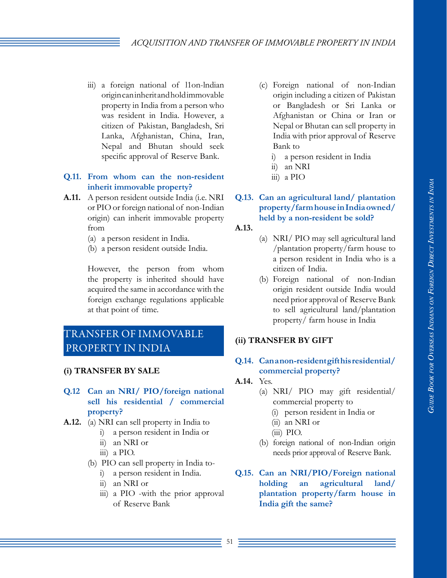iii) a foreign national of l1on-lndian origin can inherit and hold immovable property in India from a person who was resident in India. However, a citizen of Pakistan, Bangladesh, Sri Lanka, Afghanistan, China, Iran, Nepal and Bhutan should seek specific approval of Reserve Bank.

# **Q.11. From whom can the non-resident inherit immovable property?**

- **A.11.** A person resident outside India (i.e. NRI or PIO or foreign national of non-Indian origin) can inherit immovable property from
	- (a) a person resident in India.
	- (b) a person resident outside India.

However, the person from whom the property is inherited should have acquired the same in accordance with the foreign exchange regulations applicable at that point of time.

# Transfer Of Immovable Property in India

# **(i) TRANSFER BY SALE**

- **Q.12 Can an NRI/ PIO/foreign national sell his residential / commercial property?**
- **A.12.** (a) NRI can sell property in India to
	- i) a person resident in India or
	- ii) an NRI or
	- iii) a PIO.
	- (b) PIO can sell property in India to
		- i) a person resident in India.
		- ii) an NRI or
		- iii) a PIO -with the prior approval of Reserve Bank
- (c) Foreign national of non-Indian origin including a citizen of Pakistan or Bangladesh or Sri Lanka or Afghanistan or China or Iran or Nepal or Bhutan can sell property in India with prior approval of Reserve Bank to
	- i) a person resident in India
	- ii) an NRI
	- iii) a PIO
- **Q.13. Can an agricultural land/ plantation property/farm house in India owned/ held by a non-resident be sold?**

**A.13.**

- (a) NRI/ PIO may sell agricultural land /plantation property/farm house to a person resident in India who is a citizen of India.
- (b) Foreign national of non-Indian origin resident outside India would need prior approval of Reserve Bank to sell agricultural land/plantation property/ farm house in India

# **(ii) TRANSFER BY GIFT**

# **Q.14. Can a non-resident gift his residential/ commercial property?**

- **A.14.** Yes.
	- (a) NRI/ PIO may gift residential/ commercial property to
		- (i) person resident in India or
		- (ii) an NRI or
		- (iii) PIO.
	- (b) foreign national of non-Indian origin needs prior approval of Reserve Bank.
- **Q.15. Can an NRI/PIO/Foreign national holding an agricultural land/ plantation property/farm house in India gift the same?**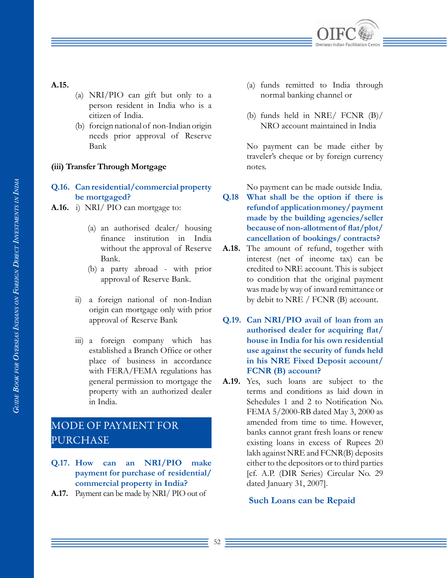

# **A.15.**

- (a) NRI/PIO can gift but only to a person resident in India who is a citizen of India.
- (b) foreign national of non-Indian origin needs prior approval of Reserve Bank

## **(iii) Transfer Through Mortgage**

## **Q.16. Can residential/commercial property be mortgaged?**

- **A.16.** i) NRI/ PIO can mortgage to:
	- (a) an authorised dealer/ housing finance institution in India without the approval of Reserve Bank.
	- (b) a party abroad with prior approval of Reserve Bank.
	- ii) a foreign national of non-Indian origin can mortgage only with prior approval of Reserve Bank
	- iii) a foreign company which has established a Branch Office or other place of business in accordance with FERA/FEMA regulations has general permission to mortgage the property with an authorized dealer in India.

# Mode of payment for **PURCHASE**

- **Q.17. How can an NRI/PIO make payment for purchase of residential/ commercial property in India?**
- **A.17.** Payment can be made by NRI/ PIO out of
- (a) funds remitted to India through normal banking channel or
- (b) funds held in NRE/ FCNR (B)/ NRO account maintained in India

No payment can be made either by traveler's cheque or by foreign currency notes.

No payment can be made outside India.

- **Q.18 What shall be the option if there is refund of application money/ payment made by the building agencies/seller because of non-allotment of flat/plot/ cancellation of bookings/ contracts?**
- **A.18.** The amount of refund, together with interest (net of income tax) can be credited to NRE account. This is subject to condition that the original payment was made by way of inward remittance or by debit to NRE / FCNR (B) account.
- **Q.19. Can NRI/PIO avail of loan from an authorised dealer for acquiring flat/ house in India for his own residential use against the security of funds held in his NRE Fixed Deposit account/ FCNR (B) account?**
- **A.19.** Yes, such loans are subject to the terms and conditions as laid down in Schedules 1 and 2 to Notification No. FEMA 5/2000-RB dated May 3, 2000 as amended from time to time. However, banks cannot grant fresh loans or renew existing loans in excess of Rupees 20 lakh against NRE and FCNR(B) deposits either to the depositors or to third parties [cf. A.P. (DIR Series) Circular No. 29 dated January 31, 2007].

# **Such Loans can be Repaid**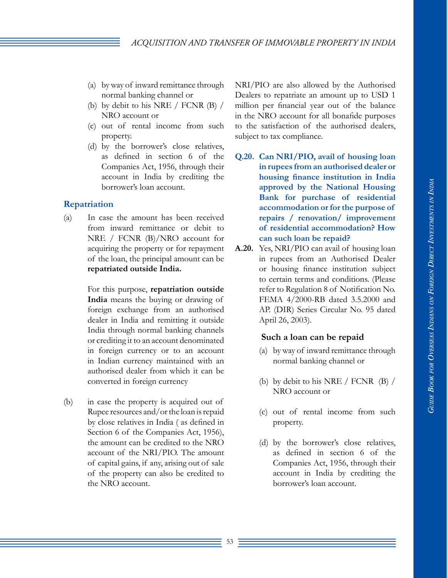#### *ACQUISITION AND TRANSFER OF IMMOVABLE PROPERTY IN INDIA*

- (a) by way of inward remittance through normal banking channel or
- (b) by debit to his NRE / FCNR (B) / NRO account or
- (c) out of rental income from such property.
- (d) by the borrower's close relatives, as defined in section 6 of the Companies Act, 1956, through their account in India by crediting the borrower's loan account.

# **Repatriation**

(a) In case the amount has been received from inward remittance or debit to NRE / FCNR (B)/NRO account for acquiring the property or for repayment of the loan, the principal amount can be **repatriated outside India.** 

> For this purpose, **repatriation outside India** means the buying or drawing of foreign exchange from an authorised dealer in India and remitting it outside India through normal banking channels or crediting it to an account denominated in foreign currency or to an account in Indian currency maintained with an authorised dealer from which it can be converted in foreign currency

(b) in case the property is acquired out of Rupee resources and/or the loan is repaid by close relatives in India ( as defined in Section 6 of the Companies Act, 1956), the amount can be credited to the NRO account of the NRI/PIO. The amount of capital gains, if any, arising out of sale of the property can also be credited to the NRO account.

NRI/PIO are also allowed by the Authorised Dealers to repatriate an amount up to USD 1 million per financial year out of the balance in the NRO account for all bonafide purposes to the satisfaction of the authorised dealers, subject to tax compliance.

- **Q.20. Can NRI/PIO, avail of housing loan in rupees from an authorised dealer or housing finance institution in India approved by the National Housing Bank for purchase of residential accommodation or for the purpose of repairs / renovation/ improvement of residential accommodation? How can such loan be repaid?**
- **A.20.** Yes, NRI/PIO can avail of housing loan in rupees from an Authorised Dealer or housing finance institution subject to certain terms and conditions. (Please refer to Regulation 8 of Notification No. FEMA 4/2000-RB dated 3.5.2000 and AP. (DIR) Series Circular No. 95 dated April 26, 2003).

#### **Such a loan can be repaid**

- (a) by way of inward remittance through normal banking channel or
- (b) by debit to his NRE / FCNR (B) / NRO account or
- (c) out of rental income from such property.
- (d) by the borrower's close relatives, as defined in section 6 of the Companies Act, 1956, through their account in India by crediting the borrower's loan account.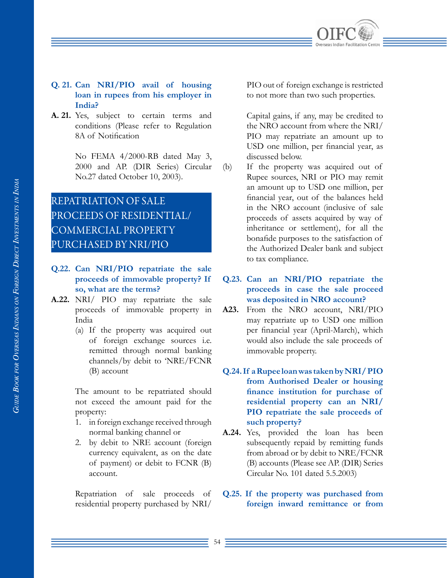

#### **Q. 21. Can NRI/PIO avail of housing loan in rupees from his employer in India?**

**A. 21.** Yes, subject to certain terms and conditions (Please refer to Regulation 8A of Notification

> No FEMA 4/2000-RB dated May 3, 2000 and AP. (DIR Series) Circular No.27 dated October 10, 2003).

# Repatriation of Sale Proceeds of Residential/ Commercial Property Purchased by Nri/Pio

- **Q.22. Can NRI/PIO repatriate the sale proceeds of immovable property? If so, what are the terms?**
- **A.22.** NRI/ PIO may repatriate the sale proceeds of immovable property in India
	- (a) If the property was acquired out of foreign exchange sources i.e. remitted through normal banking channels/by debit to 'NRE/FCNR (B) account

The amount to be repatriated should not exceed the amount paid for the property:

- 1. in foreign exchange received through normal banking channel or
- 2. by debit to NRE account (foreign currency equivalent, as on the date of payment) or debit to FCNR (B) account.

Repatriation of sale proceeds of residential property purchased by NRI/ PIO out of foreign exchange is restricted to not more than two such properties.

Capital gains, if any, may be credited to the NRO account from where the NRI/ PIO may repatriate an amount up to USD one million, per financial year, as discussed below.

- (b) If the property was acquired out of Rupee sources, NRI or PIO may remit an amount up to USD one million, per financial year, out of the balances held in the NRO account (inclusive of sale proceeds of assets acquired by way of inheritance or settlement), for all the bonafide purposes to the satisfaction of the Authorized Dealer bank and subject to tax compliance.
- **Q.23. Can an NRI/PIO repatriate the proceeds in case the sale proceed was deposited in NRO account?**
- **A23.** From the NRO account, NRI/PIO may repatriate up to USD one million per financial year (April-March), which would also include the sale proceeds of immovable property.
- **Q.24. If a Rupee loan was taken by NRI/ PIO from Authorised Dealer or housing finance institution for purchase of residential property can an NRI/ PIO repatriate the sale proceeds of such property?**
- **A.24.** Yes, provided the loan has been subsequently repaid by remitting funds from abroad or by debit to NRE/FCNR (B) accounts (Please see AP. (DIR) Series Circular No. 101 dated 5.5.2003)
- **Q.25. If the property was purchased from foreign inward remittance or from**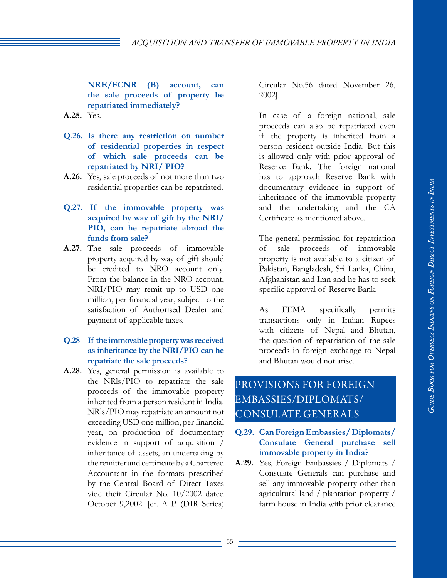## *ACQUISITION AND TRANSFER OF IMMOVABLE PROPERTY IN INDIA*

**NRE/FCNR (B) account, can the sale proceeds of property be repatriated immediately?** 

- **A.25.** Yes.
- **Q.26. Is there any restriction on number of residential properties in respect of which sale proceeds can be repatriated by NRI/ PIO?**
- **A.26.** Yes, sale proceeds of not more than two residential properties can be repatriated.
- **Q.27. If the immovable property was acquired by way of gift by the NRI/ PIO, can he repatriate abroad the funds from sale?**
- **A.27.** The sale proceeds of immovable property acquired by way of gift should be credited to NRO account only. From the balance in the NRO account, NRI/PIO may remit up to USD one million, per financial year, subject to the satisfaction of Authorised Dealer and payment of applicable taxes.

#### **Q.28 If the immovable property was received as inheritance by the NRI/PIO can he repatriate the sale proceeds?**

**A.28.** Yes, general permission is available to the NRls/PIO to repatriate the sale proceeds of the immovable property inherited from a person resident in India. NRls/PIO may repatriate an amount not exceeding USD one million, per financial year, on production of documentary evidence in support of acquisition / inheritance of assets, an undertaking by the remitter and certificate by a Chartered Accountant in the formats prescribed by the Central Board of Direct Taxes vide their Circular No. 10/2002 dated October 9,2002. [cf. A P. (DIR Series)

Circular No.56 dated November 26, 2002].

In case of a foreign national, sale proceeds can also be repatriated even if the property is inherited from a person resident outside India. But this is allowed only with prior approval of Reserve Bank. The foreign national has to approach Reserve Bank with documentary evidence in support of inheritance of the immovable property and the undertaking and the CA Certificate as mentioned above.

The general permission for repatriation of sale proceeds of immovable property is not available to a citizen of Pakistan, Bangladesh, Sri Lanka, China, Afghanistan and Iran and he has to seek specific approval of Reserve Bank.

As FEMA specifically permits transactions only in Indian Rupees with citizens of Nepal and Bhutan, the question of repatriation of the sale proceeds in foreign exchange to Nepal and Bhutan would not arise.

# Provisions For Foreign Embassies/Diplomats/ CONSULATE GENERALS

## **Q.29. Can Foreign Embassies/ Diplomats/ Consulate General purchase sell immovable property in India?**

**A.29.** Yes, Foreign Embassies / Diplomats / Consulate Generals can purchase and sell any immovable property other than agricultural land / plantation property / farm house in India with prior clearance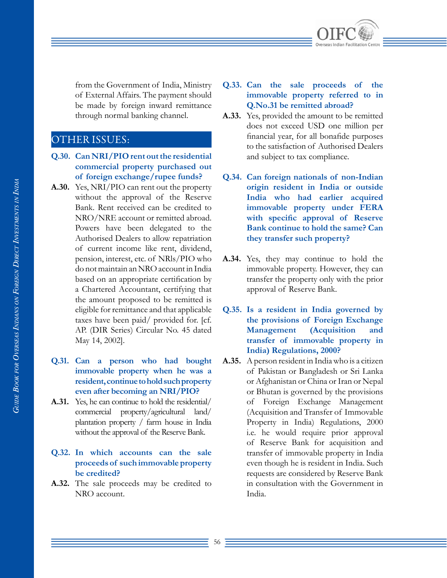

from the Government of India, Ministry of External Affairs. The payment should be made by foreign inward remittance through normal banking channel.

# OTHER ISSUES:

- **Q.30. Can NRI/PIO rent out the residential commercial property purchased out of foreign exchange/rupee funds?**
- **A.30.** Yes, NRI/PIO can rent out the property without the approval of the Reserve Bank. Rent received can be credited to NRO/NRE account or remitted abroad. Powers have been delegated to the Authorised Dealers to allow repatriation of current income like rent, dividend, pension, interest, etc. of NRls/PIO who do not maintain an NRO account in India based on an appropriate certification by a Chartered Accountant, certifying that the amount proposed to be remitted is eligible for remittance and that applicable taxes have been paid/ provided for. [cf. AP. (DIR Series) Circular No. 45 dated May 14, 2002].
- **Q.31. Can a person who had bought immovable property when he was a resident, continue to hold such property even after becoming an NRI/PIO?**
- **A.31.** Yes, he can continue to hold the residential/ commercial property/agricultural land/ plantation property / farm house in India without the approval of the Reserve Bank.

## **Q.32. In which accounts can the sale proceeds of such immovable property be credited?**

**A.32.** The sale proceeds may be credited to NRO account.

- **Q.33. Can the sale proceeds of the immovable property referred to in Q.No.31 be remitted abroad?**
- **A.33.** Yes, provided the amount to be remitted does not exceed USD one million per financial year, for all bonafide purposes to the satisfaction of Authorised Dealers and subject to tax compliance.
- **Q.34. Can foreign nationals of non-Indian origin resident in India or outside India who had earlier acquired immovable property under FERA with specific approval of Reserve Bank continue to hold the same? Can they transfer such property?**
- **A.34.** Yes, they may continue to hold the immovable property. However, they can transfer the property only with the prior approval of Reserve Bank.
- **Q.35. Is a resident in India governed by the provisions of Foreign Exchange Management (Acquisition and transfer of immovable property in India) Regulations, 2000?**
- **A.35.** A person resident in India who is a citizen of Pakistan or Bangladesh or Sri Lanka or Afghanistan or China or Iran or Nepal or Bhutan is governed by the provisions of Foreign Exchange Management (Acquisition and Transfer of Immovable Property in India) Regulations, 2000 i.e. he would require prior approval of Reserve Bank for acquisition and transfer of immovable property in India even though he is resident in India. Such requests are considered by Reserve Bank in consultation with the Government in India.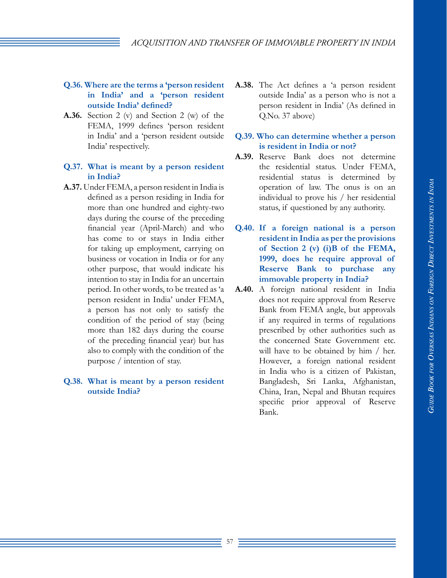## **Q.36. Where are the terms a 'person resident in India' and a 'person resident outside India' defined?**

**A.36.** Section 2 (v) and Section 2 (w) of the FEMA, 1999 defines 'person resident in India' and a 'person resident outside India' respectively.

# **Q.37. What is meant by a person resident in India?**

**A.37.** Under FEMA, a person resident in India is defined as a person residing in India for more than one hundred and eighty-two days during the course of the preceding financial year (April-March) and who has come to or stays in India either for taking up employment, carrying on business or vocation in India or for any other purpose, that would indicate his intention to stay in India for an uncertain period. In other words, to be treated as 'a person resident in India' under FEMA, a person has not only to satisfy the condition of the period of stay (being more than 182 days during the course of the preceding financial year) but has also to comply with the condition of the purpose / intention of stay.

## **Q.38. What is meant by a person resident outside India?**

**A.38.** The Act defines a 'a person resident outside India' as a person who is not a person resident in India' (As defined in Q.No. 37 above)

## **Q.39. Who can determine whether a person is resident in India or not?**

- **A.39.** Reserve Bank does not determine the residential status. Under FEMA, residential status is determined by operation of law. The onus is on an individual to prove his / her residential status, if questioned by any authority.
- **Q.40. If a foreign national is a person resident in India as per the provisions of Section 2 (v) (i)B of the FEMA, 1999, does he require approval of Reserve Bank to purchase any immovable property in India?**
- **A.40.** A foreign national resident in India does not require approval from Reserve Bank from FEMA angle, but approvals if any required in terms of regulations prescribed by other authorities such as the concerned State Government etc. will have to be obtained by him / her. However, a foreign national resident in India who is a citizen of Pakistan, Bangladesh, Sri Lanka, Afghanistan, China, Iran, Nepal and Bhutan requires specific prior approval of Reserve Bank.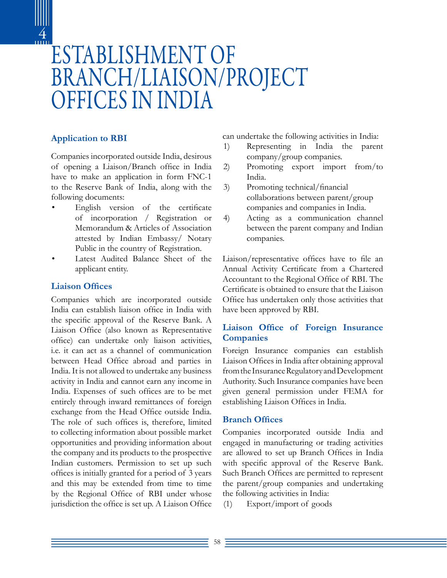# ESTABLISHMENT OF BRANCH/LIAISON/PROJECT OFFICES IN INDIA

# **Application to Rbi**

 $\overline{4}$ 

Companies incorporated outside India, desirous of opening a Liaison/Branch office in India have to make an application in form FNC-1 to the Reserve Bank of India, along with the following documents:

- English version of the certificate of incorporation / Registration or Memorandum & Articles of Association attested by Indian Embassy/ Notary Public in the country of Registration.
- Latest Audited Balance Sheet of the applicant entity.

#### **Liaison Offices**

Companies which are incorporated outside India can establish liaison office in India with the specific approval of the Reserve Bank. A Liaison Office (also known as Representative office) can undertake only liaison activities, i.e. it can act as a channel of communication between Head Office abroad and parties in India. It is not allowed to undertake any business activity in India and cannot earn any income in India. Expenses of such offices are to be met entirely through inward remittances of foreign exchange from the Head Office outside India. The role of such offices is, therefore, limited to collecting information about possible market opportunities and providing information about the company and its products to the prospective Indian customers. Permission to set up such offices is initially granted for a period of 3 years and this may be extended from time to time by the Regional Office of RBI under whose jurisdiction the office is set up. A Liaison Office can undertake the following activities in India:

- 1) Representing in India the parent company/group companies.
- 2) Promoting export import from/to India.
- 3) Promoting technical/financial collaborations between parent/group companies and companies in India.
- 4) Acting as a communication channel between the parent company and Indian companies.

Liaison/representative offices have to file an Annual Activity Certificate from a Chartered Accountant to the Regional Office of RBI. The Certificate is obtained to ensure that the Liaison Office has undertaken only those activities that have been approved by RBI.

# **Liaison Office of Foreign Insurance Companies**

Foreign Insurance companies can establish Liaison Offices in India after obtaining approval from the Insurance Regulatory and Development Authority. Such Insurance companies have been given general permission under FEMA for establishing Liaison Offices in India.

#### **Branch Offices**

Companies incorporated outside India and engaged in manufacturing or trading activities are allowed to set up Branch Offices in India with specific approval of the Reserve Bank. Such Branch Offices are permitted to represent the parent/group companies and undertaking the following activities in India:

(1) Export/import of goods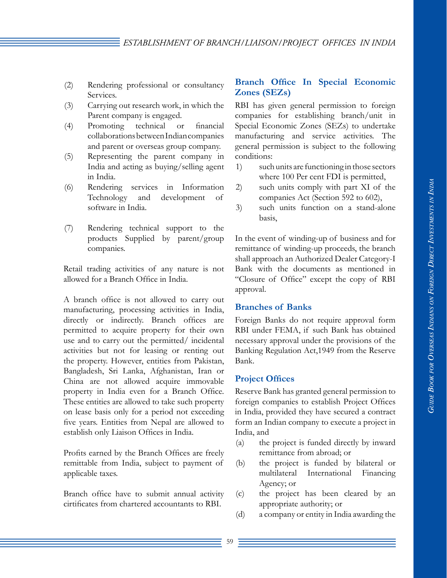### *ESTABLISHMENT OF BRANCH/ LIAISON /PROJECT OFFICES IN INDIA*

- (2) Rendering professional or consultancy Services.
- (3) Carrying out research work, in which the Parent company is engaged.
- (4) Promoting technical or financial collaborations between Indian companies and parent or overseas group company.
- (5) Representing the parent company in India and acting as buying/selling agent in India.
- (6) Rendering services in Information Technology and development of software in India.
- (7) Rendering technical support to the products Supplied by parent/group companies.

Retail trading activities of any nature is not allowed for a Branch Office in India.

A branch office is not allowed to carry out manufacturing, processing activities in India, directly or indirectly. Branch offices are permitted to acquire property for their own use and to carry out the permitted/ incidental activities but not for leasing or renting out the property. However, entities from Pakistan, Bangladesh, Sri Lanka, Afghanistan, Iran or China are not allowed acquire immovable property in India even for a Branch Office. These entities are allowed to take such property on lease basis only for a period not exceeding five years. Entities from Nepal are allowed to establish only Liaison Offices in India.

Profits earned by the Branch Offices are freely remittable from India, subject to payment of applicable taxes.

Branch office have to submit annual activity cirtificates from chartered accountants to RBI.

## **Branch Office In Special Economic Zones (SeZs)**

RBI has given general permission to foreign companies for establishing branch/unit in Special Economic Zones (SEZs) to undertake manufacturing and service activities. The general permission is subject to the following conditions:

- 1) such units are functioning in those sectors where 100 Per cent FDI is permitted,
- 2) such units comply with part XI of the companies Act (Section 592 to 602),
- 3) such units function on a stand-alone basis,

In the event of winding-up of business and for remittance of winding-up proceeds, the branch shall approach an Authorized Dealer Category-I Bank with the documents as mentioned in "Closure of Office" except the copy of RBI approval.

#### **Branches of Banks**

Foreign Banks do not require approval form RBI under FEMA, if such Bank has obtained necessary approval under the provisions of the Banking Regulation Act,1949 from the Reserve Bank.

#### **Project Offices**

Reserve Bank has granted general permission to foreign companies to establish Project Offices in India, provided they have secured a contract form an Indian company to execute a project in India, and

- (a) the project is funded directly by inward remittance from abroad; or
- (b) the project is funded by bilateral or multilateral International Financing Agency; or
- (c) the project has been cleared by an appropriate authority; or
- (d) a company or entity in India awarding the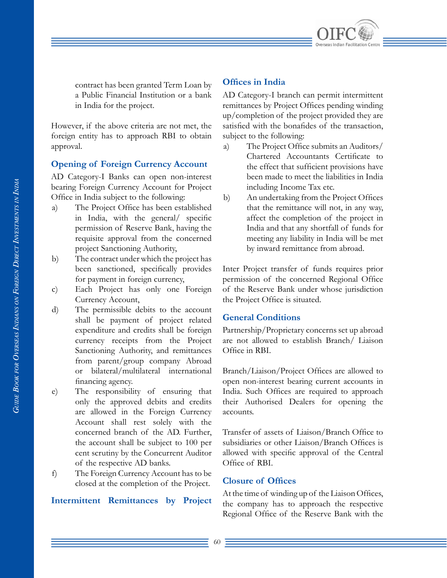

contract has been granted Term Loan by a Public Financial Institution or a bank in India for the project.

However, if the above criteria are not met, the foreign entity has to approach RBI to obtain approval.

#### **Opening of Foreign Currency Account**

AD Category-I Banks can open non-interest bearing Foreign Currency Account for Project Office in India subject to the following:

- a) The Project Office has been established in India, with the general/ specific permission of Reserve Bank, having the requisite approval from the concerned project Sanctioning Authority,
- b) The contract under which the project has been sanctioned, specifically provides for payment in foreign currency,
- c) Each Project has only one Foreign Currency Account,
- d) The permissible debits to the account shall be payment of project related expenditure and credits shall be foreign currency receipts from the Project Sanctioning Authority, and remittances from parent/group company Abroad or bilateral/multilateral international financing agency.
- e) The responsibility of ensuring that only the approved debits and credits are allowed in the Foreign Currency Account shall rest solely with the concerned branch of the AD. Further, the account shall be subject to 100 per cent scrutiny by the Concurrent Auditor of the respective AD banks.
- f) The Foreign Currency Account has to be closed at the completion of the Project.

#### **Intermittent Remittances by Project**

#### **Offices in India**

AD Category-I branch can permit intermittent remittances by Project Offices pending winding up/completion of the project provided they are satisfied with the bonafides of the transaction, subject to the following:

- a) The Project Office submits an Auditors/ Chartered Accountants Certificate to the effect that sufficient provisions have been made to meet the liabilities in India including Income Tax etc.
- b) An undertaking from the Project Offices that the remittance will not, in any way, affect the completion of the project in India and that any shortfall of funds for meeting any liability in India will be met by inward remittance from abroad.

Inter Project transfer of funds requires prior permission of the concerned Regional Office of the Reserve Bank under whose jurisdiction the Project Office is situated.

#### **General Conditions**

Partnership/Proprietary concerns set up abroad are not allowed to establish Branch/ Liaison Office in RBI.

Branch/Liaison/Project Offices are allowed to open non-interest bearing current accounts in India. Such Offices are required to approach their Authorised Dealers for opening the accounts.

Transfer of assets of Liaison/Branch Office to subsidiaries or other Liaison/Branch Offices is allowed with specific approval of the Central Office of RBI.

#### **Closure of Offices**

At the time of winding up of the Liaison Offices, the company has to approach the respective Regional Office of the Reserve Bank with the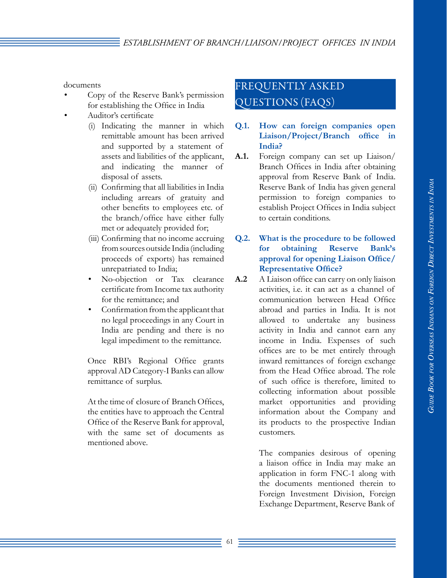# *ESTABLISHMENT OF BRANCH/ LIAISON /PROJECT OFFICES IN INDIA*

documents

- Copy of the Reserve Bank's permission for establishing the Office in India
- Auditor's certificate
	- (i) Indicating the manner in which remittable amount has been arrived and supported by a statement of assets and liabilities of the applicant, and indicating the manner of disposal of assets.
	- (ii) Confirming that all liabilities in India including arrears of gratuity and other benefits to employees etc. of the branch/office have either fully met or adequately provided for;
	- (iii) Confirming that no income accruing from sources outside India (including proceeds of exports) has remained unrepatriated to India;
	- No-objection or Tax clearance certificate from Income tax authority for the remittance; and
	- Confirmation from the applicant that no legal proceedings in any Court in India are pending and there is no legal impediment to the remittance.

Once RBI's Regional Office grants approval AD Category-I Banks can allow remittance of surplus.

At the time of closure of Branch Offices, the entities have to approach the Central Office of the Reserve Bank for approval, with the same set of documents as mentioned above.

# Frequently Asked Questions (Faqs)

## **Q.1. How can foreign companies open Liaison/Project/Branch office in India?**

**A.1.** Foreign company can set up Liaison/ Branch Offices in India after obtaining approval from Reserve Bank of India. Reserve Bank of India has given general permission to foreign companies to establish Project Offices in India subject to certain conditions.

# **Q.2. What is the procedure to be followed for obtaining Reserve Bank's approval for opening Liaison Office/ Representative Office?**

**A.2** A Liaison office can carry on only liaison activities, i.e. it can act as a channel of communication between Head Office abroad and parties in India. It is not allowed to undertake any business activity in India and cannot earn any income in India. Expenses of such offices are to be met entirely through inward remittances of foreign exchange from the Head Office abroad. The role of such office is therefore, limited to collecting information about possible market opportunities and providing information about the Company and its products to the prospective Indian customers.

> The companies desirous of opening a liaison office in India may make an application in form FNC-1 along with the documents mentioned therein to Foreign Investment Division, Foreign Exchange Department, Reserve Bank of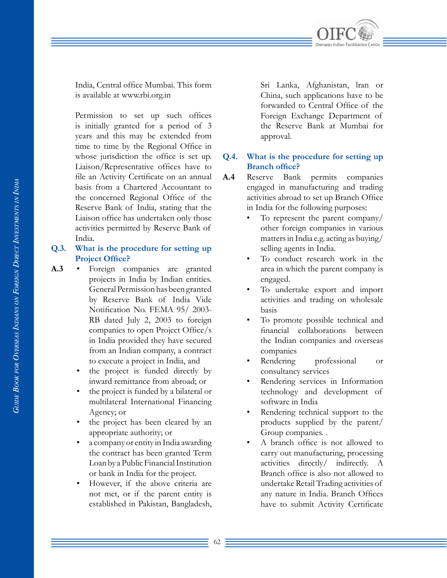

India, Central office Mumbai. This form is available at www.rbi.org.in

Permission to set up such offices is initially granted for a period of 3 years and this may be extended from time to time by the Regional Office in whose jurisdiction the office is set up. Liaison/Representative offices have to file an Activity Certificate on an annual basis from a Chartered Accountant to the concerned Regional Office of the Reserve Bank of India, stating that the Liaison office has undertaken only those activities permitted by Reserve Bank of India.

## **Q.3. What is the procedure for setting up Project Office?**

- **A.3** Foreign companies are granted projects in India by Indian entities. General Permission has been granted by Reserve Bank of India Vide Notification No. FEMA 95/ 2003- RB dated July 2, 2003 to foreign companies to open Project Office/s in India provided they have secured from an Indian company, a contract to execute a project in India, and
	- the project is funded directly by inward remittance from abroad; or
	- the project is funded by a bilateral or multilateral International Financing Agency; or
	- the project has been cleared by an appropriate authority; or
	- a company or entity in India awarding the contract has been granted Term Loan by a Public Financial Institution or bank in India for the project.
	- However, if the above criteria are not met, or if the parent entity is established in Pakistan, Bangladesh,

Sri Lanka, Afghanistan, lran or China, such applications have to be forwarded to Central Office of the Foreign Exchange Department of the Reserve Bank at Mumbai for approval.

# **Q.4. What is the procedure for setting up Branch office?**

- **A.4** Reserve Bank permits companies engaged in manufacturing and trading activities abroad to set up Branch Office in India for the following purposes:
	- To represent the parent company/ other foreign companies in various matters in India e.g. acting as buying/ selling agents in India.
	- To conduct research work in the area in which the parent company is engaged.
	- To undertake export and import activities and trading on wholesale basis
	- To promote possible technical and financial collaborations between the Indian companies and overseas companies
	- Rendering professional or consultancy services
	- Rendering services in Information technology and development of software in India
	- Rendering technical support to the products supplied by the parent/ Group companies. .
	- A branch office is not allowed to carry out manufacturing, processing activities directly/ indirectly. A Branch office is also not allowed to undertake Retail Trading activities of any nature in India. Branch Offices have to submit Activity Certificate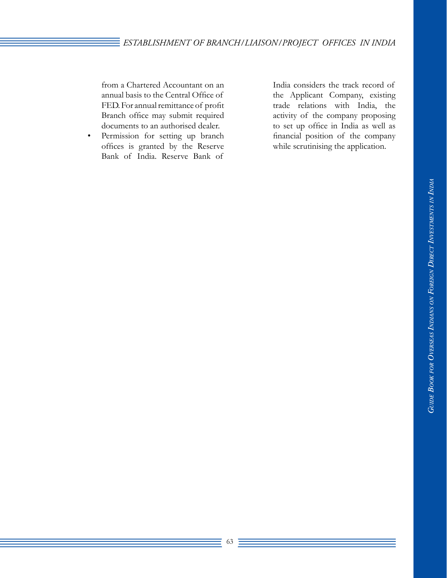from a Chartered Accountant on an annual basis to the Central Office of FED. For annual remittance of profit Branch office may submit required documents to an authorised dealer.

Permission for setting up branch offices is granted by the Reserve Bank of India. Reserve Bank of

India considers the track record of the Applicant Company, existing trade relations with India, the activity of the company proposing to set up office in India as well as financial position of the company while scrutinising the application.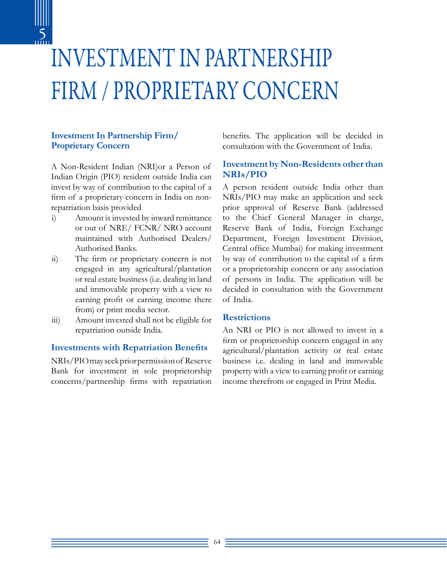

# INVESTMENT IN PARTNERSHIP FIRM / PROPRIETARY CONCERN

# **Investment In Partnership Firm/ Proprietary Concern**

A Non-Resident Indian (NRI)or a Person of Indian Origin (PIO) resident outside India can invest by way of contribution to the capital of a firm of a proprietary concern in India on nonrepatriation basis provided

- i) Amount is invested by inward remittance or out of NRE/ FCNR/ NRO account maintained with Authorised Dealers/ Authorised Banks.
- ii) The firm or proprietary concern is not engaged in any agricultural/plantation or real estate business (i.e. dealing in land and immovable property with a view to earning profit or earning income there from) or print media sector.
- iii) Amount invested shall not be eligible for repatriation outside India.

## **Investments with Repatriation Benefits**

NRIs/PIO may seek prior permission of Reserve Bank for investment in sole proprietorship concerns/partnership firms with repatriation benefits. The application will be decided in consultation with the Government of India.

## **Investment by Non-Residents other than Nris/Pio**

A person resident outside India other than NRIs/PIO may make an application and seek prior approval of Reserve Bank (addressed to the Chief General Manager in charge, Reserve Bank of India, Foreign Exchange Department, Foreign Investment Division, Central office Mumbai) for making investment by way of contribution to the capital of a firm or a proprietorship concern or any association of persons in India. The application will be decided in consultation with the Government of India.

## **Restrictions**

An NRI or PIO is not allowed to invest in a firm or proprietorship concern engaged in any agricultural/plantation activity or real estate business i.e. dealing in land and immovable property with a view to earning profit or earning income therefrom or engaged in Print Media.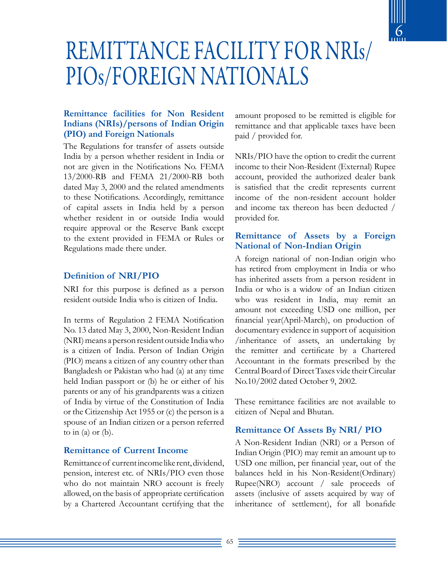

# REMITTANCE FACILITY FOR NRIs/ PIOs/FOREIGN NATIONALS

# **Remittance facilities for Non Resident Indians (NRIs)/persons of Indian Origin (PIO) and Foreign Nationals**

The Regulations for transfer of assets outside India by a person whether resident in India or not are given in the Notifications No. FEMA 13/2000-RB and FEMA 21/2000-RB both dated May 3, 2000 and the related amendments to these Notifications. Accordingly, remittance of capital assets in India held by a person whether resident in or outside India would require approval or the Reserve Bank except to the extent provided in FEMA or Rules or Regulations made there under.

# **Definition of NRI/PIO**

NRI for this purpose is defined as a person resident outside India who is citizen of India.

In terms of Regulation 2 FEMA Notification No. 13 dated May 3, 2000, Non-Resident Indian (NRI) means a person resident outside India who is a citizen of India. Person of Indian Origin (PIO) means a citizen of any country other than Bangladesh or Pakistan who had (a) at any time held Indian passport or (b) he or either of his parents or any of his grandparents was a citizen of India by virtue of the Constitution of India or the Citizenship Act 1955 or (c) the person is a spouse of an Indian citizen or a person referred to in  $(a)$  or  $(b)$ .

# **Remittance of Current Income**

Remittance of current income like rent, dividend, pension, interest etc. of NRIs/PIO even those who do not maintain NRO account is freely allowed, on the basis of appropriate certification by a Chartered Accountant certifying that the

amount proposed to be remitted is eligible for remittance and that applicable taxes have been paid / provided for.

NRIs/PIO have the option to credit the current income to their Non-Resident (External) Rupee account, provided the authorized dealer bank is satisfied that the credit represents current income of the non-resident account holder and income tax thereon has been deducted / provided for.

# **Remittance of Assets by a Foreign National of Non-Indian Origin**

A foreign national of non-Indian origin who has retired from employment in India or who has inherited assets from a person resident in India or who is a widow of an Indian citizen who was resident in India, may remit an amount not exceeding USD one million, per financial year(April-March), on production of documentary evidence in support of acquisition /inheritance of assets, an undertaking by the remitter and certificate by a Chartered Accountant in the formats prescribed by the Central Board of Direct Taxes vide their Circular No.10/2002 dated October 9, 2002.

These remittance facilities are not available to citizen of Nepal and Bhutan.

# **Remittance Of Assets By NrI/ Pio**

A Non-Resident Indian (NRI) or a Person of Indian Origin (PIO) may remit an amount up to USD one million, per financial year, out of the balances held in his Non-Resident(Ordinary) Rupee(NRO) account / sale proceeds of assets (inclusive of assets acquired by way of inheritance of settlement), for all bonafide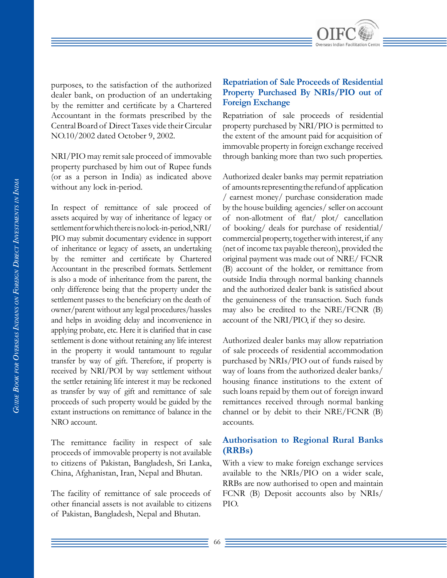

purposes, to the satisfaction of the authorized dealer bank, on production of an undertaking by the remitter and certificate by a Chartered Accountant in the formats prescribed by the Central Board of Direct Taxes vide their Circular NO.10/2002 dated October 9, 2002.

NRI/PIO may remit sale proceed of immovable property purchased by him out of Rupee funds (or as a person in India) as indicated above without any lock in-period.

In respect of remittance of sale proceed of assets acquired by way of inheritance of legacy or settlement for which there is no lock-in-period, NRI/ PIO may submit documentary evidence in support of inheritance or legacy of assets, an undertaking by the remitter and certificate by Chartered Accountant in the prescribed formats. Settlement is also a mode of inheritance from the parent, the only difference being that the property under the settlement passes to the beneficiary on the death of owner/parent without any legal procedures/hassles and helps in avoiding delay and inconvenience in applying probate, etc. Here it is clarified that in case settlement is done without retaining any life interest in the property it would tantamount to regular transfer by way of gift. Therefore, if property is received by NRI/POI by way settlement without the settler retaining life interest it may be reckoned as transfer by way of gift and remittance of sale proceeds of such property would be guided by the extant instructions on remittance of balance in the NRO account.

The remittance facility in respect of sale proceeds of immovable property is not available to citizens of Pakistan, Bangladesh, Sri Lanka, China, Afghanistan, Iran, Nepal and Bhutan.

The facility of remittance of sale proceeds of other financial assets is not available to citizens of Pakistan, Bangladesh, Nepal and Bhutan.

## **Repatriation of Sale Proceeds of Residential**  Property Purchased By NRIs/PIO out of **Foreign Exchange**

Repatriation of sale proceeds of residential property purchased by NRI/PIO is permitted to the extent of the amount paid for acquisition of immovable property in foreign exchange received through banking more than two such properties.

Authorized dealer banks may permit repatriation of amounts representing the refund of application / earnest money/ purchase consideration made by the house building agencies/ seller on account of non-allotment of flat/ plot/ cancellation of booking/ deals for purchase of residential/ commercial property, together with interest, if any (net of income tax payable thereon), provided the original payment was made out of NRE/ FCNR (B) account of the holder, or remittance from outside India through normal banking channels and the authorized dealer bank is satisfied about the genuineness of the transaction. Such funds may also be credited to the NRE/FCNR (B) account of the NRI/PIO, if they so desire.

Authorized dealer banks may allow repatriation of sale proceeds of residential accommodation purchased by NRIs/PIO out of funds raised by way of loans from the authorized dealer banks/ housing finance institutions to the extent of such loans repaid by them out of foreign inward remittances received through normal banking channel or by debit to their NRE/FCNR (B) accounts.

# **Authorisation to Regional Rural Banks (RRBs)**

With a view to make foreign exchange services available to the NRIs/PIO on a wider scale, RRBs are now authorised to open and maintain FCNR (B) Deposit accounts also by NRIs/ PIO.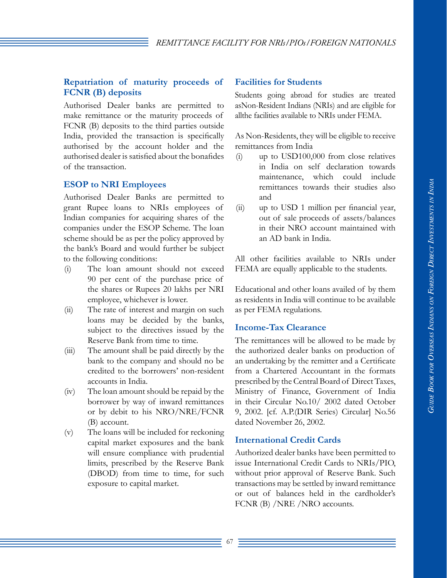# **Repatriation of maturity proceeds of FCNR (B) deposits**

Authorised Dealer banks are permitted to make remittance or the maturity proceeds of FCNR (B) deposits to the third parties outside India, provided the transaction is specifically authorised by the account holder and the authorised dealer is satisfied about the bonafides of the transaction.

# **ESOP to NRI Employees**

Authorised Dealer Banks are permitted to grant Rupee loans to NRIs employees of Indian companies for acquiring shares of the companies under the ESOP Scheme. The loan scheme should be as per the policy approved by the bank's Board and would further be subject to the following conditions:

- (i) The loan amount should not exceed 90 per cent of the purchase price of the shares or Rupees 20 lakhs per NRI employee, whichever is lower.
- (ii) The rate of interest and margin on such loans may be decided by the banks, subject to the directives issued by the Reserve Bank from time to time.
- (iii) The amount shall be paid directly by the bank to the company and should no be credited to the borrowers' non-resident accounts in India.
- (iv) The loan amount should be repaid by the borrower by way of inward remittances or by debit to his NRO/NRE/FCNR (B) account.
- (v) The loans will be included for reckoning capital market exposures and the bank will ensure compliance with prudential limits, prescribed by the Reserve Bank (DBOD) from time to time, for such exposure to capital market.

# **Facilities for Students**

Students going abroad for studies are treated asNon-Resident Indians (NRIs) and are eligible for allthe facilities available to NRIs under FEMA.

As Non-Residents, they will be eligible to receive remittances from India

- (i) up to USD100,000 from close relatives in India on self declaration towards maintenance, which could include remittances towards their studies also and
- (ii) up to USD 1 million per financial year, out of sale proceeds of assets/balances in their NRO account maintained with an AD bank in India.

All other facilities available to NRIs under FEMA are equally applicable to the students.

Educational and other loans availed of by them as residents in India will continue to be available as per FEMA regulations.

# **Income-Tax Clearance**

The remittances will be allowed to be made by the authorized dealer banks on production of an undertaking by the remitter and a Certificate from a Chartered Accountant in the formats prescribed by the Central Board of Direct Taxes, Ministry of Finance, Government of India in their Circular No.10/ 2002 dated October 9, 2002. [cf. A.P.(DIR Series) Circular] No.56 dated November 26, 2002.

# **International Credit Cards**

Authorized dealer banks have been permitted to issue International Credit Cards to NRIs/PIO, without prior approval of Reserve Bank. Such transactions may be settled by inward remittance or out of balances held in the cardholder's FCNR (B) /NRE /NRO accounts.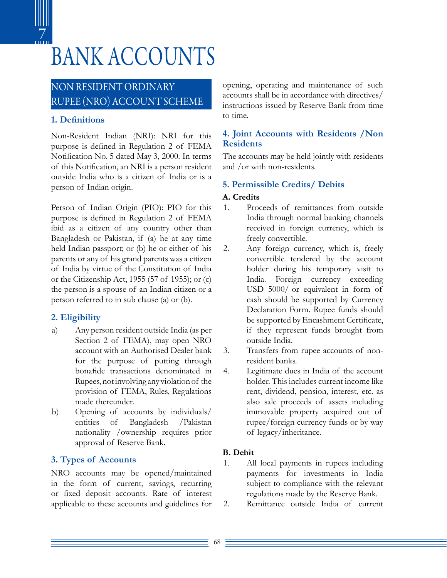

# BANK ACCOUNTS

# Non Resident Ordinary Rupee (NRO) Account Scheme

# **1. Definitions**

Non-Resident Indian (NRI): NRI for this purpose is defined in Regulation 2 of FEMA Notification No. 5 dated May 3, 2000. In terms of this Notification, an NRI is a person resident outside India who is a citizen of India or is a person of Indian origin.

Person of Indian Origin (PIO): PIO for this purpose is defined in Regulation 2 of FEMA ibid as a citizen of any country other than Bangladesh or Pakistan, if (a) he at any time held Indian passport; or (b) he or either of his parents or any of his grand parents was a citizen of India by virtue of the Constitution of India or the Citizenship Act, 1955 (57 of 1955); or (c) the person is a spouse of an Indian citizen or a person referred to in sub clause (a) or (b).

# **2. Eligibility**

- a) Any person resident outside India (as per Section 2 of FEMA), may open NRO account with an Authorised Dealer bank for the purpose of putting through bonafide transactions denominated in Rupees, not involving any violation of the provision of FEMA, Rules, Regulations made thereunder.
- b) Opening of accounts by individuals/ entities of Bangladesh /Pakistan nationality /ownership requires prior approval of Reserve Bank.

# **3. Types of Accounts**

NRO accounts may be opened/maintained in the form of current, savings, recurring or fixed deposit accounts. Rate of interest applicable to these accounts and guidelines for

opening, operating and maintenance of such accounts shall be in accordance with directives/ instructions issued by Reserve Bank from time to time.

# **4. Joint Accounts with Residents /Non Residents**

The accounts may be held jointly with residents and /or with non-residents.

# **5. Permissible Credits/ Debits**

# **A. Credits**

- 1. Proceeds of remittances from outside India through normal banking channels received in foreign currency, which is freely convertible.
- 2. Any foreign currency, which is, freely convertible tendered by the account holder during his temporary visit to India. Foreign currency exceeding USD 5000/-or equivalent in form of cash should be supported by Currency Declaration Form. Rupee funds should be supported by Encashment Certificate, if they represent funds brought from outside India.
- 3. Transfers from rupee accounts of nonresident banks.
- 4. Legitimate dues in India of the account holder. This includes current income like rent, dividend, pension, interest, etc. as also sale proceeds of assets including immovable property acquired out of rupee/foreign currency funds or by way of legacy/inheritance.

# **B. Debit**

- 1. All local payments in rupees including payments for investments in India subject to compliance with the relevant regulations made by the Reserve Bank.
- 2. Remittance outside India of current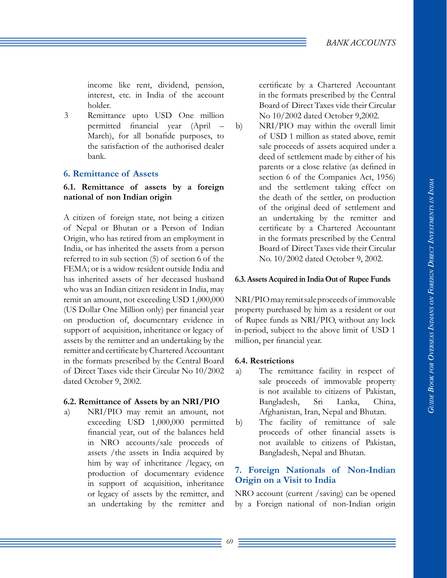#### *BANK ACCOUNTS*

income like rent, dividend, pension, interest, etc. in India of the account holder.

3 Remittance upto USD One million permitted financial year (April – March), for all bonafide purposes, to the satisfaction of the authorised dealer bank.

#### **6. Remittance of Assets**

#### **6.1. Remittance of assets by a foreign national of non Indian origin**

A citizen of foreign state, not being a citizen of Nepal or Bhutan or a Person of Indian Origin, who has retired from an employment in India, or has inherited the assets from a person referred to in sub section (5) of section 6 of the FEMA; or is a widow resident outside India and has inherited assets of her deceased husband who was an Indian citizen resident in India, may remit an amount, not exceeding USD 1,000,000 (US Dollar One Million only) per financial year on production of, documentary evidence in support of acquisition, inheritance or legacy of assets by the remitter and an undertaking by the remitter and certificate by Chartered Accountant in the formats prescribed by the Central Board of Direct Taxes vide their Circular No 10/2002 dated October 9, 2002.

#### **6.2. Remittance of Assets by an NRI/PIO**

a) NRI/PIO may remit an amount, not exceeding USD 1,000,000 permitted financial year, out of the balances held in NRO accounts/sale proceeds of assets /the assets in India acquired by him by way of inheritance /legacy, on production of documentary evidence in support of acquisition, inheritance or legacy of assets by the remitter, and an undertaking by the remitter and

certificate by a Chartered Accountant in the formats prescribed by the Central Board of Direct Taxes vide their Circular No 10/2002 dated October 9,2002.

b) NRI/PIO may within the overall limit of USD 1 million as stated above, remit sale proceeds of assets acquired under a deed of settlement made by either of his parents or a close relative (as defined in section 6 of the Companies Act, 1956) and the settlement taking effect on the death of the settler, on production of the original deed of settlement and an undertaking by the remitter and certificate by a Chartered Accountant in the formats prescribed by the Central Board of Direct Taxes vide their Circular No. 10/2002 dated October 9, 2002.

#### **6.3. Assets Acquired in India Out of Rupee Funds**

NRI/PIO may remit sale proceeds of immovable property purchased by him as a resident or out of Rupee funds as NRI/PIO, without any lock in-period, subject to the above limit of USD 1 million, per financial year.

#### **6.4. Restrictions**

- a) The remittance facility in respect of sale proceeds of immovable property is not available to citizens of Pakistan, Bangladesh, Sri Lanka, China, Afghanistan, Iran, Nepal and Bhutan.
- b) The facility of remittance of sale proceeds of other financial assets is not available to citizens of Pakistan, Bangladesh, Nepal and Bhutan.

#### **7. Foreign Nationals of Non-Indian Origin on a Visit to India**

NRO account (current /saving) can be opened by a Foreign national of non-Indian origin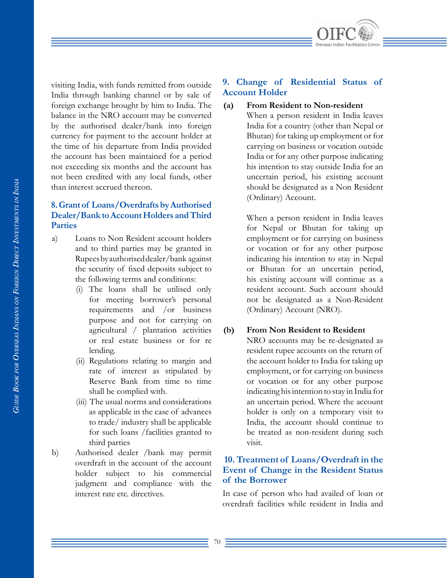

visiting India, with funds remitted from outside India through banking channel or by sale of foreign exchange brought by him to India. The balance in the NRO account may be converted by the authorised dealer/bank into foreign currency for payment to the account holder at the time of his departure from India provided the account has been maintained for a period not exceeding six months and the account has not been credited with any local funds, other than interest accrued thereon.

# **8. Grant of Loans/Overdrafts by Authorised Dealer/Bank to Account Holders and Third Parties**

- a) Loans to Non Resident account holders and to third parties may be granted in Rupees by authorised dealer/bank against the security of fixed deposits subject to the following terms and conditions:
	- (i) The loans shall be utilised only for meeting borrower's personal requirements and /or business purpose and not for carrying on agricultural / plantation activities or real estate business or for re lending.
	- (ii) Regulations relating to margin and rate of interest as stipulated by Reserve Bank from time to time shall be complied with.
	- (iii) The usual norms and considerations as applicable in the case of advances to trade/ industry shall be applicable for such loans /facilities granted to third parties
- b) Authorised dealer /bank may permit overdraft in the account of the account holder subject to his commercial judgment and compliance with the interest rate etc. directives.

# **9. Change of Residential Status of Account Holder**

- **(a) From Resident to Non-resident** 
	- When a person resident in India leaves India for a country (other than Nepal or Bhutan) for taking up employment or for carrying on business or vocation outside India or for any other purpose indicating his intention to stay outside India for an uncertain period, his existing account should be designated as a Non Resident (Ordinary) Account.

When a person resident in India leaves for Nepal or Bhutan for taking up employment or for carrying on business or vocation or for any other purpose indicating his intention to stay in Nepal or Bhutan for an uncertain period, his existing account will continue as a resident account. Such account should not be designated as a Non-Resident (Ordinary) Account (NRO).

#### **(b) From Non Resident to Resident**

NRO accounts may be re-designated as resident rupee accounts on the return of the account holder to India for taking up employment, or for carrying on business or vocation or for any other purpose indicating his intention to stay in India for an uncertain period. Where the account holder is only on a temporary visit to India, the account should continue to be treated as non-resident during such visit.

# **10. Treatment of Loans/Overdraft in the Event of Change in the Resident Status of the Borrower**

In case of person who had availed of loan or overdraft facilities while resident in India and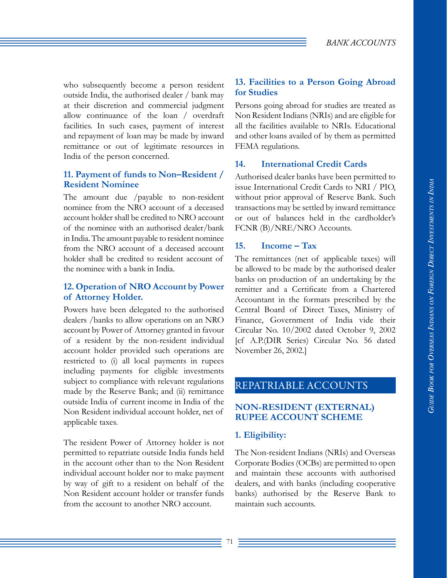who subsequently become a person resident outside India, the authorised dealer / bank may at their discretion and commercial judgment allow continuance of the loan / overdraft facilities. In such cases, payment of interest and repayment of loan may be made by inward remittance or out of legitimate resources in India of the person concerned.

# **11. Payment of funds to Non–Resident / Resident Nominee**

The amount due /payable to non-resident nominee from the NRO account of a deceased account holder shall be credited to NRO account of the nominee with an authorised dealer/bank in India. The amount payable to resident nominee from the NRO account of a deceased account holder shall be credited to resident account of the nominee with a bank in India.

# **12. Operation of NRO Account by Power of Attorney Holder.**

Powers have been delegated to the authorised dealers /banks to allow operations on an NRO account by Power of Attorney granted in favour of a resident by the non-resident individual account holder provided such operations are restricted to (i) all local payments in rupees including payments for eligible investments subject to compliance with relevant regulations made by the Reserve Bank; and (ii) remittance outside India of current income in India of the Non Resident individual account holder, net of applicable taxes.

The resident Power of Attorney holder is not permitted to repatriate outside India funds held in the account other than to the Non Resident individual account holder nor to make payment by way of gift to a resident on behalf of the Non Resident account holder or transfer funds from the account to another NRO account.

# **13. Facilities to a Person Going Abroad for Studies**

Persons going abroad for studies are treated as Non Resident Indians (NRIs) and are eligible for all the facilities available to NRIs. Educational and other loans availed of by them as permitted FEMA regulations.

# **14. International Credit Cards**

Authorised dealer banks have been permitted to issue International Credit Cards to NRI / PIO, without prior approval of Reserve Bank. Such transactions may be settled by inward remittance or out of balances held in the cardholder's FCNR (B)/NRE/NRO Accounts.

# **15. Income – Tax**

The remittances (net of applicable taxes) will be allowed to be made by the authorised dealer banks on production of an undertaking by the remitter and a Certificate from a Chartered Accountant in the formats prescribed by the Central Board of Direct Taxes, Ministry of Finance, Government of India vide their Circular No. 10/2002 dated October 9, 2002 [cf A.P.(DIR Series) Circular No. 56 dated November 26, 2002.]

# REPATRIABLE ACCOUNTS

# **Non-Resident (External) Rupee Account Scheme**

# **1. Eligibility:**

The Non-resident Indians (NRIs) and Overseas Corporate Bodies (OCBs) are permitted to open and maintain these accounts with authorised dealers, and with banks (including cooperative banks) authorised by the Reserve Bank to maintain such accounts.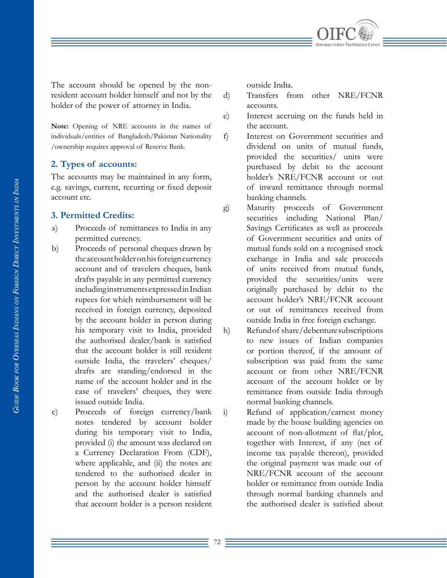

The account should be opened by the nonresident account holder himself and not by the holder of the power of attorney in India.

**Note:** Opening of NRE accounts in the names of individuals/entities of Bangladesh/Pakistan Nationality /ownership requires approval of Reserve Bank.

#### **2. Types of accounts:**

The accounts may be maintained in any form, e.g. savings, current, recurring or fixed deposit account etc.

## **3. Permitted Credits:**

- a) Proceeds of remittances to India in any permitted currency.
- b) Proceeds of personal cheques drawn by the account holder on his foreign currency account and of travelers cheques, bank drafts payable in any permitted currency including instruments expressed in Indian rupees for which reimbursement will be received in foreign currency, deposited by the account holder in person during his temporary visit to India, provided the authorised dealer/bank is satisfied that the account holder is still resident outside India, the travelers' cheques/ drafts are standing/endorsed in the name of the account holder and in the case of travelers' cheques, they were issued outside India.
- c) Proceeds of foreign currency/bank notes tendered by account holder during his temporary visit to India, provided (i) the amount was declared on a Currency Declaration From (CDF), where applicable, and (ii) the notes are tendered to the authorised dealer in person by the account holder himself and the authorised dealer is satisfied that account holder is a person resident

outside India.

- d) Transfers from other NRE/FCNR accounts.
- e) Interest accruing on the funds held in the account.
- f) Interest on Government securities and dividend on units of mutual funds, provided the securities/ units were purchased by debit to the account holder's NRE/FCNR account or out of inward remittance through normal banking channels.
- g) Maturity proceeds of Government securities including National Plan/ Savings Certificates as well as proceeds of Government securities and units of mutual funds sold on a recognised stock exchange in India and sale proceeds of units received from mutual funds, provided the securities/units were originally purchased by debit to the account holder's NRE/FCNR account or out of remittances received from outside India in free foreign exchange.
- h) Refund of share/debenture subscriptions to new issues of Indian companies or portion thereof, if the amount of subscription was paid from the same account or from other NRE/FCNR account of the account holder or by remittance from outside India through normal banking channels.
- i) Refund of application/earnest money made by the house building agencies on account of non-allotment of flat/plot, together with Interest, if any (net of income tax payable thereon), provided the original payment was made out of NRE/FCNR account of the account holder or remittance from outside India through normal banking channels and the authorised dealer is satisfied about

72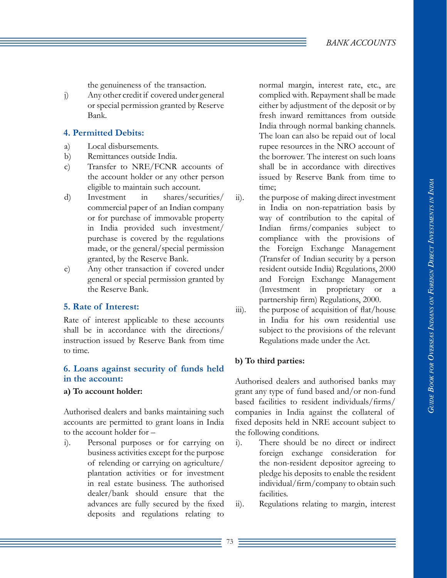the genuineness of the transaction.

j) Any other credit if covered under general or special permission granted by Reserve Bank.

## **4. Permitted Debits:**

- a) Local disbursements.
- b) Remittances outside India.
- c) Transfer to NRE/FCNR accounts of the account holder or any other person eligible to maintain such account.
- d) Investment in shares/securities/ commercial paper of an Indian company or for purchase of immovable property in India provided such investment/ purchase is covered by the regulations made, or the general/special permission granted, by the Reserve Bank.
- e) Any other transaction if covered under general or special permission granted by the Reserve Bank.

## **5. Rate of Interest:**

Rate of interest applicable to these accounts shall be in accordance with the directions/ instruction issued by Reserve Bank from time to time.

## **6. Loans against security of funds held in the account:**

## **a) To account holder:**

Authorised dealers and banks maintaining such accounts are permitted to grant loans in India to the account holder for –

i). Personal purposes or for carrying on business activities except for the purpose of relending or carrying on agriculture/ plantation activities or for investment in real estate business. The authorised dealer/bank should ensure that the advances are fully secured by the fixed deposits and regulations relating to

normal margin, interest rate, etc., are complied with. Repayment shall be made either by adjustment of the deposit or by fresh inward remittances from outside India through normal banking channels. The loan can also be repaid out of local rupee resources in the NRO account of the borrower. The interest on such loans shall be in accordance with directives issued by Reserve Bank from time to time;

- ii). the purpose of making direct investment in India on non-repatriation basis by way of contribution to the capital of Indian firms/companies subject to compliance with the provisions of the Foreign Exchange Management (Transfer of Indian security by a person resident outside India) Regulations, 2000 and Foreign Exchange Management (Investment in proprietary or a partnership firm) Regulations, 2000.
- iii). the purpose of acquisition of flat/house in India for his own residential use subject to the provisions of the relevant Regulations made under the Act.

## **b) To third parties:**

Authorised dealers and authorised banks may grant any type of fund based and/or non-fund based facilities to resident individuals/firms/ companies in India against the collateral of fixed deposits held in NRE account subject to the following conditions.

- i). There should be no direct or indirect foreign exchange consideration for the non-resident depositor agreeing to pledge his deposits to enable the resident individual/firm/company to obtain such facilities.
- ii). Regulations relating to margin, interest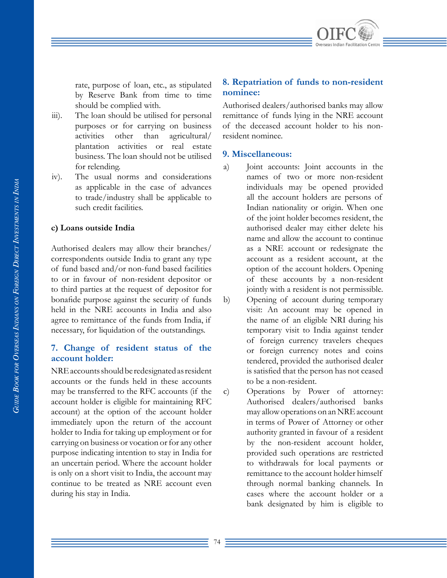

rate, purpose of loan, etc., as stipulated by Reserve Bank from time to time should be complied with.

- iii). The loan should be utilised for personal purposes or for carrying on business activities other than agricultural/ plantation activities or real estate business. The loan should not be utilised for relending.
- iv). The usual norms and considerations as applicable in the case of advances to trade/industry shall be applicable to such credit facilities.

#### **c) Loans outside India**

Authorised dealers may allow their branches/ correspondents outside India to grant any type of fund based and/or non-fund based facilities to or in favour of non-resident depositor or to third parties at the request of depositor for bonafide purpose against the security of funds held in the NRE accounts in India and also agree to remittance of the funds from India, if necessary, for liquidation of the outstandings.

#### **7. Change of resident status of the account holder:**

NRE accounts should be redesignated as resident accounts or the funds held in these accounts may be transferred to the RFC accounts (if the account holder is eligible for maintaining RFC account) at the option of the account holder immediately upon the return of the account holder to India for taking up employment or for carrying on business or vocation or for any other purpose indicating intention to stay in India for an uncertain period. Where the account holder is only on a short visit to India, the account may continue to be treated as NRE account even during his stay in India.

## **8. Repatriation of funds to non-resident nominee:**

Authorised dealers/authorised banks may allow remittance of funds lying in the NRE account of the deceased account holder to his nonresident nominee.

#### **9. Miscellaneous:**

- a) Joint accounts: Joint accounts in the names of two or more non-resident individuals may be opened provided all the account holders are persons of Indian nationality or origin. When one of the joint holder becomes resident, the authorised dealer may either delete his name and allow the account to continue as a NRE account or redesignate the account as a resident account, at the option of the account holders. Opening of these accounts by a non-resident jointly with a resident is not permissible.
- b) Opening of account during temporary visit: An account may be opened in the name of an eligible NRI during his temporary visit to India against tender of foreign currency travelers cheques or foreign currency notes and coins tendered, provided the authorised dealer is satisfied that the person has not ceased to be a non-resident.
- c) Operations by Power of attorney: Authorised dealers/authorised banks may allow operations on an NRE account in terms of Power of Attorney or other authority granted in favour of a resident by the non-resident account holder, provided such operations are restricted to withdrawals for local payments or remittance to the account holder himself through normal banking channels. In cases where the account holder or a bank designated by him is eligible to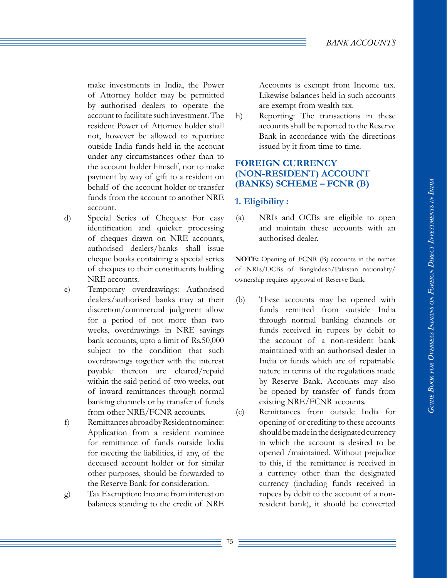make investments in India, the Power of Attorney holder may be permitted by authorised dealers to operate the account to facilitate such investment. The resident Power of Attorney holder shall not, however be allowed to repatriate outside India funds held in the account under any circumstances other than to the account holder himself, nor to make payment by way of gift to a resident on behalf of the account holder or transfer funds from the account to another NRE account.

- d) Special Series of Cheques: For easy identification and quicker processing of cheques drawn on NRE accounts, authorised dealers/banks shall issue cheque books containing a special series of cheques to their constituents holding NRE accounts.
- e) Temporary overdrawings: Authorised dealers/authorised banks may at their discretion/commercial judgment allow for a period of not more than two weeks, overdrawings in NRE savings bank accounts, upto a limit of Rs.50,000 subject to the condition that such overdrawings together with the interest payable thereon are cleared/repaid within the said period of two weeks, out of inward remittances through normal banking channels or by transfer of funds from other NRE/FCNR accounts.
- f) Remittances abroad by Resident nominee: Application from a resident nominee for remittance of funds outside India for meeting the liabilities, if any, of the deceased account holder or for similar other purposes, should be forwarded to the Reserve Bank for consideration.
- g) Tax Exemption: Income from interest on balances standing to the credit of NRE

Accounts is exempt from Income tax. Likewise balances held in such accounts are exempt from wealth tax.

h) Reporting: The transactions in these accounts shall be reported to the Reserve Bank in accordance with the directions issued by it from time to time.

## **FOREIGN CURRENCY (NON-RESIDENT) ACCOUNT (BANKS) SCHEME – FCNR (B)**

## **1. Eligibility :**

(a) NRIs and OCBs are eligible to open and maintain these accounts with an authorised dealer.

**NOTE:** Opening of FCNR (B) accounts in the names of NRIs/OCBs of Bangladesh/Pakistan nationality/ ownership requires approval of Reserve Bank.

- (b) These accounts may be opened with funds remitted from outside India through normal banking channels or funds received in rupees by debit to the account of a non-resident bank maintained with an authorised dealer in India or funds which are of repatriable nature in terms of the regulations made by Reserve Bank. Accounts may also be opened by transfer of funds from existing NRE/FCNR accounts.
- (c) Remittances from outside India for opening of or crediting to these accounts should be made in the designated currency in which the account is desired to be opened /maintained. Without prejudice to this, if the remittance is received in a currency other than the designated currency (including funds received in rupees by debit to the account of a nonresident bank), it should be converted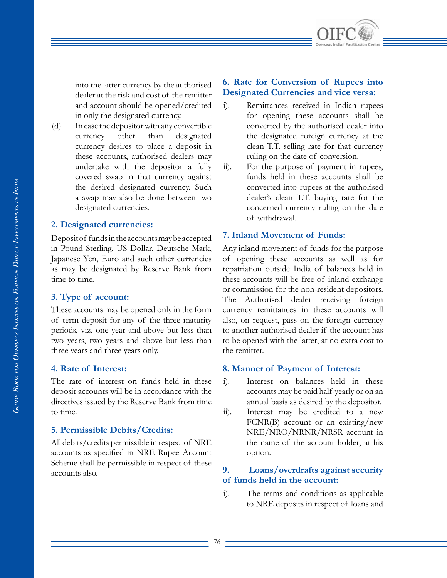

into the latter currency by the authorised dealer at the risk and cost of the remitter and account should be opened/credited in only the designated currency.

(d) In case the depositor with any convertible currency other than designated currency desires to place a deposit in these accounts, authorised dealers may undertake with the depositor a fully covered swap in that currency against the desired designated currency. Such a swap may also be done between two designated currencies.

#### **2. Designated currencies:**

Deposit of funds in the accounts may be accepted in Pound Sterling, US Dollar, Deutsche Mark, Japanese Yen, Euro and such other currencies as may be designated by Reserve Bank from time to time.

#### **3. Type of account:**

These accounts may be opened only in the form of term deposit for any of the three maturity periods, viz. one year and above but less than two years, two years and above but less than three years and three years only.

#### **4. Rate of Interest:**

The rate of interest on funds held in these deposit accounts will be in accordance with the directives issued by the Reserve Bank from time to time.

#### **5. Permissible Debits/Credits:**

All debits/credits permissible in respect of NRE accounts as specified in NRE Rupee Account Scheme shall be permissible in respect of these accounts also.

#### **6. Rate for Conversion of Rupees into Designated Currencies and vice versa:**

- i). Remittances received in Indian rupees for opening these accounts shall be converted by the authorised dealer into the designated foreign currency at the clean T.T. selling rate for that currency ruling on the date of conversion.
- ii). For the purpose of payment in rupees, funds held in these accounts shall be converted into rupees at the authorised dealer's clean T.T. buying rate for the concerned currency ruling on the date of withdrawal.

#### **7. Inland Movement of Funds:**

Any inland movement of funds for the purpose of opening these accounts as well as for repatriation outside India of balances held in these accounts will be free of inland exchange or commission for the non-resident depositors. The Authorised dealer receiving foreign currency remittances in these accounts will also, on request, pass on the foreign currency to another authorised dealer if the account has to be opened with the latter, at no extra cost to the remitter.

#### **8. Manner of Payment of Interest:**

- i). Interest on balances held in these accounts may be paid half-yearly or on an annual basis as desired by the depositor.
- ii). Interest may be credited to a new FCNR(B) account or an existing/new NRE/NRO/NRNR/NRSR account in the name of the account holder, at his option.

## **9. Loans/overdrafts against security of funds held in the account:**

i). The terms and conditions as applicable to NRE deposits in respect of loans and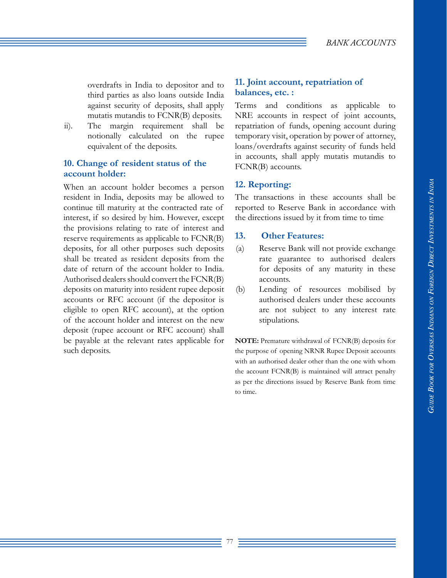overdrafts in India to depositor and to third parties as also loans outside India against security of deposits, shall apply mutatis mutandis to FCNR(B) deposits.

ii). The margin requirement shall be notionally calculated on the rupee equivalent of the deposits.

## **10. Change of resident status of the account holder:**

When an account holder becomes a person resident in India, deposits may be allowed to continue till maturity at the contracted rate of interest, if so desired by him. However, except the provisions relating to rate of interest and reserve requirements as applicable to FCNR(B) deposits, for all other purposes such deposits shall be treated as resident deposits from the date of return of the account holder to India. Authorised dealers should convert the FCNR(B) deposits on maturity into resident rupee deposit accounts or RFC account (if the depositor is eligible to open RFC account), at the option of the account holder and interest on the new deposit (rupee account or RFC account) shall be payable at the relevant rates applicable for such deposits.

## **11. Joint account, repatriation of balances, etc. :**

Terms and conditions as applicable to NRE accounts in respect of joint accounts, repatriation of funds, opening account during temporary visit, operation by power of attorney, loans/overdrafts against security of funds held in accounts, shall apply mutatis mutandis to FCNR(B) accounts.

## **12. Reporting:**

The transactions in these accounts shall be reported to Reserve Bank in accordance with the directions issued by it from time to time

## **13. Other Features:**

- (a) Reserve Bank will not provide exchange rate guarantee to authorised dealers for deposits of any maturity in these accounts.
- (b) Lending of resources mobilised by authorised dealers under these accounts are not subject to any interest rate stipulations.

**NOTE:** Premature withdrawal of FCNR(B) deposits for the purpose of opening NRNR Rupee Deposit accounts with an authorised dealer other than the one with whom the account FCNR(B) is maintained will attract penalty as per the directions issued by Reserve Bank from time to time.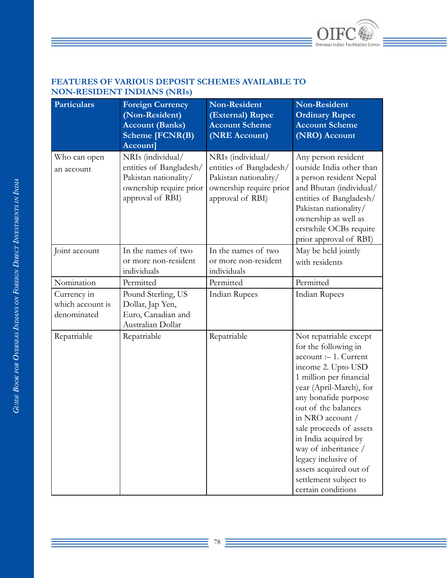

## **FEATURES OF VARIOUS DEPOSIT SCHEMES AVAILABLE TO NON-RESIDENT INDIANS (NRIs)**

| <b>Particulars</b>                             | <b>Foreign Currency</b><br>(Non-Resident)<br><b>Account (Banks)</b><br>Scheme [FCNR(B)<br>Account]                   | <b>Non-Resident</b><br>(External) Rupee<br><b>Account Scheme</b><br>(NRE Account)                                    | <b>Non-Resident</b><br><b>Ordinary Rupee</b><br><b>Account Scheme</b><br>(NRO) Account                                                                                                                                                                                                                                                                                                            |
|------------------------------------------------|----------------------------------------------------------------------------------------------------------------------|----------------------------------------------------------------------------------------------------------------------|---------------------------------------------------------------------------------------------------------------------------------------------------------------------------------------------------------------------------------------------------------------------------------------------------------------------------------------------------------------------------------------------------|
| Who can open<br>an account                     | NRIs (individual/<br>entities of Bangladesh/<br>Pakistan nationality/<br>ownership require prior<br>approval of RBI) | NRIs (individual/<br>entities of Bangladesh/<br>Pakistan nationality/<br>ownership require prior<br>approval of RBI) | Any person resident<br>outside India other than<br>a person resident Nepal<br>and Bhutan (individual/<br>entities of Bangladesh/<br>Pakistan nationality/<br>ownership as well as<br>erstwhile OCBs require<br>prior approval of RBI)                                                                                                                                                             |
| Joint account                                  | In the names of two<br>or more non-resident<br>individuals                                                           | In the names of two<br>or more non-resident<br>individuals                                                           | May be held jointly<br>with residents                                                                                                                                                                                                                                                                                                                                                             |
| Nomination                                     | Permitted                                                                                                            | Permitted                                                                                                            | Permitted                                                                                                                                                                                                                                                                                                                                                                                         |
| Currency in<br>which account is<br>denominated | Pound Sterling, US<br>Dollar, Jap Yen,<br>Euro, Canadian and<br>Australian Dollar                                    | <b>Indian Rupees</b>                                                                                                 | Indian Rupees                                                                                                                                                                                                                                                                                                                                                                                     |
| Repatriable                                    | Repatriable                                                                                                          | Repatriable                                                                                                          | Not repatriable except<br>for the following in<br>account :- 1. Current<br>income 2. Upto USD<br>1 million per financial<br>year (April-March), for<br>any bonafide purpose<br>out of the balances<br>in NRO account /<br>sale proceeds of assets<br>in India acquired by<br>way of inheritance /<br>legacy inclusive of<br>assets acquired out of<br>settlement subject to<br>certain conditions |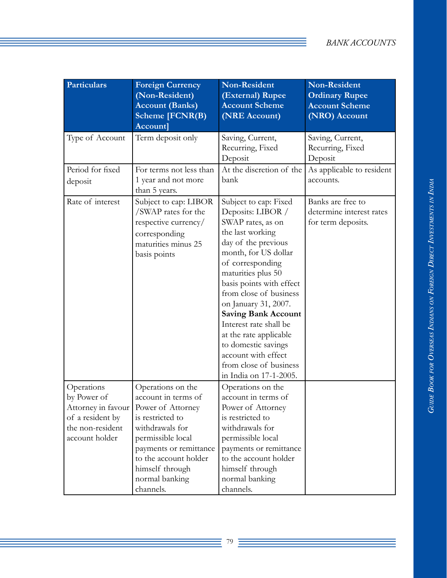| <b>Particulars</b> | <b>Foreign Currency</b> | Non-Resident               | Non-Resident              |
|--------------------|-------------------------|----------------------------|---------------------------|
|                    | (Non-Resident)          | (External) Rupee           | <b>Ordinary Rupee</b>     |
|                    | <b>Account (Banks)</b>  | <b>Account Scheme</b>      | <b>Account Scheme</b>     |
|                    | Scheme [FCNR(B)         | (NRE Account)              | (NRO) Account             |
|                    | <b>Accountl</b>         |                            |                           |
| Type of Account    | Term deposit only       | Saving, Current,           | Saving, Current,          |
|                    |                         | Recurring, Fixed           | Recurring, Fixed          |
|                    |                         | Deposit                    | Deposit                   |
| Period for fixed   | For terms not less than | At the discretion of the   | As applicable to resident |
| deposit            | 1 year and not more     | bank                       | accounts.                 |
|                    | than 5 years.           |                            |                           |
| Rate of interest   | Subject to cap: LIBOR   | Subject to cap: Fixed      | Banks are free to         |
|                    | /SWAP rates for the     | Deposits: LIBOR /          | determine interest rates  |
|                    | respective currency/    | SWAP rates, as on          | for term deposits.        |
|                    | corresponding           | the last working           |                           |
|                    | maturities minus 25     | day of the previous        |                           |
|                    | basis points            | month, for US dollar       |                           |
|                    |                         | of corresponding           |                           |
|                    |                         | maturities plus 50         |                           |
|                    |                         | basis points with effect   |                           |
|                    |                         | from close of business     |                           |
|                    |                         | on January 31, 2007.       |                           |
|                    |                         | <b>Saving Bank Account</b> |                           |
|                    |                         | Interest rate shall be     |                           |
|                    |                         | at the rate applicable     |                           |
|                    |                         | to domestic savings        |                           |
|                    |                         | account with effect        |                           |
|                    |                         | from close of business     |                           |
|                    |                         | in India on 17-1-2005.     |                           |
| Operations         | Operations on the       | Operations on the          |                           |
| by Power of        | account in terms of     | account in terms of        |                           |
| Attorney in favour | Power of Attorney       | Power of Attorney          |                           |
| of a resident by   | is restricted to        | is restricted to           |                           |
| the non-resident   | withdrawals for         | withdrawals for            |                           |
| account holder     | permissible local       | permissible local          |                           |
|                    | payments or remittance  | payments or remittance     |                           |
|                    | to the account holder   | to the account holder      |                           |
|                    | himself through         | himself through            |                           |
|                    | normal banking          | normal banking             |                           |
|                    | channels.               | channels.                  |                           |

Ξ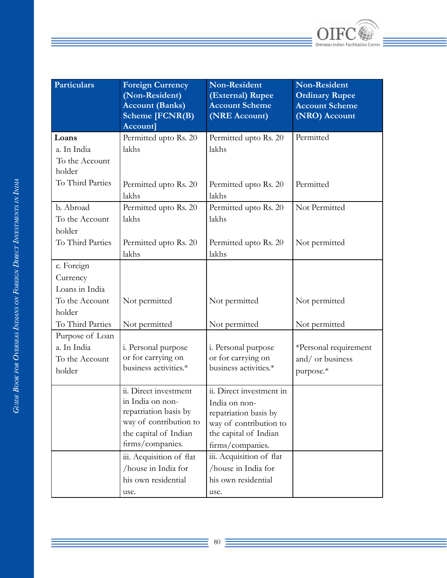

| <b>Particulars</b>       | <b>Foreign Currency</b><br>(Non-Resident) | <b>Non-Resident</b><br>(External) Rupee | <b>Non-Resident</b><br><b>Ordinary Rupee</b> |
|--------------------------|-------------------------------------------|-----------------------------------------|----------------------------------------------|
|                          | <b>Account (Banks)</b>                    | <b>Account Scheme</b>                   | <b>Account Scheme</b>                        |
|                          | Scheme [FCNR(B)                           | (NRE Account)                           | (NRO) Account                                |
|                          | Account]                                  |                                         |                                              |
| Loans                    | Permitted upto Rs. 20                     | Permitted upto Rs. 20                   | Permitted                                    |
| a. In India              | lakhs                                     | lakhs                                   |                                              |
| To the Account<br>holder |                                           |                                         |                                              |
| To Third Parties         | Permitted upto Rs. 20                     | Permitted upto Rs. 20                   | Permitted                                    |
|                          | lakhs                                     | lakhs                                   |                                              |
| b. Abroad                | Permitted upto Rs. 20                     | Permitted upto Rs. 20                   | Not Permitted                                |
| To the Account           | lakhs                                     | lakhs                                   |                                              |
| holder                   |                                           |                                         |                                              |
| To Third Parties         | Permitted upto Rs. 20                     | Permitted upto Rs. 20                   | Not permitted                                |
|                          | lakhs                                     | lakhs                                   |                                              |
| c. Foreign               |                                           |                                         |                                              |
| Currency                 |                                           |                                         |                                              |
| Loans in India           |                                           |                                         |                                              |
| To the Account           | Not permitted                             | Not permitted                           | Not permitted                                |
| holder                   |                                           |                                         |                                              |
| To Third Parties         | Not permitted                             | Not permitted                           | Not permitted                                |
| Purpose of Loan          |                                           |                                         |                                              |
| a. In India              | i. Personal purpose                       | i. Personal purpose                     | *Personal requirement                        |
| To the Account           | or for carrying on                        | or for carrying on                      | and/ or business                             |
| holder                   | business activities.*                     | business activities.*                   | purpose.*                                    |
|                          | ii. Direct investment                     | ii. Direct investment in                |                                              |
|                          | in India on non-                          | India on non-                           |                                              |
|                          | repatriation basis by                     | repatriation basis by                   |                                              |
|                          | way of contribution to                    | way of contribution to                  |                                              |
|                          | the capital of Indian                     | the capital of Indian                   |                                              |
|                          | firms/companies.                          | firms/companies.                        |                                              |
|                          | iii. Acquisition of flat                  | iii. Acquisition of flat                |                                              |
|                          | /house in India for                       | /house in India for                     |                                              |
|                          | his own residential                       | his own residential                     |                                              |
|                          | use.                                      | use.                                    |                                              |

 $\equiv$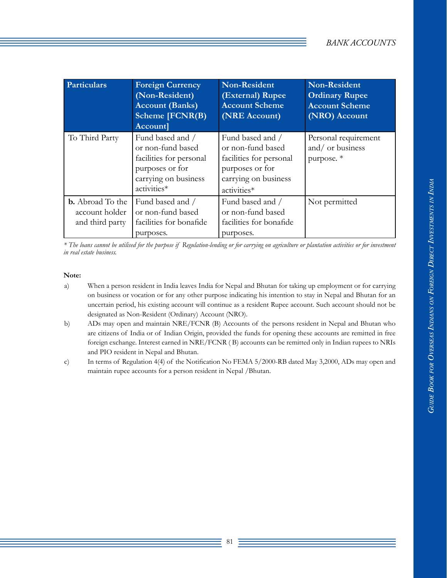| <b>Particulars</b>                                           | <b>Foreign Currency</b><br>(Non-Resident)<br><b>Account (Banks)</b><br>Scheme [FCNR(B)<br>Account]                         | Non-Resident<br>(External) Rupee<br><b>Account Scheme</b><br>(NRE Account)                                                 | Non-Resident<br><b>Ordinary Rupee</b><br><b>Account Scheme</b><br>(NRO) Account |
|--------------------------------------------------------------|----------------------------------------------------------------------------------------------------------------------------|----------------------------------------------------------------------------------------------------------------------------|---------------------------------------------------------------------------------|
| To Third Party                                               | Fund based and /<br>or non-fund based<br>facilities for personal<br>purposes or for<br>carrying on business<br>activities* | Fund based and /<br>or non-fund based<br>facilities for personal<br>purposes or for<br>carrying on business<br>activities* | Personal requirement<br>and/ or business<br>purpose. *                          |
| <b>b.</b> Abroad To the<br>account holder<br>and third party | Fund based and /<br>or non-fund based<br>facilities for bonafide<br>purposes.                                              | Fund based and /<br>or non-fund based<br>facilities for bonafide<br>purposes.                                              | Not permitted                                                                   |

*\* The loans cannot be utilised for the purpose if Regulation-lending or for carrying on agriculture or plantation activities or for investment in real estate business.*

#### **Note:**

- a) When a person resident in India leaves India for Nepal and Bhutan for taking up employment or for carrying on business or vocation or for any other purpose indicating his intention to stay in Nepal and Bhutan for an uncertain period, his existing account will continue as a resident Rupee account. Such account should not be designated as Non-Resident (Ordinary) Account (NRO).
- b) ADs may open and maintain NRE/FCNR (B) Accounts of the persons resident in Nepal and Bhutan who are citizens of India or of Indian Origin, provided the funds for opening these accounts are remitted in free foreign exchange. Interest earned in NRE/FCNR ( B) accounts can be remitted only in Indian rupees to NRIs and PIO resident in Nepal and Bhutan.
- c) In terms of Regulation 4(4) of the Notification No FEMA 5/2000-RB dated May 3,2000, ADs may open and maintain rupee accounts for a person resident in Nepal /Bhutan.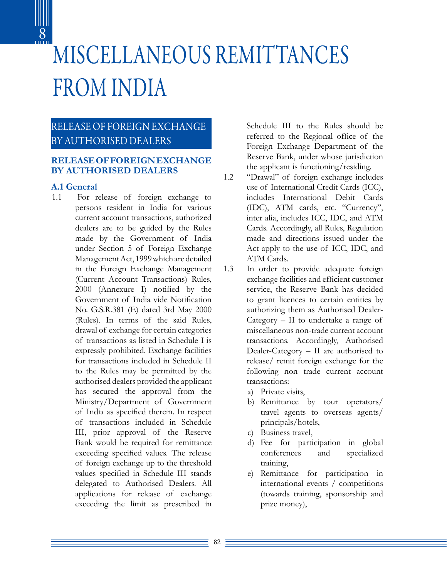

# MISCELLANEOUS REMITTANCES FROM INDIA

# RELEASE OF FOREIGN EXCHANGE BY AUTHORISED DEALERS

## **RELEASE OF FOREIGN EXCHANGE BY AUTHORISED DEALERS**

## **A.1 General**

1.1 For release of foreign exchange to persons resident in India for various current account transactions, authorized dealers are to be guided by the Rules made by the Government of India under Section 5 of Foreign Exchange Management Act, 1999 which are detailed in the Foreign Exchange Management (Current Account Transactions) Rules, 2000 (Annexure I) notified by the Government of India vide Notification No. G.S.R.381 (E) dated 3rd May 2000 (Rules). In terms of the said Rules, drawal of exchange for certain categories of transactions as listed in Schedule I is expressly prohibited. Exchange facilities for transactions included in Schedule II to the Rules may be permitted by the authorised dealers provided the applicant has secured the approval from the Ministry/Department of Government of India as specified therein. In respect of transactions included in Schedule III, prior approval of the Reserve Bank would be required for remittance exceeding specified values. The release of foreign exchange up to the threshold values specified in Schedule III stands delegated to Authorised Dealers. All applications for release of exchange exceeding the limit as prescribed in

Schedule III to the Rules should be referred to the Regional office of the Foreign Exchange Department of the Reserve Bank, under whose jurisdiction the applicant is functioning/residing.

- 1.2 "Drawal" of foreign exchange includes use of International Credit Cards (ICC), includes International Debit Cards (IDC), ATM cards, etc. "Currency", inter alia, includes ICC, IDC, and ATM Cards. Accordingly, all Rules, Regulation made and directions issued under the Act apply to the use of ICC, IDC, and ATM Cards.
- 1.3 In order to provide adequate foreign exchange facilities and efficient customer service, the Reserve Bank has decided to grant licences to certain entities by authorizing them as Authorised Dealer-Category – II to undertake a range of miscellaneous non-trade current account transactions. Accordingly, Authorised Dealer-Category – II are authorised to release/ remit foreign exchange for the following non trade current account transactions:
	- a) Private visits,
	- b) Remittance by tour operators/ travel agents to overseas agents/ principals/hotels,
	- c) Business travel,
	- d) Fee for participation in global conferences and specialized training,
	- e) Remittance for participation in international events / competitions (towards training, sponsorship and prize money),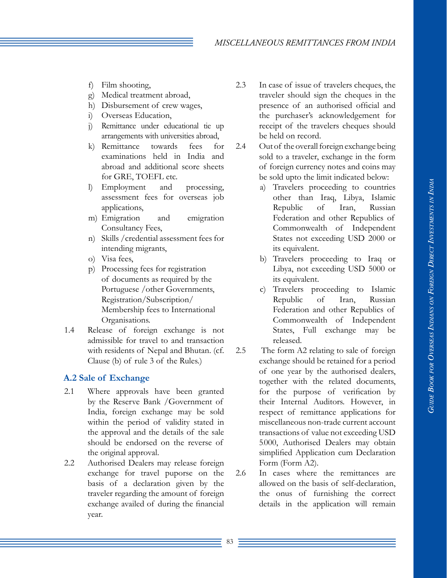## *MISCELLANEOUS REMITTANCES FROM INDIA*

- f) Film shooting,
- g) Medical treatment abroad,
- h) Disbursement of crew wages,
- i) Overseas Education,
- j) Remittance under educational tie up arrangements with universities abroad,
- k) Remittance towards fees for examinations held in India and abroad and additional score sheets for GRE, TOEFL etc.
- l) Employment and processing, assessment fees for overseas job applications,
- m) Emigration and emigration Consultancy Fees,
- n) Skills /credential assessment fees for intending migrants,
- o) Visa fees,
- p) Processing fees for registration of documents as required by the Portuguese /other Governments, Registration/Subscription/ Membership fees to International Organisations.
- 1.4 Release of foreign exchange is not admissible for travel to and transaction with residents of Nepal and Bhutan. (cf. Clause (b) of rule 3 of the Rules.)

#### **A.2 Sale of Exchange**

- 2.1 Where approvals have been granted by the Reserve Bank /Government of India, foreign exchange may be sold within the period of validity stated in the approval and the details of the sale should be endorsed on the reverse of the original approval.
- 2.2 Authorised Dealers may release foreign exchange for travel puporse on the basis of a declaration given by the traveler regarding the amount of foreign exchange availed of during the financial year.
- 2.3 In case of issue of travelers cheques, the traveler should sign the cheques in the presence of an authorised official and the purchaser's acknowledgement for receipt of the travelers cheques should be held on record.
- 2.4 Out of the overall foreign exchange being sold to a traveler, exchange in the form of foreign currency notes and coins may be sold upto the limit indicated below:
	- a) Travelers proceeding to countries other than Iraq, Libya, Islamic Republic of Iran, Russian Federation and other Republics of Commonwealth of Independent States not exceeding USD 2000 or its equivalent.
	- b) Travelers proceeding to Iraq or Libya, not exceeding USD 5000 or its equivalent.
	- c) Travelers proceeding to Islamic Republic of Iran, Russian Federation and other Republics of Commonwealth of Independent States, Full exchange may be released.
- 2.5 The form A2 relating to sale of foreign exchange should be retained for a period of one year by the authorised dealers, together with the related documents, for the purpose of verification by their Internal Auditors. However, in respect of remittance applications for miscellaneous non-trade current account transactions of value not exceeding USD 5,000, Authorised Dealers may obtain simplified Application cum Declaration Form (Form A2).
- 2.6 In cases where the remittances are allowed on the basis of self-declaration, the onus of furnishing the correct details in the application will remain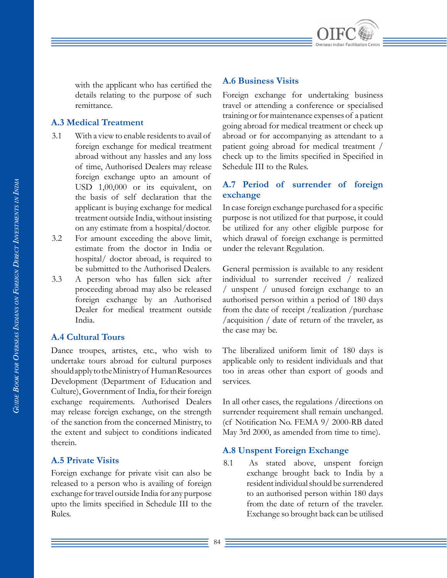

with the applicant who has certified the details relating to the purpose of such remittance.

## **A.3 Medical Treatment**

- 3.1 With a view to enable residents to avail of foreign exchange for medical treatment abroad without any hassles and any loss of time, Authorised Dealers may release foreign exchange upto an amount of USD 1,00,000 or its equivalent, on the basis of self declaration that the applicant is buying exchange for medical treatment outside India, without insisting on any estimate from a hospital/doctor.
- 3.2 For amount exceeding the above limit, estimate from the doctor in India or hospital/ doctor abroad, is required to be submitted to the Authorised Dealers.
- 3.3 A person who has fallen sick after proceeding abroad may also be released foreign exchange by an Authorised Dealer for medical treatment outside India.

## **A.4 Cultural Tours**

Dance troupes, artistes, etc., who wish to undertake tours abroad for cultural purposes should apply to the Ministry of Human Resources Development (Department of Education and Culture), Government of India, for their foreign exchange requirements. Authorised Dealers may release foreign exchange, on the strength of the sanction from the concerned Ministry, to the extent and subject to conditions indicated therein.

## **A.5 Private Visits**

Foreign exchange for private visit can also be released to a person who is availing of foreign exchange for travel outside India for any purpose upto the limits specified in Schedule III to the Rules.

## **A.6 Business Visits**

Foreign exchange for undertaking business travel or attending a conference or specialised training or for maintenance expenses of a patient going abroad for medical treatment or check up abroad or for accompanying as attendant to a patient going abroad for medical treatment / check up to the limits specified in Specified in Schedule III to the Rules.

## **A.7 Period of surrender of foreign exchange**

In case foreign exchange purchased for a specific purpose is not utilized for that purpose, it could be utilized for any other eligible purpose for which drawal of foreign exchange is permitted under the relevant Regulation.

General permission is available to any resident individual to surrender received / realized / unspent / unused foreign exchange to an authorised person within a period of 180 days from the date of receipt /realization /purchase /acquisition / date of return of the traveler, as the case may be.

The liberalized uniform limit of 180 days is applicable only to resident individuals and that too in areas other than export of goods and services.

In all other cases, the regulations /directions on surrender requirement shall remain unchanged. (cf Notification No. FEMA 9/ 2000-RB dated May 3rd 2000, as amended from time to time).

## **A.8 Unspent Foreign Exchange**

8.1 As stated above, unspent foreign exchange brought back to India by a resident individual should be surrendered to an authorised person within 180 days from the date of return of the traveler. Exchange so brought back can be utilised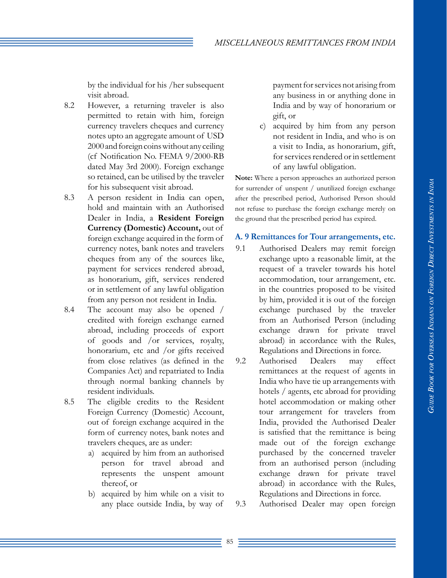by the individual for his /her subsequent visit abroad.

- 8.2 However, a returning traveler is also permitted to retain with him, foreign currency travelers cheques and currency notes upto an aggregate amount of USD 2000 and foreign coins without any ceiling (cf Notification No. FEMA 9/2000-RB dated May 3rd 2000). Foreign exchange so retained, can be utilised by the traveler for his subsequent visit abroad.
- 8.3 A person resident in India can open, hold and maintain with an Authorised Dealer in India, a **Resident Foreign Currency (Domestic) Account,** out of foreign exchange acquired in the form of currency notes, bank notes and travelers cheques from any of the sources like, payment for services rendered abroad, as honorarium, gift, services rendered or in settlement of any lawful obligation from any person not resident in India.
- 8.4 The account may also be opened / credited with foreign exchange earned abroad, including proceeds of export of goods and /or services, royalty, honorarium, etc and /or gifts received from close relatives (as defined in the Companies Act) and repatriated to India through normal banking channels by resident individuals.
- 8.5 The eligible credits to the Resident Foreign Currency (Domestic) Account, out of foreign exchange acquired in the form of currency notes, bank notes and travelers cheques, are as under:
	- a) acquired by him from an authorised person for travel abroad and represents the unspent amount thereof, or
	- b) acquired by him while on a visit to any place outside India, by way of

payment for services not arising from any business in or anything done in India and by way of honorarium or gift, or

c) acquired by him from any person not resident in India, and who is on a visit to India, as honorarium, gift, for services rendered or in settlement of any lawful obligation.

**Note:** Where a person approaches an authorized person for surrender of unspent / unutilized foreign exchange after the prescribed period, Authorised Person should not refuse to purchase the foreign exchange merely on the ground that the prescribed period has expired.

## **A. 9 Remittances for Tour arrangements, etc.**

- 9.1 Authorised Dealers may remit foreign exchange upto a reasonable limit, at the request of a traveler towards his hotel accommodation, tour arrangement, etc. in the countries proposed to be visited by him, provided it is out of the foreign exchange purchased by the traveler from an Authorised Person (including exchange drawn for private travel abroad) in accordance with the Rules, Regulations and Directions in force.
- 9.2 Authorised Dealers may effect remittances at the request of agents in India who have tie up arrangements with hotels / agents, etc abroad for providing hotel accommodation or making other tour arrangement for travelers from India, provided the Authorised Dealer is satisfied that the remittance is being made out of the foreign exchange purchased by the concerned traveler from an authorised person (including exchange drawn for private travel abroad) in accordance with the Rules, Regulations and Directions in force.
- 9.3 Authorised Dealer may open foreign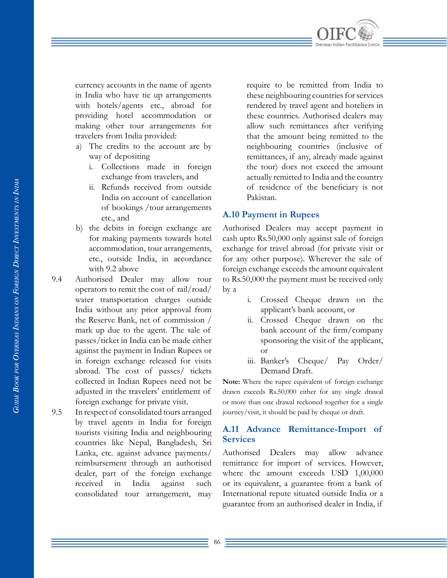

currency accounts in the name of agents in India who have tie up arrangements with hotels/agents etc., abroad for providing hotel accommodation or making other tour arrangements for travelers from India provided:

- a) The credits to the account are by way of depositing
	- i. Collections made in foreign exchange from travelers, and
	- ii. Refunds received from outside India on account of cancellation of bookings /tour arrangements etc., and
- b) the debits in foreign exchange are for making payments towards hotel accommodation, tour arrangements, etc., outside India, in accordance with 9.2 above
- 9.4 Authorised Dealer may allow tour operators to remit the cost of rail/road/ water transportation charges outside India without any prior approval from the Reserve Bank, net of commission / mark up due to the agent. The sale of passes/ticket in India can be made either against the payment in Indian Rupees or in foreign exchange released for visits abroad. The cost of passes/ tickets collected in Indian Rupees need not be adjusted in the travelers' entitlement of foreign exchange for private visit.
- 9.5 In respect of consolidated tours arranged by travel agents in India for foreign tourists visiting India and neighbouring countries like Nepal, Bangladesh, Sri Lanka, etc. against advance payments/ reimbursement through an authorised dealer, part of the foreign exchange received in India against such consolidated tour arrangement, may

require to be remitted from India to these neighbouring countries for services rendered by travel agent and hoteliers in these countries. Authorised dealers may allow such remittances after verifying that the amount being remitted to the neighbouring countries (inclusive of remittances, if any, already made against the tour) does not exceed the amount actually remitted to India and the country of residence of the beneficiary is not Pakistan.

## **A.10 Payment in Rupees**

Authorised Dealers may accept payment in cash upto Rs.50,000 only against sale of foreign exchange for travel abroad (for private visit or for any other purpose). Wherever the sale of foreign exchange exceeds the amount equivalent to Rs.50,000 the payment must be received only by a

- i. Crossed Cheque drawn on the applicant's bank account, or
- ii. Crossed Cheque drawn on the bank account of the firm/company sponsoring the visit of the applicant, or
- iii. Banker's Cheque/ Pay Order/ Demand Draft.

**Note:** Where the rupee equivalent of foreign exchange drawn exceeds Rs.50,000 either for any single drawal or more than one drawal reckoned together for a single journey/visit, it should be paid by cheque or draft.

## **A.11 Advance Remittance-Import of Services**

Authorised Dealers may allow advance remittance for import of services. However, where the amount exceeds USD 1,00,000 or its equivalent, a guarantee from a bank of International repute situated outside India or a guarantee from an authorised dealer in India, if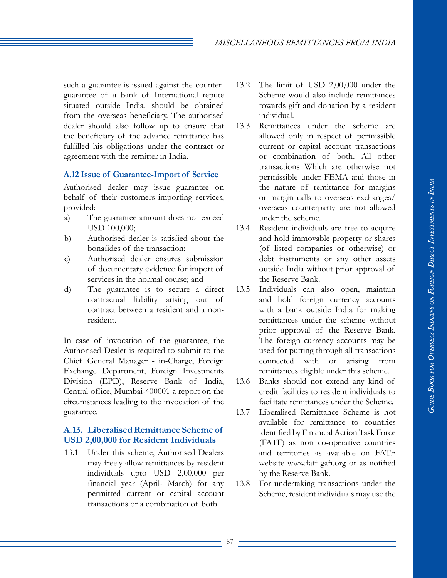## *MISCELLANEOUS REMITTANCES FROM INDIA*

such a guarantee is issued against the counterguarantee of a bank of International repute situated outside India, should be obtained from the overseas beneficiary. The authorised dealer should also follow up to ensure that the beneficiary of the advance remittance has fulfilled his obligations under the contract or agreement with the remitter in India.

#### **A.12 Issue of Guarantee-Import of Service**

Authorised dealer may issue guarantee on behalf of their customers importing services, provided:

- a) The guarantee amount does not exceed USD 100,000;
- b) Authorised dealer is satisfied about the bonafides of the transaction;
- c) Authorised dealer ensures submission of documentary evidence for import of services in the normal course; and
- d) The guarantee is to secure a direct contractual liability arising out of contract between a resident and a nonresident.

In case of invocation of the guarantee, the Authorised Dealer is required to submit to the Chief General Manager - in-Charge, Foreign Exchange Department, Foreign Investments Division (EPD), Reserve Bank of India, Central office, Mumbai-400001 a report on the circumstances leading to the invocation of the guarantee.

## **A.13. Liberalised Remittance Scheme of USD 2,00,000 for Resident Individuals**

13.1 Under this scheme, Authorised Dealers may freely allow remittances by resident individuals upto USD 2,00,000 per financial year (April- March) for any permitted current or capital account transactions or a combination of both.

- 13.2 The limit of USD 2,00,000 under the Scheme would also include remittances towards gift and donation by a resident individual.
- 13.3 Remittances under the scheme are allowed only in respect of permissible current or capital account transactions or combination of both. All other transactions Which are otherwise not permissible under FEMA and those in the nature of remittance for margins or margin calls to overseas exchanges/ overseas counterparty are not allowed under the scheme.
- 13.4 Resident individuals are free to acquire and hold immovable property or shares (of listed companies or otherwise) or debt instruments or any other assets outside India without prior approval of the Reserve Bank.
- 13.5 Individuals can also open, maintain and hold foreign currency accounts with a bank outside India for making remittances under the scheme without prior approval of the Reserve Bank. The foreign currency accounts may be used for putting through all transactions connected with or arising from remittances eligible under this scheme.
- 13.6 Banks should not extend any kind of credit facilities to resident individuals to facilitate remittances under the Scheme.
- 13.7 Liberalised Remittance Scheme is not available for remittance to countries identified by Financial Action Task Force (FATF) as non co-operative countries and territories as available on FATF website www.fatf-gafi.org or as notified by the Reserve Bank.
- 13.8 For undertaking transactions under the Scheme, resident individuals may use the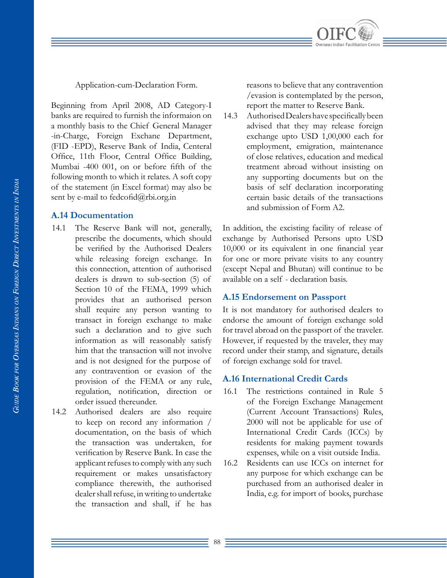

Beginning from April 2008, AD Category-I banks are required to furnish the informaion on a monthly basis to the Chief General Manager -in-Charge, Foreign Exchane Department, (FID -EPD), Reserve Bank of India, Centeral Office, 11th Floor, Central Office Building, Mumbai -400 001, on or before fifth of the following month to which it relates. A soft copy of the statement (in Excel format) may also be sent by e-mail to fedcofid@rbi.org.in

## **A.14 Documentation**

- 14.1 The Reserve Bank will not, generally, prescribe the documents, which should be verified by the Authorised Dealers while releasing foreign exchange. In this connection, attention of authorised dealers is drawn to sub-section (5) of Section 10 of the FEMA, 1999 which provides that an authorised person shall require any person wanting to transact in foreign exchange to make such a declaration and to give such information as will reasonably satisfy him that the transaction will not involve and is not designed for the purpose of any contravention or evasion of the provision of the FEMA or any rule, regulation, notification, direction or order issued thereunder.
- 14.2 Authorised dealers are also require to keep on record any information / documentation, on the basis of which the transaction was undertaken, for verification by Reserve Bank. In case the applicant refuses to comply with any such requirement or makes unsatisfactory compliance therewith, the authorised dealer shall refuse, in writing to undertake the transaction and shall, if he has

reasons to believe that any contravention /evasion is contemplated by the person, report the matter to Reserve Bank.

14.3 Authorised Dealers have specifically been advised that they may release foreign exchange upto USD 1,00,000 each for employment, emigration, maintenance of close relatives, education and medical treatment abroad without insisting on any supporting documents but on the basis of self declaration incorporating certain basic details of the transactions and submission of Form A2.

In addition, the excisting facility of release of exchange by Authorised Persons upto USD 10,000 or its equivalent in one financial year for one or more private visits to any country (except Nepal and Bhutan) will continue to be available on a self - declaration basis.

## **A.15 Endorsement on Passport**

It is not mandatory for authorised dealers to endorse the amount of foreign exchange sold for travel abroad on the passport of the traveler. However, if requested by the traveler, they may record under their stamp, and signature, details of foreign exchange sold for travel.

## **A.16 International Credit Cards**

- 16.1 The restrictions contained in Rule 5 of the Foreign Exchange Management (Current Account Transactions) Rules, 2000 will not be applicable for use of International Credit Cards (ICCs) by residents for making payment towards expenses, while on a visit outside India.
- 16.2 Residents can use ICCs on internet for any purpose for which exchange can be purchased from an authorised dealer in India, e.g. for import of books, purchase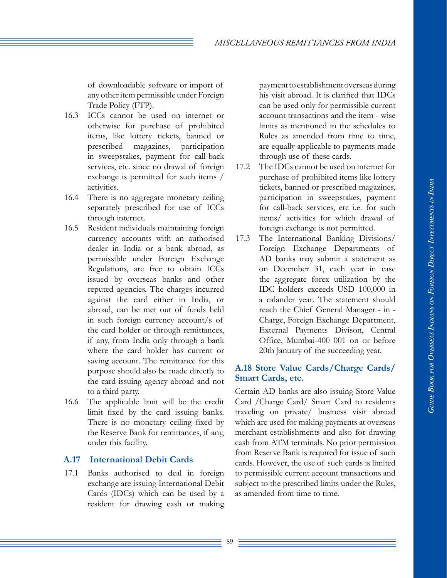#### *MISCELLANEOUS REMITTANCES FROM INDIA*

of downloadable software or import of any other item permissible under Foreign Trade Policy (FTP).

- 16.3 ICCs cannot be used on internet or otherwise for purchase of prohibited items, like lottery tickets, banned or prescribed magazines, participation in sweepstakes, payment for call-back services, etc. since no drawal of foreign exchange is permitted for such items / activities.
- 16.4 There is no aggregate monetary ceiling separately prescribed for use of ICCs through internet.
- 16.5 Resident individuals maintaining foreign currency accounts with an authorised dealer in India or a bank abroad, as permissible under Foreign Exchange Regulations, are free to obtain ICCs issued by overseas banks and other reputed agencies. The charges incurred against the card either in India, or abroad, can be met out of funds held in such foreign currency account/s of the card holder or through remittances, if any, from India only through a bank where the card holder has current or saving account. The remittance for this purpose should also be made directly to the card-issuing agency abroad and not to a third party.
- 16.6 The applicable limit will be the credit limit fixed by the card issuing banks. There is no monetary ceiling fixed by the Reserve Bank for remittances, if any, under this facility.

## **A.17 International Debit Cards**

17.1 Banks authorised to deal in foreign exchange are issuing International Debit Cards (IDCs) which can be used by a resident for drawing cash or making payment to establishment overseas during his visit abroad. It is clarified that IDCs can be used only for permissible current account transactions and the item - wise limits as mentioned in the schedules to Rules as amended from time to time, are equally applicable to payments made through use of these cards.

- 17.2 The IDCs cannot be used on internet for purchase of prohibited items like lottery tickets, banned or prescribed magazines, participation in sweepstakes, payment for call-back services, etc i.e. for such items/ activities for which drawal of foreign exchange is not permitted.
- 17.3 The International Banking Divisions/ Foreign Exchange Departments of AD banks may submit a statement as on December 31, each year in case the aggregate forex utilization by the IDC holders exceeds USD 100,000 in a calander year. The statement should reach the Chief General Manager - in - Charge, Foreign Exchange Department, External Payments Divison, Central Office, Mumbai-400 001 on or before 20th January of the succeeding year.

## **A.18 Store Value Cards/Charge Cards/ Smart Cards, etc.**

Certain AD banks are also issuing Store Value Card /Charge Card/ Smart Card to residents traveling on private/ business visit abroad which are used for making payments at overseas merchant establishments and also for drawing cash from ATM terminals. No prior permission from Reserve Bank is required for issue of such cards. However, the use of such cards is limited to permissible current account transactions and subject to the prescribed limits under the Rules, as amended from time to time.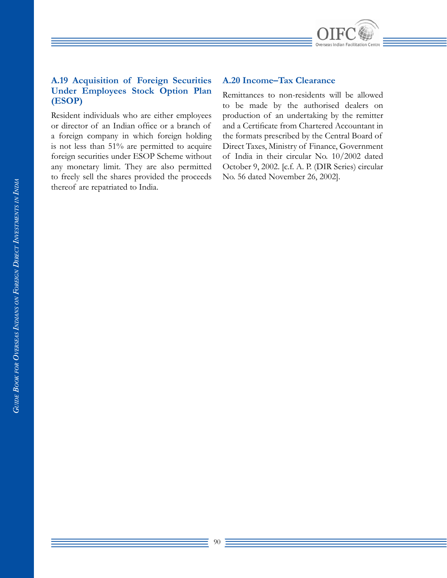

## **A.19 Acquisition of Foreign Securities Under Employees Stock Option Plan (ESOP)**

Resident individuals who are either employees or director of an Indian office or a branch of a foreign company in which foreign holding is not less than 51% are permitted to acquire foreign securities under ESOP Scheme without any monetary limit. They are also permitted to freely sell the shares provided the proceeds thereof are repatriated to India.

## **A.20 Income–Tax Clearance**

Remittances to non-residents will be allowed to be made by the authorised dealers on production of an undertaking by the remitter and a Certificate from Chartered Accountant in the formats prescribed by the Central Board of Direct Taxes, Ministry of Finance, Government of India in their circular No. 10/2002 dated October 9, 2002. [c.f. A. P. (DIR Series) circular No. 56 dated November 26, 2002].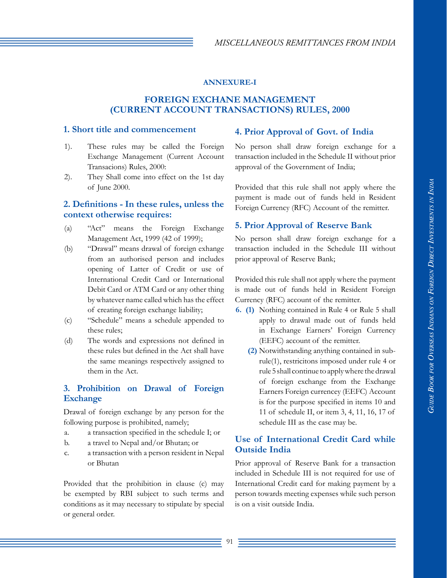## **ANNEXURE-I**

## **Foreign EXCHANE MANAGEMENT (CURRENT ACCOUNT TRANSACTIONS) RULES, 2000**

#### **1. Short title and commencement**

- 1). These rules may be called the Foreign Exchange Management (Current Account Transacions) Rules, 2000:
- 2). They Shall come into effect on the 1st day of June 2000.

#### **2. Definitions - In these rules, unless the context otherwise requires:**

- (a) "Act" means the Foreign Exchange Management Act, 1999 (42 of 1999);
- (b) "Drawal" means drawal of foreign exhange from an authorised person and includes opening of Latter of Credit or use of International Credit Card or International Debit Card or ATM Card or any other thing by whatever name called which has the effect of creating foreign exchange liability;
- (c) "Schedule" means a schedule appended to these rules;
- (d) The words and expressions not defined in these rules but defined in the Act shall have the same meanings respectively assigned to them in the Act.

## **3. Prohibition on Drawal of Foreign Exchange**

Drawal of foreign exchange by any person for the following purpose is prohibited, namely;

- a. a transaction specified in the schedule I; or
- b. a travel to Nepal and/or Bhutan; or
- c. a transaction with a person resident in Nepal or Bhutan

Provided that the prohibition in clause (c) may be exempted by RBI subject to such terms and conditions as it may necessary to stipulate by special or general order.

#### **4. Prior Approval of Govt. of India**

No person shall draw foreign exchange for a transaction included in the Schedule II without prior approval of the Government of India;

Provided that this rule shall not apply where the payment is made out of funds held in Resident Foreign Currency (RFC) Account of the remitter.

## **5. Prior Approval of Reserve Bank**

No person shall draw foreign exchange for a transaction included in the Schedule III without prior approval of Reserve Bank;

Provided this rule shall not apply where the payment is made out of funds held in Resident Foreign Currency (RFC) account of the remitter.

- **6.** (1) Nothing contained in Rule 4 or Rule 5 shall apply to drawal made out of funds held in Exchange Earners' Foreign Currency (EEFC) account of the remitter.
	- **(2)** Notwithstanding anything contained in subrule(1), restricitons imposed under rule 4 or rule 5 shall continue to apply where the drawal of foreign exchange from the Exchange Earners Foreign currencey (EEFC) Account is for the purpose specified in items 10 and 11 of schedule II, or item 3, 4, 11, 16, 17 of schedule III as the case may be.

## **Use of International Credit Card while Outside India**

Prior approval of Reserve Bank for a transaction included in Schedule III is not required for use of International Credit card for making payment by a person towards meeting expenses while such person is on a visit outside India.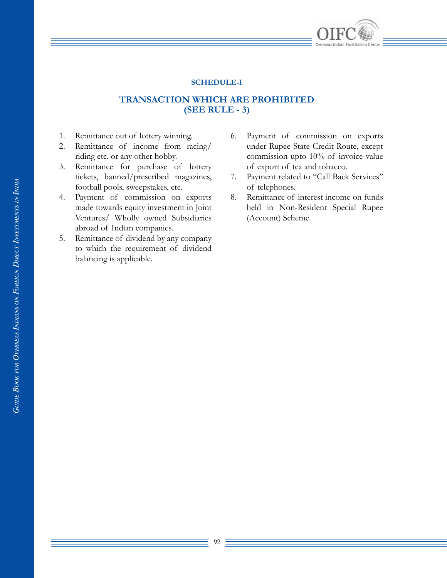

#### **SCHEDULE-I**

## **TRANSACTION WHICH ARE PROHIBITED (SEE RULE - 3)**

- 1. Remittance out of lottery winning.
- 2. Remittance of income from racing/ riding etc. or any other hobby.
- 3. Remittance for purchase of lottery tickets, banned/prescribed magazines, football pools, sweepstakes, etc.
- 4. Payment of commission on exports made towards equity investment in Joint Ventures/ Wholly owned Subsidiaries abroad of Indian companies.
- 5. Remittance of dividend by any company to which the requirement of dividend balancing is applicable.
- 6. Payment of commission on exports under Rupee State Credit Route, except commission upto 10% of invoice value of export of tea and tobacco.
- 7. Payment related to "Call Back Services" of telephones.
- 8. Remittance of interest income on funds held in Non-Resident Special Rupee (Account) Scheme.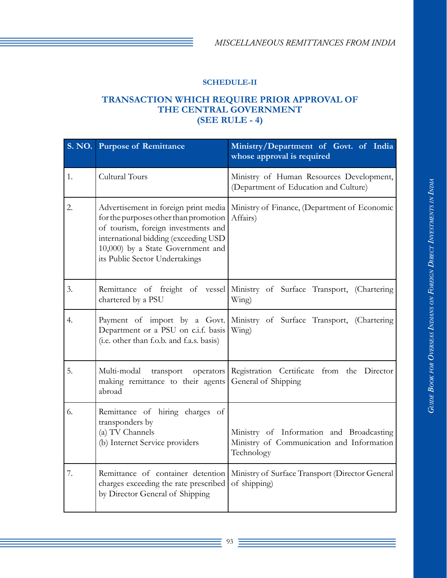## **SCHEDULE-II**

## **TRANSACTION WHICH REQUIRE PRIOR APPROVAL OF THE CENTRAL GOVERNMENT (SEE RULE - 4)**

|    | S. NO. Purpose of Remittance                                                                                                                                                                                                        | Ministry/Department of Govt. of India<br>whose approval is required                                 |  |
|----|-------------------------------------------------------------------------------------------------------------------------------------------------------------------------------------------------------------------------------------|-----------------------------------------------------------------------------------------------------|--|
| 1. | Cultural Tours                                                                                                                                                                                                                      | Ministry of Human Resources Development,<br>(Department of Education and Culture)                   |  |
| 2. | Advertisement in foreign print media<br>for the purposes other than promotion<br>of tourism, foreign investments and<br>international bidding (exceeding USD<br>10,000) by a State Government and<br>its Public Sector Undertakings | Ministry of Finance, (Department of Economic<br>Affairs)                                            |  |
| 3. | chartered by a PSU                                                                                                                                                                                                                  | Remittance of freight of vessel Ministry of Surface Transport, (Chartering<br>Wing)                 |  |
| 4. | Payment of import by a Govt.<br>Department or a PSU on c.i.f. basis<br>(i.e. other than f.o.b. and f.a.s. basis)                                                                                                                    | Ministry of Surface Transport, (Chartering<br>Wing)                                                 |  |
| 5. | Multi-modal<br>transport<br>operators<br>making remittance to their agents<br>abroad                                                                                                                                                | Registration Certificate from the Director<br>General of Shipping                                   |  |
| 6. | Remittance of hiring charges of<br>transponders by<br>(a) TV Channels<br>(b) Internet Service providers                                                                                                                             | Ministry of Information and Broadcasting<br>Ministry of Communication and Information<br>Technology |  |
| 7. | Remittance of container detention<br>charges exceeding the rate prescribed<br>by Director General of Shipping                                                                                                                       | Ministry of Surface Transport (Director General<br>of shipping)                                     |  |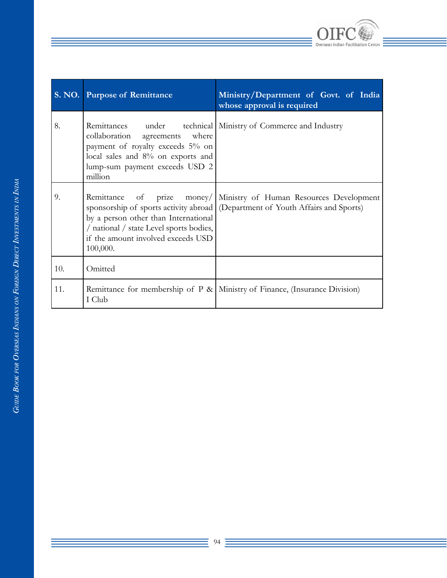

|     | S. NO. Purpose of Remittance                                                                                                                                                                                          | Ministry/Department of Govt. of India<br>whose approval is required                 |
|-----|-----------------------------------------------------------------------------------------------------------------------------------------------------------------------------------------------------------------------|-------------------------------------------------------------------------------------|
| 8.  | Remittances under technical Ministry of Commerce and Industry<br>collaboration agreements where<br>payment of royalty exceeds 5% on<br>local sales and 8% on exports and<br>lump-sum payment exceeds USD 2<br>million |                                                                                     |
| 9.  | Remittance of prize money<br>sponsorship of sports activity abroad<br>by a person other than International<br>/ national / state Level sports bodies,<br>if the amount involved exceeds USD<br>100,000.               | Ministry of Human Resources Development<br>(Department of Youth Affairs and Sports) |
| 10. | Omitted                                                                                                                                                                                                               |                                                                                     |
| 11. | I Club                                                                                                                                                                                                                | Remittance for membership of $P \& \text{Ministry of Finance (Insurance Division)}$ |

 $\equiv$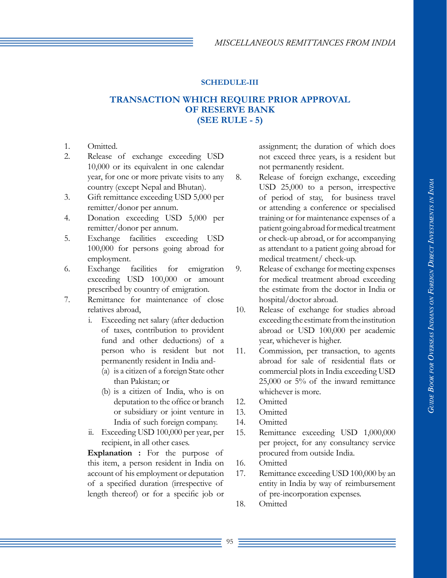## **SCHEDULE-III**

## **TRANSACTION WHICH REQUIRE PRIOR APPROVAL OF RESERVE BANK (SEE RULE - 5)**

- 1. Omitted.
- 2. Release of exchange exceeding USD 10,000 or its equivalent in one calendar year, for one or more private visits to any country (except Nepal and Bhutan).
- 3. Gift remittance exceeding USD 5,000 per remitter/donor per annum.
- 4. Donation exceeding USD 5,000 per remitter/donor per annum.
- 5. Exchange facilities exceeding USD 100,000 for persons going abroad for employment.
- 6. Exchange facilities for emigration exceeding USD 100,000 or amount prescribed by country of emigration.
- 7. Remittance for maintenance of close relatives abroad,
	- i. Exceeding net salary (after deduction of taxes, contribution to provident fund and other deductions) of a person who is resident but not permanently resident in India and-
		- (a) is a citizen of a foreign State other than Pakistan; or
		- (b) is a citizen of India, who is on deputation to the office or branch or subsidiary or joint venture in India of such foreign company.
	- ii. Exceeding USD 100,000 per year, per recipient, in all other cases.

**Explanation :** For the purpose of this item, a person resident in India on account of his employment or deputation of a specified duration (irrespective of length thereof) or for a specific job or

assignment; the duration of which does not exceed three years, is a resident but not permanently resident.

- 8. Release of foreign exchange, exceeding USD 25,000 to a person, irrespective of period of stay, for business travel or attending a conference or specialised training or for maintenance expenses of a patient going abroad for medical treatment or check-up abroad, or for accompanying as attendant to a patient going abroad for medical treatment/ check-up.
- 9. Release of exchange for meeting expenses for medical treatment abroad exceeding the estimate from the doctor in India or hospital/doctor abroad.
- 10. Release of exchange for studies abroad exceeding the estimate from the institution abroad or USD 100,000 per academic year, whichever is higher.
- 11. Commission, per transaction, to agents abroad for sale of residential flats or commercial plots in India exceeding USD 25,000 or 5% of the inward remittance whichever is more.
- 12. Omitted
- 13. Omitted
- 14. Omitted
- 15. Remittance exceeding USD 1,000,000 per project, for any consultancy service procured from outside India.
- 16. Omitted
- 17. Remittance exceeding USD 100,000 by an entity in India by way of reimbursement of pre-incorporation expenses.
- 18. Omitted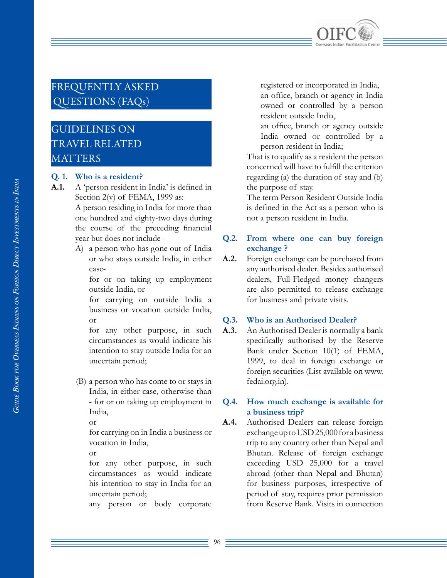

# FREQUENTLY ASKED QUESTIONS (FAQs)

# GUIDELINES ON TRAVEL RELATED MATTERS

#### **Q. 1. Who is a resident?**

- **A.1.** A 'person resident in India' is defined in Section 2(v) of FEMA, 1999 as: A person residing in India for more than one hundred and eighty-two days during the course of the preceding financial year but does not include -
	- A) a person who has gone out of India or who stays outside India, in either case-

for or on taking up employment outside India, or

for carrying on outside India a business or vocation outside India, or

for any other purpose, in such circumstances as would indicate his intention to stay outside India for an uncertain period;

(B) a person who has come to or stays in India, in either case, otherwise than - for or on taking up employment in India,

or

for carrying on in India a business or vocation in India,

or

for any other purpose, in such circumstances as would indicate his intention to stay in India for an uncertain period;

any person or body corporate

registered or incorporated in India,

an office, branch or agency in India owned or controlled by a person resident outside India,

an office, branch or agency outside India owned or controlled by a person resident in India;

That is to qualify as a resident the person concerned will have to fulfill the criterion regarding (a) the duration of stay and (b) the purpose of stay.

The term Person Resident Outside India is defined in the Act as a person who is not a person resident in India.

## **Q.2. From where one can buy foreign exchange ?**

**A.2.** Foreign exchange can be purchased from any authorised dealer. Besides authorised dealers, Full-Fledged money changers are also permitted to release exchange for business and private visits.

## **Q.3. Who is an Authorised Dealer?**

**A.3.** An Authorised Dealer is normally a bank specifically authorised by the Reserve Bank under Section 10(1) of FEMA, 1999, to deal in foreign exchange or foreign securities (List available on www. fedai.org.in).

## **Q.4. How much exchange is available for a business trip?**

**A.4.** Authorised Dealers can release foreign exchange up to USD 25,000 for a business trip to any country other than Nepal and Bhutan. Release of foreign exchange exceeding USD 25,000 for a travel abroad (other than Nepal and Bhutan) for business purposes, irrespective of period of stay, requires prior permission from Reserve Bank. Visits in connection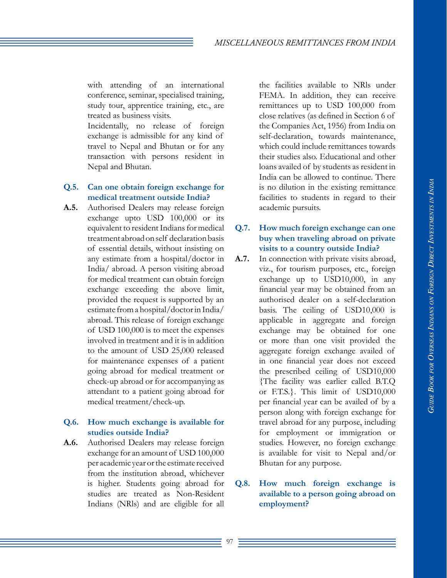#### *MISCELLANEOUS REMITTANCES FROM INDIA*

with attending of an international conference, seminar, specialised training, study tour, apprentice training, etc., are treated as business visits.

Incidentally, no release of foreign exchange is admissible for any kind of travel to Nepal and Bhutan or for any transaction with persons resident in Nepal and Bhutan.

#### **Q.5. Can one obtain foreign exchange for medical treatment outside India?**

**A.5.** Authorised Dealers may release foreign exchange upto USD 100,000 or its equivalent to resident Indians for medical treatment abroad on self declaration basis of essential details, without insisting on any estimate from a hospital/doctor in India/ abroad. A person visiting abroad for medical treatment can obtain foreign exchange exceeding the above limit, provided the request is supported by an estimate from a hospital/doctor in India/ abroad. This release of foreign exchange of USD 100,000 is to meet the expenses involved in treatment and it is in addition to the amount of USD 25,000 released for maintenance expenses of a patient going abroad for medical treatment or check-up abroad or for accompanying as attendant to a patient going abroad for medical treatment/check-up.

#### **Q.6. How much exchange is available for studies outside India?**

**A.6.** Authorised Dealers may release foreign exchange for an amount of USD 100,000 per academic year or the estimate received from the institution abroad, whichever is higher. Students going abroad for studies are treated as Non-Resident Indians (NRls) and are eligible for all

the facilities available to NRls under FEMA. In addition, they can receive remittances up to USD 100,000 from close relatives (as defined in Section 6 of the Companies Act, 1956) from India on self-declaration, towards maintenance, which could include remittances towards their studies also. Educational and other loans availed of by students as resident in India can be allowed to continue. There is no dilution in the existing remittance facilities to students in regard to their academic pursuits.

## **Q.7. How much foreign exchange can one buy when traveling abroad on private visits to a country outside India?**

**A.7.** In connection with private visits abroad, viz., for tourism purposes, etc., foreign exchange up to USD10,000, in any financial year may be obtained from an authorised dealer on a self-declaration basis. The ceiling of USD10,000 is applicable in aggregate and foreign exchange may be obtained for one or more than one visit provided the aggregate foreign exchange availed of in one financial year does not exceed the prescribed ceiling of USD10,000 {The facility was earlier called B.T.Q or F.T.S.}. This limit of USD10,000 per financial year can be availed of by a person along with foreign exchange for travel abroad for any purpose, including for employment or immigration or studies. However, no foreign exchange is available for visit to Nepal and/or Bhutan for any purpose.

## **Q.8. How much foreign exchange is available to a person going abroad on employment?**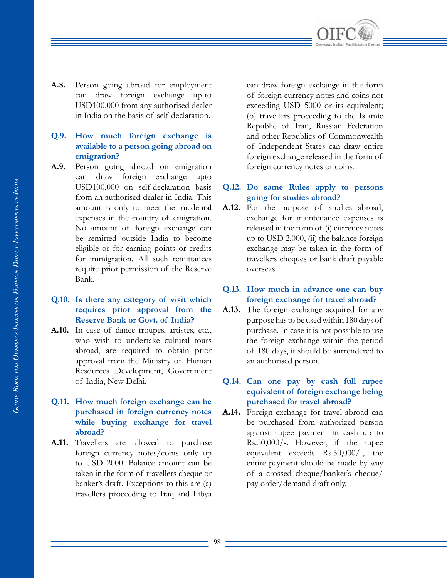

**A.8.** Person going abroad for employment can draw foreign exchange up-to USD100,000 from any authorised dealer in India on the basis of self-declaration.

## **Q.9. How much foreign exchange is available to a person going abroad on emigration?**

**A.9.** Person going abroad on emigration can draw foreign exchange upto USD100,000 on self-declaration basis from an authorised dealer in India. This amount is only to meet the incidental expenses in the country of emigration. No amount of foreign exchange can be remitted outside India to become eligible or for earning points or credits for immigration. All such remittances require prior permission of the Reserve Bank.

#### **Q.10. Is there any category of visit which requires prior approval from the Reserve Bank or Govt. of India?**

**A.10.** In case of dance troupes, artistes, etc., who wish to undertake cultural tours abroad, are required to obtain prior approval from the Ministry of Human Resources Development, Government of India, New Delhi.

## **Q.11. How much foreign exchange can be purchased in foreign currency notes while buying exchange for travel abroad?**

**A.11.** Travellers are allowed to purchase foreign currency notes/coins only up to USD 2000. Balance amount can be taken in the form of travellers cheque or banker's draft. Exceptions to this are (a) travellers proceeding to Iraq and Libya can draw foreign exchange in the form of foreign currency notes and coins not exceeding USD 5000 or its equivalent; (b) travellers proceeding to the Islamic Republic of Iran, Russian Federation and other Republics of Commonwealth of Independent States can draw entire foreign exchange released in the form of foreign currency notes or coins.

#### **Q.12. Do same Rules apply to persons going for studies abroad?**

**A.12.** For the purpose of studies abroad, exchange for maintenance expenses is released in the form of (i) currency notes up to USD 2,000, (ii) the balance foreign exchange may be taken in the form of travellers cheques or bank draft payable overseas.

#### **Q.13. How much in advance one can buy foreign exchange for travel abroad?**

**A.13.** The foreign exchange acquired for any purpose has to be used within 180 days of purchase. In case it is not possible to use the foreign exchange within the period of 180 days, it should be surrendered to an authorised person.

## **Q.14. Can one pay by cash full rupee equivalent of foreign exchange being purchased for travel abroad?**

**A.14.** Foreign exchange for travel abroad can be purchased from authorized person against rupee payment in cash up to Rs.50,000/-. However, if the rupee equivalent exceeds Rs.50,000/-, the entire payment should be made by way of a crossed cheque/banker's cheque/ pay order/demand draft only.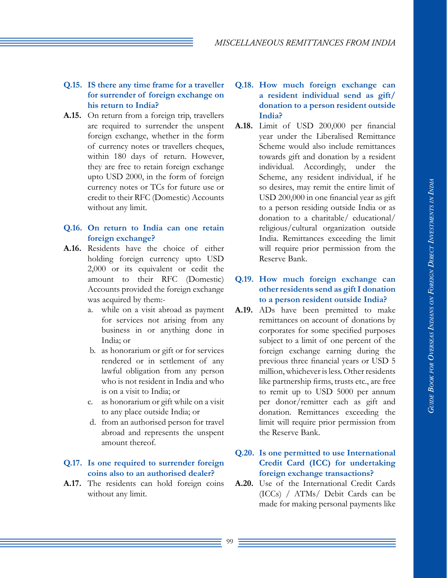#### *MISCELLANEOUS REMITTANCES FROM INDIA*

## **Q.15. IS there any time frame for a traveller for surrender of foreign exchange on his return to India?**

**A.15.** On return from a foreign trip, travellers are required to surrender the unspent foreign exchange, whether in the form of currency notes or travellers cheques, within 180 days of return. However, they are free to retain foreign exchange upto USD 2000, in the form of foreign currency notes or TCs for future use or credit to their RFC (Domestic) Accounts without any limit.

#### **Q.16. On return to India can one retain foreign exchange?**

- **A.16.** Residents have the choice of either holding foreign currency upto USD 2,000 or its equivalent or cedit the amount to their RFC (Domestic) Accounts provided the foreign exchange was acquired by them:
	- a. while on a visit abroad as payment for services not arising from any business in or anything done in India; or
	- b. as honorarium or gift or for services rendered or in settlement of any lawful obligation from any person who is not resident in India and who is on a visit to India; or
	- c. as honorarium or gift while on a visit to any place outside India; or
	- d. from an authorised person for travel abroad and represents the unspent amount thereof.

## **Q.17. Is one required to surrender foreign coins also to an authorised dealer?**

**A.17.** The residents can hold foreign coins without any limit.

## **Q.18. How much foreign exchange can a resident individual send as gift/ donation to a person resident outside India?**

**A.18.** Limit of USD 200,000 per financial year under the Liberalised Remittance Scheme would also include remittances towards gift and donation by a resident individual. Accordingly, under the Scheme, any resident individual, if he so desires, may remit the entire limit of USD 200,000 in one financial year as gift to a person residing outside India or as donation to a charitable/ educational/ religious/cultural organization outside India. Remittances exceeding the limit will require prior permission from the Reserve Bank.

## **Q.19. How much foreign exchange can other residents send as gift I donation to a person resident outside India?**

**A.19.** ADs have been premitted to make remittances on account of donations by corporates for some specified purposes subject to a limit of one percent of the foreign exchange earning during the previous three financial years or USD 5 million, whichever is less. Other residents like partnership firms, trusts etc., are free to remit up to USD 5000 per annum per donor/remitter each as gift and donation. Remittances exceeding the limit will require prior permission from the Reserve Bank.

## **Q.20. Is one permitted to use International Credit Card (ICC) for undertaking foreign exchange transactions?**

**A.20.** Use of the International Credit Cards (ICCs) / ATMs/ Debit Cards can be made for making personal payments like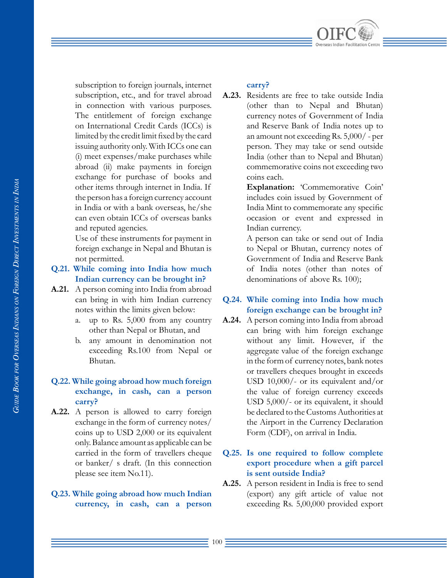

subscription to foreign journals, internet subscription, etc., and for travel abroad in connection with various purposes. The entitlement of foreign exchange on International Credit Cards (ICCs) is limited by the credit limit fixed by the card issuing authority only. With ICCs one can (i) meet expenses/make purchases while abroad (ii) make payments in foreign exchange for purchase of books and other items through internet in India. If the person has a foreign currency account in India or with a bank overseas, he/she can even obtain ICCs of overseas banks and reputed agencies.

Use of these instruments for payment in foreign exchange in Nepal and Bhutan is not permitted.

## **Q.21. While coming into India how much Indian currency can be brought in?**

- **A.21.** A person coming into India from abroad can bring in with him Indian currency notes within the limits given below:
	- a. up to Rs. 5,000 from any country other than Nepal or Bhutan, and
	- b. any amount in denomination not exceeding Rs.100 from Nepal or Bhutan.

## **Q.22. While going abroad how much foreign exchange, in cash, can a person carry?**

**A.22.** A person is allowed to carry foreign exchange in the form of currency notes/ coins up to USD 2,000 or its equivalent only. Balance amount as applicable can be carried in the form of travellers cheque or banker/ s draft. (In this connection please see item No.11).

## **Q.23. While going abroad how much Indian currency, in cash, can a person**

#### **carry?**

**A.23.** Residents are free to take outside India (other than to Nepal and Bhutan) currency notes of Government of India and Reserve Bank of India notes up to an amount not exceeding Rs. 5,000/ - per person. They may take or send outside India (other than to Nepal and Bhutan) commemorative coins not exceeding two coins each.

> **Explanation:** 'Commemorative Coin' includes coin issued by Government of India Mint to commemorate any specific occasion or event and expressed in Indian currency.

> A person can take or send out of India to Nepal or Bhutan, currency notes of Government of India and Reserve Bank of India notes (other than notes of denominations of above Rs. 100);

## **Q.24. While coming into India how much foreign exchange can be brought in?**

**A.24.** A person coming into India from abroad can bring with him foreign exchange without any limit. However, if the aggregate value of the foreign exchange in the form of currency notes, bank notes or travellers cheques brought in exceeds USD 10,000/- or its equivalent and/or the value of foreign currency exceeds USD 5,000/- or its equivalent, it should be declared to the Customs Authorities at the Airport in the Currency Declaration Form (CDF), on arrival in India.

## **Q.25. Is one required to follow complete export procedure when a gift parcel is sent outside India?**

**A.25.** A person resident in India is free to send (export) any gift article of value not exceeding Rs. 5,00,000 provided export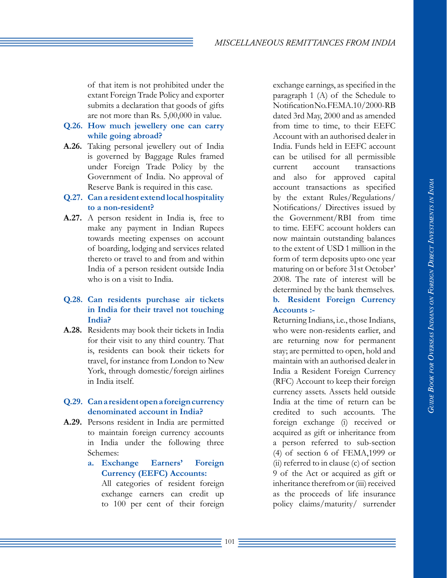of that item is not prohibited under the extant Foreign Trade Policy and exporter submits a declaration that goods of gifts are not more than Rs. 5,00,000 in value.

## **Q.26. How much jewellery one can carry while going abroad?**

**A.26.** Taking personal jewellery out of India is governed by Baggage Rules framed under Foreign Trade Policy by the Government of India. No approval of Reserve Bank is required in this case.

## **Q.27. Can a resident extend local hospitality to a non-resident?**

**A.27.** A person resident in India is, free to make any payment in Indian Rupees towards meeting expenses on account of boarding, lodging and services related thereto or travel to and from and within India of a person resident outside India who is on a visit to India.

## **Q.28. Can residents purchase air tickets in India for their travel not touching India?**

**A.28.** Residents may book their tickets in India for their visit to any third country. That is, residents can book their tickets for travel, for instance from London to New York, through domestic/foreign airlines in India itself.

#### **Q.29. Can a resident open a foreign currency denominated account in India?**

- **A.29.** Persons resident in India are permitted to maintain foreign currency accounts in India under the following three Schemes:
	- **a. Exchange Earners' Foreign Currency (EEFC) Accounts:**

All categories of resident foreign exchange earners can credit up to 100 per cent of their foreign exchange earnings, as specified in the paragraph 1 (A) of the Schedule to Notification No. FEMA.10/2000-RB dated 3rd May, 2000 and as amended from time to time, to their EEFC Account with an authorised dealer in India. Funds held in EEFC account can be utilised for all permissible current account transactions and also for approved capital account transactions as specified by the extant Rules/Regulations/ Notifications/ Directives issued by the Government/RBI from time to time. EEFC account holders can now maintain outstanding balances to the extent of USD 1 million in the form of term deposits upto one year maturing on or before 31st October' 2008. The rate of interest will be determined by the bank themselves. **b. Resident Foreign Currency Accounts :-**

Returning Indians, i.e., those Indians, who were non-residents earlier, and are returning now for permanent stay; are permitted to open, hold and maintain with an authorised dealer in India a Resident Foreign Currency (RFC) Account to keep their foreign currency assets. Assets held outside India at the time of return can be credited to such accounts. The foreign exchange (i) received or acquired as gift or inheritance from a person referred to sub-section (4) of section 6 of FEMA,1999 or (ii) referred to in clause (c) of section 9 of the Act or acquired as gift or inheritance therefrom or (iii) received as the proceeds of life insurance policy claims/maturity/ surrender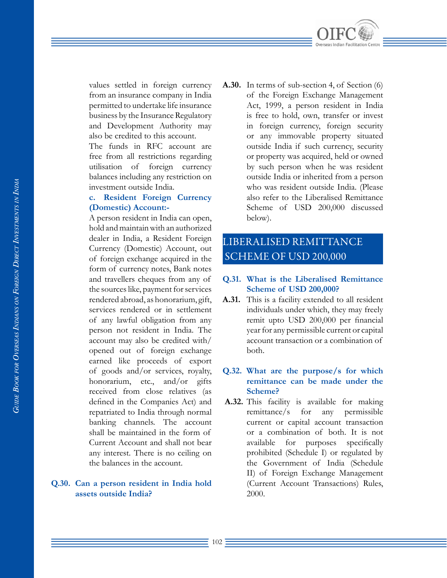

values settled in foreign currency from an insurance company in India permitted to undertake life insurance business by the Insurance Regulatory and Development Authority may also be credited to this account.

The funds in RFC account are free from all restrictions regarding utilisation of foreign currency balances including any restriction on investment outside India.

## **c. Resident Foreign Currency (Domestic) Account:-**

A person resident in India can open, hold and maintain with an authorized dealer in India, a Resident Foreign Currency (Domestic) Account, out of foreign exchange acquired in the form of currency notes, Bank notes and travellers cheques from any of the sources like, payment for services rendered abroad, as honorarium, gift, services rendered or in settlement of any lawful obligation from any person not resident in India. The account may also be credited with/ opened out of foreign exchange earned like proceeds of export of goods and/or services, royalty, honorarium, etc., and/or gifts received from close relatives (as defined in the Companies Act) and repatriated to India through normal banking channels. The account shall be maintained in the form of Current Account and shall not bear any interest. There is no ceiling on the balances in the account.

## **Q.30. Can a person resident in India hold assets outside India?**

**A.30.** In terms of sub-section 4, of Section (6) of the Foreign Exchange Management Act, 1999, a person resident in India is free to hold, own, transfer or invest in foreign currency, foreign security or any immovable property situated outside India if such currency, security or property was acquired, held or owned by such person when he was resident outside India or inherited from a person who was resident outside India. (Please also refer to the Liberalised Remittance Scheme of USD 200,000 discussed below).

## LIBERALISED REMITTANCE SCHEME OF USD 200,000

- **Q.31. What is the Liberalised Remittance Scheme of USD 200,000?**
- **A.31.** This is a facility extended to all resident individuals under which, they may freely remit upto USD 200,000 per financial year for any permissible current or capital account transaction or a combination of both.

## **Q.32. What are the purpose/s for which remittance can be made under the Scheme?**

**A.32.** This facility is available for making remittance/s for any permissible current or capital account transaction or a combination of both. It is not available for purposes specifically prohibited (Schedule I) or regulated by the Government of India (Schedule II) of Foreign Exchange Management (Current Account Transactions) Rules, 2000.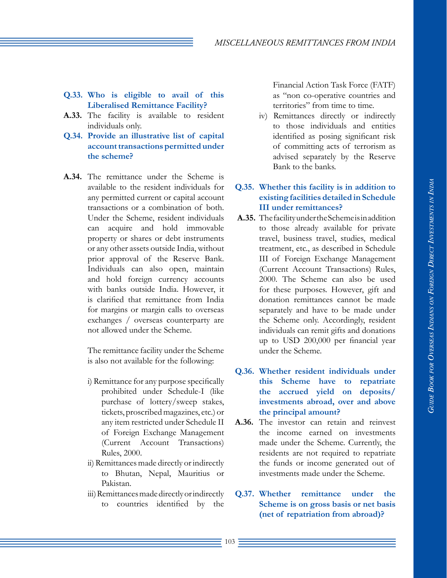- **Q.33. Who is eligible to avail of this Liberalised Remittance Facility?**
- **A.33.** The facility is available to resident individuals only.
- **Q.34. Provide an illustrative list of capital account transactions permitted under the scheme?**
- **A.34.** The remittance under the Scheme is available to the resident individuals for any permitted current or capital account transactions or a combination of both. Under the Scheme, resident individuals can acquire and hold immovable property or shares or debt instruments or any other assets outside India, without prior approval of the Reserve Bank. Individuals can also open, maintain and hold foreign currency accounts with banks outside India. However, it is clarified that remittance from India for margins or margin calls to overseas exchanges / overseas counterparty are not allowed under the Scheme.

The remittance facility under the Scheme is also not available for the following:

- i) Remittance for any purpose specifically prohibited under Schedule-I (like purchase of lottery/sweep stakes, tickets, proscribed magazines, etc.) or any item restricted under Schedule II of Foreign Exchange Management (Current Account Transactions) Rules, 2000.
- ii) Remittances made directly or indirectly to Bhutan, Nepal, Mauritius or Pakistan.
- iii) Remittances made directly or indirectly to countries identified by the

Financial Action Task Force (FATF) as "non co-operative countries and territories" from time to time.

iv) Remittances directly or indirectly to those individuals and entities identified as posing significant risk of committing acts of terrorism as advised separately by the Reserve Bank to the banks.

## **Q.35. Whether this facility is in addition to existing facilities detailed in Schedule III under remittances?**

- A.35. The facility under the Scheme is in addition to those already available for private travel, business travel, studies, medical treatment, etc., as described in Schedule III of Foreign Exchange Management (Current Account Transactions) Rules, 2000. The Scheme can also be used for these purposes. However, gift and donation remittances cannot be made separately and have to be made under the Scheme only. Accordingly, resident individuals can remit gifts and donations up to USD 200,000 per financial year under the Scheme.
- **Q.36. Whether resident individuals under this Scheme have to repatriate the accrued yield on deposits/ investments abroad, over and above the principal amount?**
- **A.36.** The investor can retain and reinvest the income earned on investments made under the Scheme. Currently, the residents are not required to repatriate the funds or income generated out of investments made under the Scheme.
- **Q.37. Whether remittance under the Scheme is on gross basis or net basis (net of repatriation from abroad)?**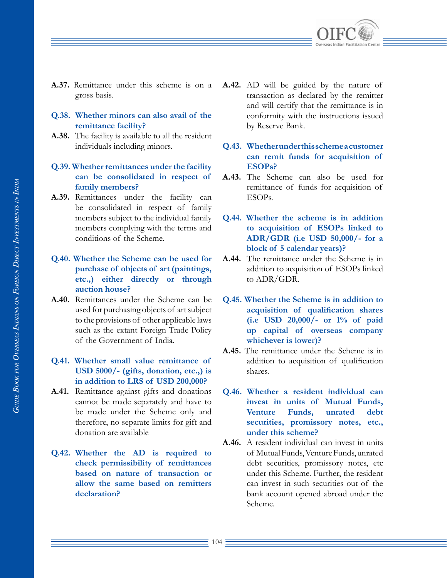

- **A.37.** Remittance under this scheme is on a gross basis.
- **Q.38. Whether minors can also avail of the remittance facility?**
- **A.38.** The facility is available to all the resident individuals including minors.

## **Q.39. Whether remittances under the facility can be consolidated in respect of family members?**

**A.39.** Remittances under the facility can be consolidated in respect of family members subject to the individual family members complying with the terms and conditions of the Scheme.

## **Q.40. Whether the Scheme can be used for purchase of objects of art (paintings, etc.,) either directly or through auction house?**

**A.40.** Remittances under the Scheme can be used for purchasing objects of art subject to the provisions of other applicable laws such as the extant Foreign Trade Policy of the Government of India.

## **Q.41. Whether small value remittance of USD 5000/- (gifts, donation, etc.,) is in addition to LRS of USD 200,000?**

- **A.41.** Remittance against gifts and donations cannot be made separately and have to be made under the Scheme only and therefore, no separate limits for gift and donation are available
- **Q.42. Whether the AD is required to check permissibility of remittances based on nature of transaction or allow the same based on remitters declaration?**
- **A.42.** AD will be guided by the nature of transaction as declared by the remitter and will certify that the remittance is in conformity with the instructions issued by Reserve Bank.
- **Q.43. Whether under this scheme a customer can remit funds for acquisition of ESOPs?**
- **A.43.** The Scheme can also be used for remittance of funds for acquisition of ESOPs.
- **Q.44. Whether the scheme is in addition to acquisition of ESOPs linked to ADR/GDR (i.e USD 50,000/- for a block of 5 calendar years)?**
- **A.44.** The remittance under the Scheme is in addition to acquisition of ESOPs linked to ADR/GDR.
- **Q.45. Whether the Scheme is in addition to acquisition of qualification shares (i.e USD 20,000/- or 1% of paid up capital of overseas company whichever is lower)?**
- **A.45.** The remittance under the Scheme is in addition to acquisition of qualification shares.
- **Q.46. Whether a resident individual can invest in units of Mutual Funds, Venture Funds, unrated debt securities, promissory notes, etc., under this scheme?**
- **A.46.** A resident individual can invest in units of Mutual Funds, Venture Funds, unrated debt securities, promissory notes, etc under this Scheme. Further, the resident can invest in such securities out of the bank account opened abroad under the Scheme.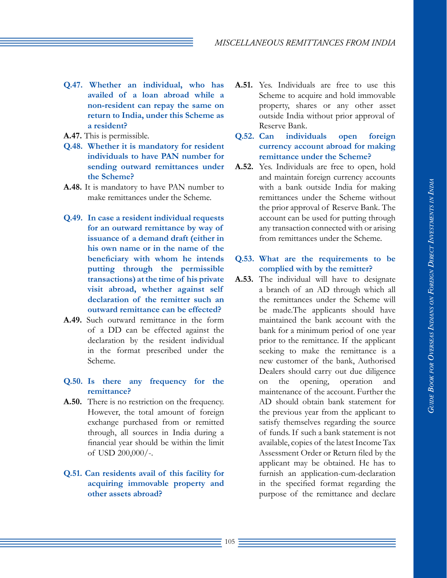- **Q.47. Whether an individual, who has availed of a loan abroad while a non-resident can repay the same on return to India, under this Scheme as a resident?**
- **A.47.** This is permissible.
- **Q.48. Whether it is mandatory for resident individuals to have PAN number for sending outward remittances under the Scheme?**
- **A.48.** It is mandatory to have PAN number to make remittances under the Scheme.
- **Q.49. In case a resident individual requests for an outward remittance by way of issuance of a demand draft (either in his own name or in the name of the beneficiary with whom he intends putting through the permissible transactions) at the time of his private visit abroad, whether against self declaration of the remitter such an outward remittance can be effected?**
- **A.49.** Such outward remittance in the form of a DD can be effected against the declaration by the resident individual in the format prescribed under the Scheme.
- **Q.50. Is there any frequency for the remittance?**
- **A.50.** There is no restriction on the frequency. However, the total amount of foreign exchange purchased from or remitted through, all sources in India during a financial year should be within the limit of USD 200,000/-.

## **Q.51. Can residents avail of this facility for acquiring immovable property and other assets abroad?**

- **A.51.** Yes. Individuals are free to use this Scheme to acquire and hold immovable property, shares or any other asset outside India without prior approval of Reserve Bank.
- **Q.52. Can individuals open foreign currency account abroad for making remittance under the Scheme?**
- **A.52.** Yes. Individuals are free to open, hold and maintain foreign currency accounts with a bank outside India for making remittances under the Scheme without the prior approval of Reserve Bank. The account can be used for putting through any transaction connected with or arising from remittances under the Scheme.

## **Q.53. What are the requirements to be complied with by the remitter?**

**A.53.** The individual will have to designate a branch of an AD through which all the remittances under the Scheme will be made.The applicants should have maintained the bank account with the bank for a minimum period of one year prior to the remittance. If the applicant seeking to make the remittance is a new customer of the bank, Authorised Dealers should carry out due diligence on the opening, operation and maintenance of the account. Further the AD should obtain bank statement for the previous year from the applicant to satisfy themselves regarding the source of funds. If such a bank statement is not available, copies of the latest Income Tax Assessment Order or Return filed by the applicant may be obtained. He has to furnish an application-cum-declaration in the specified format regarding the purpose of the remittance and declare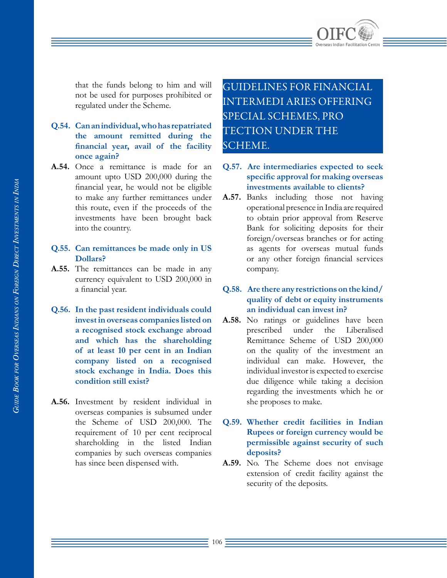

that the funds belong to him and will not be used for purposes prohibited or regulated under the Scheme.

## **Q.54. Can an individual, who has repatriated the amount remitted during the financial year, avail of the facility once again?**

**A.54.** Once a remittance is made for an amount upto USD 200,000 during the financial year, he would not be eligible to make any further remittances under this route, even if the proceeds of the investments have been brought back into the country.

#### **Q.55. Can remittances be made only in US Dollars?**

- **A.55.** The remittances can be made in any currency equivalent to USD 200,000 in a financial year.
- **Q.56. In the past resident individuals could invest in overseas companies listed on a recognised stock exchange abroad and which has the shareholding of at least 10 per cent in an Indian company listed on a recognised stock exchange in India. Does this condition still exist?**
- **A.56.** Investment by resident individual in overseas companies is subsumed under the Scheme of USD 200,000. The requirement of 10 per cent reciprocal shareholding in the listed Indian companies by such overseas companies has since been dispensed with.

GUIDELINES FOR FINANCIAL INTERMEDI ARIES OFFERING SPECIAL SCHEMES, PRO TECTION UNDER THE SCHEME.

- **Q.57. Are intermediaries expected to seek specific approval for making overseas investments available to clients?**
- **A.57.** Banks including those not having operational presence in India are required to obtain prior approval from Reserve Bank for soliciting deposits for their foreign/overseas branches or for acting as agents for overseas mutual funds or any other foreign financial services company.
- **Q.58. Are there any restrictions on the kind/ quality of debt or equity instruments an individual can invest in?**
- **A.58.** No ratings or guidelines have been prescribed under the Liberalised Remittance Scheme of USD 200,000 on the quality of the investment an individual can make. However, the individual investor is expected to exercise due diligence while taking a decision regarding the investments which he or she proposes to make.
- **Q.59. Whether credit facilities in Indian Rupees or foreign currency would be permissible against security of such deposits?**
- **A.59.** No. The Scheme does not envisage extension of credit facility against the security of the deposits.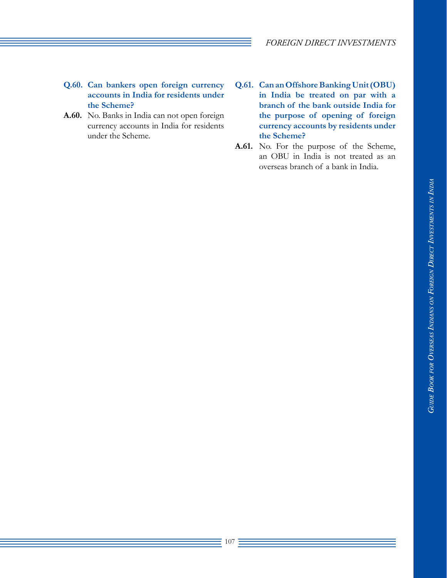- **Q.60. Can bankers open foreign currency accounts in India for residents under the Scheme?**
- **A.60.** No. Banks in India can not open foreign currency accounts in India for residents under the Scheme.
- **Q.61. Can an Offshore Banking Unit (OBU) in India be treated on par with a branch of the bank outside India for the purpose of opening of foreign currency accounts by residents under the Scheme?**
- **A.61.** No. For the purpose of the Scheme, an OBU in India is not treated as an overseas branch of a bank in India.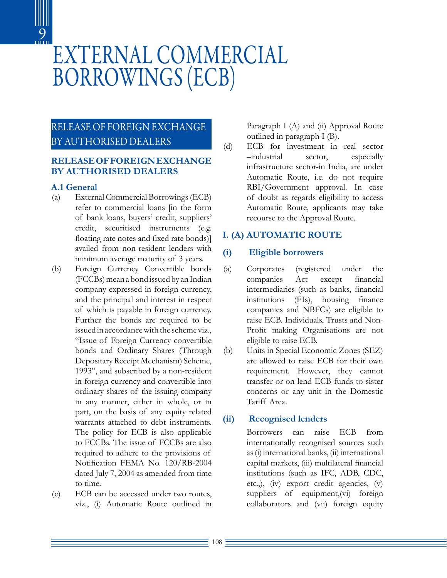

# RELEASE OF FOREIGN EXCHANGE BY AUTHORISED DEALERS

#### **RELEASE OF FOREIGN EXCHANGE BY AUTHORISED DEALERS**

#### **A.1 General**

- (a) External Commercial Borrowings (ECB) refer to commercial loans [in the form of bank loans, buyers' credit, suppliers' credit, securitised instruments (e.g. floating rate notes and fixed rate bonds)] availed from non-resident lenders with minimum average maturity of 3 years.
- (b) Foreign Currency Convertible bonds (FCCBs) mean a bond issued by an Indian company expressed in foreign currency, and the principal and interest in respect of which is payable in foreign currency. Further the bonds are required to be issued in accordance with the scheme viz., "Issue of Foreign Currency convertible bonds and Ordinary Shares (Through Depositary Receipt Mechanism) Scheme, 1993", and subscribed by a non-resident in foreign currency and convertible into ordinary shares of the issuing company in any manner, either in whole, or in part, on the basis of any equity related warrants attached to debt instruments. The policy for ECB is also applicable to FCCBs. The issue of FCCBs are also required to adhere to the provisions of Notification FEMA No. 120/RB-2004 dated July 7, 2004 as amended from time to time.
- (c) ECB can be accessed under two routes, viz., (i) Automatic Route outlined in

Paragraph I (A) and (ii) Approval Route outlined in paragraph I (B).

(d) ECB for investment in real sector –industrial sector, especially infrastructure sector-in India, are under Automatic Route, i.e. do not require RBI/Government approval. In case of doubt as regards eligibility to access Automatic Route, applicants may take recourse to the Approval Route.

#### **I. (A) AUTOMATIC ROUTE**

#### **(i) Eligible borrowers**

- (a) Corporates (registered under the companies Act except financial intermediaries (such as banks, financial institutions (FIs), housing finance companies and NBFCs) are eligible to raise ECB. Individuals, Trusts and Non-Profit making Organisations are not eligible to raise ECB.
- (b) Units in Special Economic Zones (SEZ) are allowed to raise ECB for their own requirement. However, they cannot transfer or on-lend ECB funds to sister concerns or any unit in the Domestic Tariff Area.

## **(ii) Recognised lenders**

Borrowers can raise ECB from internationally recognised sources such as (i) international banks, (ii) international capital markets, (iii) multilateral financial institutions (such as IFC, ADB, CDC, etc.,), (iv) export credit agencies, (v) suppliers of equipment,(vi) foreign collaborators and (vii) foreign equity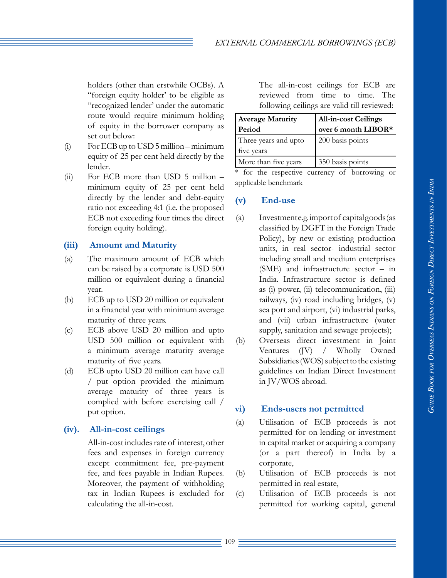holders (other than erstwhile OCBs). A "foreign equity holder' to be eligible as "recognized lender' under the automatic route would require minimum holding of equity in the borrower company as set out below:

- (i) For ECB up to USD 5 million minimum equity of 25 per cent held directly by the lender.
- (ii) For ECB more than USD 5 million minimum equity of 25 per cent held directly by the lender and debt-equity ratio not exceeding 4:1 (i.e. the proposed ECB not exceeding four times the direct foreign equity holding).

#### **(iii) Amount and Maturity**

- (a) The maximum amount of ECB which can be raised by a corporate is USD 500 million or equivalent during a financial year.
- (b) ECB up to USD 20 million or equivalent in a financial year with minimum average maturity of three years.
- (c) ECB above USD 20 million and upto USD 500 million or equivalent with a minimum average maturity average maturity of five years.
- (d) ECB upto USD 20 million can have call / put option provided the minimum average maturity of three years is complied with before exercising call / put option.

#### **(iv). All-in-cost ceilings**

All-in-cost includes rate of interest, other fees and expenses in foreign currency except commitment fee, pre-payment fee, and fees payable in Indian Rupees. Moreover, the payment of withholding tax in Indian Rupees is excluded for calculating the all-in-cost.

The all-in-cost ceilings for ECB are reviewed from time to time. The following ceilings are valid till reviewed:

| <b>Average Maturity</b><br>Period  | <b>All-in-cost Ceilings</b><br>over 6 month LIBOR* |
|------------------------------------|----------------------------------------------------|
| Three years and upto<br>five years | 200 basis points                                   |
| More than five years               | 350 basis points                                   |

\* for the respective currency of borrowing or applicable benchmark

#### **(v) End-use**

- $(a)$  Investmente.g. import of capital goods (as classified by DGFT in the Foreign Trade Policy), by new or existing production units, in real sector- industrial sector including small and medium enterprises (SME) and infrastructure sector – in India. Infrastructure sector is defined as (i) power, (ii) telecommunication, (iii) railways, (iv) road including bridges, (v) sea port and airport, (vi) industrial parks, and (vii) urban infrastructure (water supply, sanitation and sewage projects);
- (b) Overseas direct investment in Joint Ventures (JV) / Wholly Owned Subsidiaries (WOS) subject to the existing guidelines on Indian Direct Investment in JV/WOS abroad.

#### **vi) Ends-users not permitted**

- (a) Utilisation of ECB proceeds is not permitted for on-lending or investment in capital market or acquiring a company (or a part thereof) in India by a corporate,
- (b) Utilisation of ECB proceeds is not permitted in real estate,
- (c) Utilisation of ECB proceeds is not permitted for working capital, general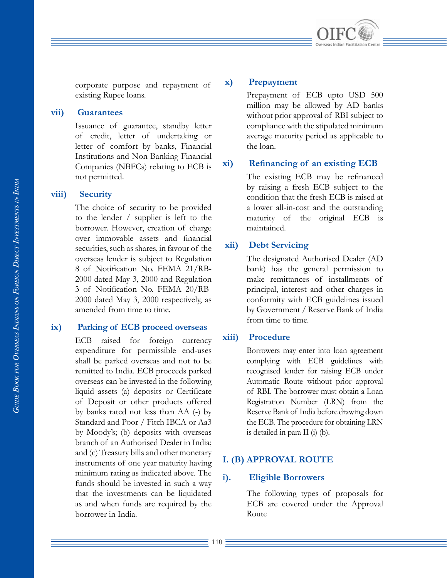

corporate purpose and repayment of existing Rupee loans.

#### **vii) Guarantees**

Issuance of guarantee, standby letter of credit, letter of undertaking or letter of comfort by banks, Financial Institutions and Non-Banking Financial Companies (NBFCs) relating to ECB is not permitted.

#### **viii) Security**

The choice of security to be provided to the lender / supplier is left to the borrower. However, creation of charge over immovable assets and financial securities, such as shares, in favour of the overseas lender is subject to Regulation 8 of Notification No. FEMA 21/RB-2000 dated May 3, 2000 and Regulation 3 of Notification No. FEMA 20/RB-2000 dated May 3, 2000 respectively, as amended from time to time.

#### **ix) Parking of ECB proceed overseas**

ECB raised for foreign currency expenditure for permissible end-uses shall be parked overseas and not to be remitted to India. ECB proceeds parked overseas can be invested in the following liquid assets (a) deposits or Certificate of Deposit or other products offered by banks rated not less than AA (-) by Standard and Poor / Fitch IBCA or Aa3 by Moody's; (b) deposits with overseas branch of an Authorised Dealer in India; and (c) Treasury bills and other monetary instruments of one year maturity having minimum rating as indicated above. The funds should be invested in such a way that the investments can be liquidated as and when funds are required by the borrower in India.

#### **x) Prepayment**

Prepayment of ECB upto USD 500 million may be allowed by AD banks without prior approval of RBI subject to compliance with the stipulated minimum average maturity period as applicable to the loan.

#### **xi) Refinancing of an existing ECB**

The existing ECB may be refinanced by raising a fresh ECB subject to the condition that the fresh ECB is raised at a lower all-in-cost and the outstanding maturity of the original ECB is maintained.

#### **xii) Debt Servicing**

The designated Authorised Dealer (AD bank) has the general permission to make remittances of installments of principal, interest and other charges in conformity with ECB guidelines issued by Government / Reserve Bank of India from time to time.

#### **xiii) Procedure**

Borrowers may enter into loan agreement complying with ECB guidelines with recognised lender for raising ECB under Automatic Route without prior approval of RBI. The borrower must obtain a Loan Registration Number (LRN) from the Reserve Bank of India before drawing down the ECB. The procedure for obtaining LRN is detailed in para II (i) (b).

#### **I. (B) APPROVAL ROUTE**

#### **i). Eligible Borrowers**

The following types of proposals for ECB are covered under the Approval Route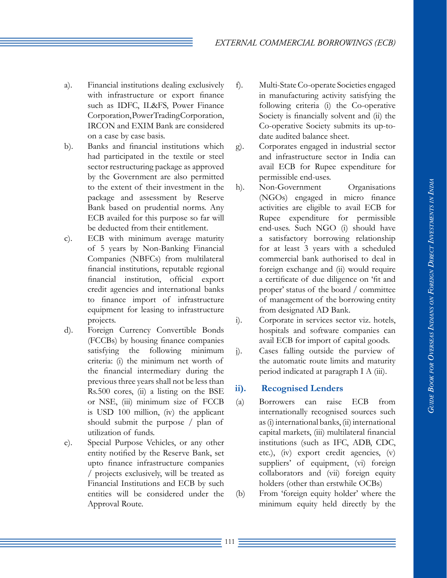- a). Financial institutions dealing exclusively with infrastructure or export finance such as IDFC, IL&FS, Power Finance Corporation, Power Trading Corporation, IRCON and EXIM Bank are considered on a case by case basis.
- b). Banks and financial institutions which had participated in the textile or steel sector restructuring package as approved by the Government are also permitted to the extent of their investment in the package and assessment by Reserve Bank based on prudential norms. Any ECB availed for this purpose so far will be deducted from their entitlement.
- c). ECB with minimum average maturity of 5 years by Non-Banking Financial Companies (NBFCs) from multilateral financial institutions, reputable regional financial institution, official export credit agencies and international banks to finance import of infrastructure equipment for leasing to infrastructure projects.
- d). Foreign Currency Convertible Bonds (FCCBs) by housing finance companies satisfying the following minimum criteria: (i) the minimum net worth of the financial intermediary during the previous three years shall not be less than Rs.500 cores, (ii) a listing on the BSE or NSE, (iii) minimum size of FCCB is USD 100 million, (iv) the applicant should submit the purpose / plan of utilization of funds.
- e). Special Purpose Vehicles, or any other entity notified by the Reserve Bank, set upto finance infrastructure companies / projects exclusively, will be treated as Financial Institutions and ECB by such entities will be considered under the Approval Route.
- f). Multi-State Co-operate Societies engaged in manufacturing activity satisfying the following criteria (i) the Co-operative Society is financially solvent and (ii) the Co-operative Society submits its up-todate audited balance sheet.
- g). Corporates engaged in industrial sector and infrastructure sector in India can avail ECB for Rupee expenditure for permissible end-uses.
- h). Non-Government Organisations (NGOs) engaged in micro finance activities are eligible to avail ECB for Rupee expenditure for permissible end-uses. Such NGO (i) should have a satisfactory borrowing relationship for at least 3 years with a scheduled commercial bank authorised to deal in foreign exchange and (ii) would require a certificate of due diligence on 'fit and proper' status of the board / committee of management of the borrowing entity from designated AD Bank.
- i). Corporate in services sector viz. hotels, hospitals and software companies can avail ECB for import of capital goods.
- j). Cases falling outside the purview of the automatic route limits and maturity period indicated at paragraph I A (iii).

#### **ii). Recognised Lenders**

- (a) Borrowers can raise ECB from internationally recognised sources such as (i) international banks, (ii) international capital markets, (iii) multilateral financial institutions (such as IFC, ADB, CDC, etc.), (iv) export credit agencies, (v) suppliers' of equipment, (vi) foreign collaborators and (vii) foreign equity holders (other than erstwhile OCBs)
- (b) From 'foreign equity holder' where the minimum equity held directly by the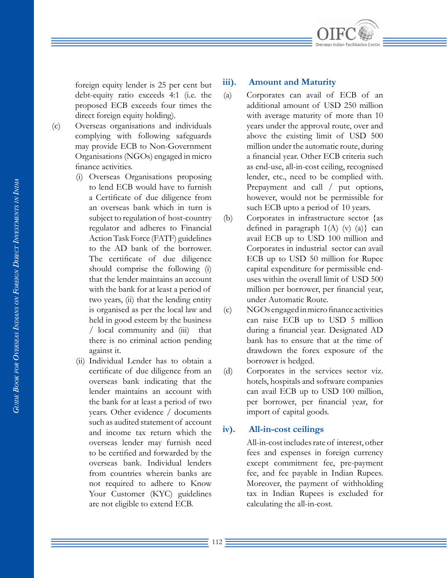

- (c) Overseas organisations and individuals complying with following safeguards may provide ECB to Non-Government Organisations (NGOs) engaged in micro finance activities.
	- (i) Overseas Organisations proposing to lend ECB would have to furnish a Certificate of due diligence from an overseas bank which in turn is subject to regulation of host-country regulator and adheres to Financial Action Task Force (FATF) guidelines to the AD bank of the borrower. The certificate of due diligence should comprise the following (i) that the lender maintains an account with the bank for at least a period of two years, (ii) that the lending entity is organised as per the local law and held in good esteem by the business / local community and (iii) that there is no criminal action pending against it.
	- (ii) Individual Lender has to obtain a certificate of due diligence from an overseas bank indicating that the lender maintains an account with the bank for at least a period of two years. Other evidence / documents such as audited statement of account and income tax return which the overseas lender may furnish need to be certified and forwarded by the overseas bank. Individual lenders from countries wherein banks are not required to adhere to Know Your Customer (KYC) guidelines are not eligible to extend ECB.

#### **iii). Amount and Maturity**

- (a) Corporates can avail of ECB of an additional amount of USD 250 million with average maturity of more than 10 years under the approval route, over and above the existing limit of USD 500 million under the automatic route, during a financial year. Other ECB criteria such as end-use, all-in-cost ceiling, recognised lender, etc., need to be complied with. Prepayment and call / put options, however, would not be permissible for such ECB upto a period of 10 years.
- (b) Corporates in infrastructure sector {as defined in paragraph  $1(A)$  (v) (a)} can avail ECB up to USD 100 million and Corporates in industrial sector can avail ECB up to USD 50 million for Rupee capital expenditure for permissible enduses within the overall limit of USD 500 million per borrower, per financial year, under Automatic Route.
- (c) NGOs engaged in micro finance activities can raise ECB up to USD 5 million during a financial year. Designated AD bank has to ensure that at the time of drawdown the forex exposure of the borrower is hedged.
- (d) Corporates in the services sector viz. hotels, hospitals and software companies can avail ECB up to USD 100 million, per borrower, per financial year, for import of capital goods.

#### **iv). All-in-cost ceilings**

All-in-cost includes rate of interest, other fees and expenses in foreign currency except commitment fee, pre-payment fee, and fee payable in Indian Rupees. Moreover, the payment of withholding tax in Indian Rupees is excluded for calculating the all-in-cost.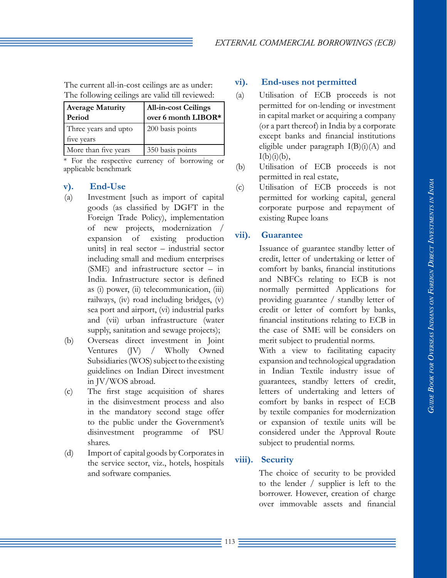The current all-in-cost ceilings are as under: The following ceilings are valid till reviewed:

| <b>Average Maturity</b> | <b>All-in-cost Ceilings</b> |
|-------------------------|-----------------------------|
| Period                  | over 6 month LIBOR*         |
| Three years and upto    | 200 basis points            |
| five years              |                             |
| More than five years    | 350 basis points            |

\* For the respective currency of borrowing or applicable benchmark

#### **v). End-Use**

- (a) Investment [such as import of capital goods (as classified by DGFT in the Foreign Trade Policy), implementation of new projects, modernization / expansion of existing production units] in real sector – industrial sector including small and medium enterprises (SME) and infrastructure sector – in India. Infrastructure sector is defined as (i) power, (ii) telecommunication, (iii) railways, (iv) road including bridges, (v) sea port and airport, (vi) industrial parks and (vii) urban infrastructure (water supply, sanitation and sewage projects);
- (b) Overseas direct investment in Joint Ventures (JV) / Wholly Owned Subsidiaries (WOS) subject to the existing guidelines on Indian Direct investment in JV/WOS abroad.
- (c) The first stage acquisition of shares in the disinvestment process and also in the mandatory second stage offer to the public under the Government's disinvestment programme of PSU shares.
- (d) Import of capital goods by Corporates in the service sector, viz., hotels, hospitals and software companies.

#### **vi). End-uses not permitted**

- (a) Utilisation of ECB proceeds is not permitted for on-lending or investment in capital market or acquiring a company (or a part thereof) in India by a corporate except banks and financial institutions eligible under paragraph  $I(B)(i)(A)$  and  $I(b)(i)(b)$ ,
- (b) Utilisation of ECB proceeds is not permitted in real estate,
- (c) Utilisation of ECB proceeds is not permitted for working capital, general corporate purpose and repayment of existing Rupee loans

#### **vii). Guarantee**

Issuance of guarantee standby letter of credit, letter of undertaking or letter of comfort by banks, financial institutions and NBFCs relating to ECB is not normally permitted Applications for providing guarantee / standby letter of credit or letter of comfort by banks, financial institutions relating to ECB in the case of SME will be considers on merit subject to prudential norms.

With a view to facilitating capacity expansion and technological upgradation in Indian Textile industry issue of guarantees, standby letters of credit, letters of undertaking and letters of comfort by banks in respect of ECB by textile companies for modernization or expansion of textile units will be considered under the Approval Route subject to prudential norms.

#### **viii). Security**

The choice of security to be provided to the lender / supplier is left to the borrower. However, creation of charge over immovable assets and financial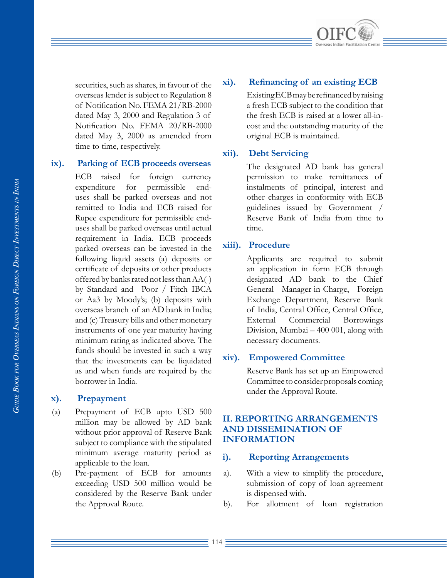

securities, such as shares, in favour of the overseas lender is subject to Regulation 8 of Notification No. FEMA 21/RB-2000 dated May 3, 2000 and Regulation 3 of Notification No. FEMA 20/RB-2000 dated May 3, 2000 as amended from time to time, respectively.

#### **ix). Parking of ECB proceeds overseas**

ECB raised for foreign currency expenditure for permissible enduses shall be parked overseas and not remitted to India and ECB raised for Rupee expenditure for permissible enduses shall be parked overseas until actual requirement in India. ECB proceeds parked overseas can be invested in the following liquid assets (a) deposits or certificate of deposits or other products offered by banks rated not less than AA(-) by Standard and Poor / Fitch IBCA or Aa3 by Moody's; (b) deposits with overseas branch of an AD bank in India; and (c) Treasury bills and other monetary instruments of one year maturity having minimum rating as indicated above. The funds should be invested in such a way that the investments can be liquidated as and when funds are required by the borrower in India.

#### **x). Prepayment**

- (a) Prepayment of ECB upto USD 500 million may be allowed by AD bank without prior approval of Reserve Bank subject to compliance with the stipulated minimum average maturity period as applicable to the loan.
- (b) Pre-payment of ECB for amounts exceeding USD 500 million would be considered by the Reserve Bank under the Approval Route.

#### **xi). Refinancing of an existing ECB**

Existing ECB may be refinanced by raising a fresh ECB subject to the condition that the fresh ECB is raised at a lower all-incost and the outstanding maturity of the original ECB is maintained.

#### **xii). Debt Servicing**

The designated AD bank has general permission to make remittances of instalments of principal, interest and other charges in conformity with ECB guidelines issued by Government / Reserve Bank of India from time to time.

#### **xiii). Procedure**

Applicants are required to submit an application in form ECB through designated AD bank to the Chief General Manager-in-Charge, Foreign Exchange Department, Reserve Bank of India, Central Office, Central Office, External Commercial Borrowings Division, Mumbai – 400 001, along with necessary documents.

#### **xiv). Empowered Committee**

Reserve Bank has set up an Empowered Committee to consider proposals coming under the Approval Route.

#### **II. REPORTING ARRANGEMENTS AND DISSEMINATION OF INFORMATION**

#### **i). Reporting Arrangements**

- a). With a view to simplify the procedure, submission of copy of loan agreement is dispensed with.
- b). For allotment of loan registration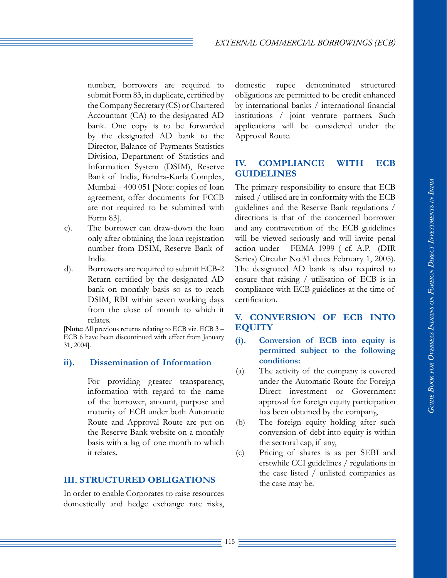number, borrowers are required to submit Form 83, in duplicate, certified by the Company Secretary (CS) or Chartered Accountant (CA) to the designated AD bank. One copy is to be forwarded by the designated AD bank to the Director, Balance of Payments Statistics Division, Department of Statistics and Information System (DSIM), Reserve Bank of India, Bandra-Kurla Complex, Mumbai – 400 051 [Note: copies of loan agreement, offer documents for FCCB are not required to be submitted with Form 83].

- c). The borrower can draw-down the loan only after obtaining the loan registration number from DSIM, Reserve Bank of India.
- d). Borrowers are required to submit ECB-2 Return certified by the designated AD bank on monthly basis so as to reach DSIM, RBI within seven working days from the close of month to which it relates.

[**Note:** All previous returns relating to ECB viz. ECB 3 – ECB 6 have been discontinued with effect from January 31, 2004].

#### **ii). Dissemination of Information**

For providing greater transparency, information with regard to the name of the borrower, amount, purpose and maturity of ECB under both Automatic Route and Approval Route are put on the Reserve Bank website on a monthly basis with a lag of one month to which it relates.

#### **III. STRUCTURED OBLIGATIONS**

In order to enable Corporates to raise resources domestically and hedge exchange rate risks, domestic rupee denominated structured obligations are permitted to be credit enhanced by international banks / international financial institutions / joint venture partners. Such applications will be considered under the Approval Route.

#### **IV. COMPLIANCE WITH ECB GUIDELINES**

The primary responsibility to ensure that ECB raised / utilised are in conformity with the ECB guidelines and the Reserve Bank regulations / directions is that of the concerned borrower and any contravention of the ECB guidelines will be viewed seriously and will invite penal action under FEMA 1999 ( cf. A.P. (DIR Series) Circular No.31 dates February 1, 2005). The designated AD bank is also required to ensure that raising / utilisation of ECB is in compliance with ECB guidelines at the time of certification.

#### **V. CONVERSION OF ECB INTO EQUITY**

#### **(i). Conversion of ECB into equity is permitted subject to the following conditions:**

- (a) The activity of the company is covered under the Automatic Route for Foreign Direct investment or Government approval for foreign equity participation has been obtained by the company,
- (b) The foreign equity holding after such conversion of debt into equity is within the sectoral cap, if any,
- (c) Pricing of shares is as per SEBI and erstwhile CCI guidelines / regulations in the case listed / unlisted companies as the case may be.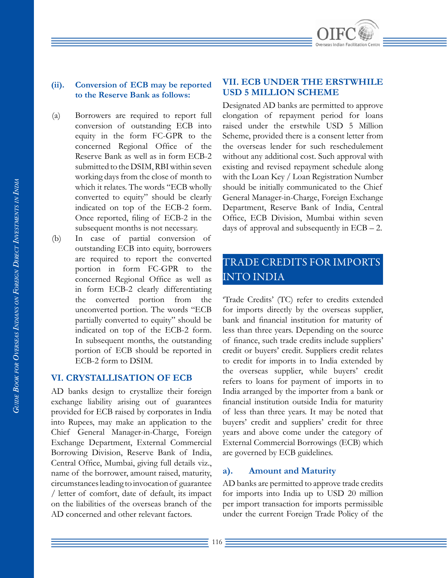

#### **(ii). Conversion of ECB may be reported to the Reserve Bank as follows:**

- (a) Borrowers are required to report full conversion of outstanding ECB into equity in the form FC-GPR to the concerned Regional Office of the Reserve Bank as well as in form ECB-2 submitted to the DSIM, RBI within seven working days from the close of month to which it relates. The words "ECB wholly converted to equity" should be clearly indicated on top of the ECB-2 form. Once reported, filing of ECB-2 in the subsequent months is not necessary.
- (b) In case of partial conversion of outstanding ECB into equity, borrowers are required to report the converted portion in form FC-GPR to the concerned Regional Office as well as in form ECB-2 clearly differentiating the converted portion from the unconverted portion. The words "ECB partially converted to equity" should be indicated on top of the ECB-2 form. In subsequent months, the outstanding portion of ECB should be reported in ECB-2 form to DSIM.

#### **VI. CRYSTALLISATION OF ECB**

AD banks design to crystallize their foreign exchange liability arising out of guarantees provided for ECB raised by corporates in India into Rupees, may make an application to the Chief General Manager-in-Charge, Foreign Exchange Department, External Commercial Borrowing Division, Reserve Bank of India, Central Office, Mumbai, giving full details viz., name of the borrower, amount raised, maturity, circumstances leading to invocation of guarantee / letter of comfort, date of default, its impact on the liabilities of the overseas branch of the AD concerned and other relevant factors.

#### **VII. ECB UNDER THE ERSTWHILE USD 5 MILLION SCHEME**

Designated AD banks are permitted to approve elongation of repayment period for loans raised under the erstwhile USD 5 Million Scheme, provided there is a consent letter from the overseas lender for such reschedulement without any additional cost. Such approval with existing and revised repayment schedule along with the Loan Key / Loan Registration Number should be initially communicated to the Chief General Manager-in-Charge, Foreign Exchange Department, Reserve Bank of India, Central Office, ECB Division, Mumbai within seven days of approval and subsequently in  $ECB - 2$ .

# TRADE CREDITS FOR IMPORTS INTO INDIA

'Trade Credits' (TC) refer to credits extended for imports directly by the overseas supplier, bank and financial institution for maturity of less than three years. Depending on the source of finance, such trade credits include suppliers' credit or buyers' credit. Suppliers credit relates to credit for imports in to India extended by the overseas supplier, while buyers' credit refers to loans for payment of imports in to India arranged by the importer from a bank or financial institution outside India for maturity of less than three years. It may be noted that buyers' credit and suppliers' credit for three years and above come under the category of External Commercial Borrowings (ECB) which are governed by ECB guidelines.

#### **a). Amount and Maturity**

AD banks are permitted to approve trade credits for imports into India up to USD 20 million per import transaction for imports permissible under the current Foreign Trade Policy of the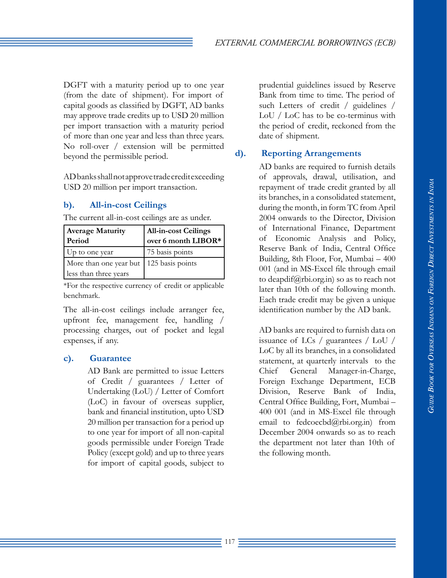DGFT with a maturity period up to one year (from the date of shipment). For import of capital goods as classified by DGFT, AD banks may approve trade credits up to USD 20 million per import transaction with a maturity period of more than one year and less than three years. No roll-over / extension will be permitted beyond the permissible period.

AD banks shall not approve trade credit exceeding USD 20 million per import transaction.

# **b). All-in-cost Ceilings**

The current all-in-cost ceilings are as under.

| <b>Average Maturity</b> | <b>All-in-cost Ceilings</b> |
|-------------------------|-----------------------------|
| Period                  | over 6 month LIBOR*         |
| Up to one year          | 75 basis points             |
| More than one year but  | 125 basis points            |
| less than three years   |                             |

\*For the respective currency of credit or applicable benchmark.

The all-in-cost ceilings include arranger fee, upfront fee, management fee, handling / processing charges, out of pocket and legal expenses, if any.

## **c). Guarantee**

AD Bank are permitted to issue Letters of Credit / guarantees / Letter of Undertaking (LoU) / Letter of Comfort (LoC) in favour of overseas supplier, bank and financial institution, upto USD 20 million per transaction for a period up to one year for import of all non-capital goods permissible under Foreign Trade Policy (except gold) and up to three years for import of capital goods, subject to

prudential guidelines issued by Reserve Bank from time to time. The period of such Letters of credit / guidelines / LoU / LoC has to be co-terminus with the period of credit, reckoned from the date of shipment.

# **d). Reporting Arrangements**

AD banks are required to furnish details of approvals, drawal, utilisation, and repayment of trade credit granted by all its branches, in a consolidated statement, during the month, in form TC from April 2004 onwards to the Director, Division of International Finance, Department of Economic Analysis and Policy, Reserve Bank of India, Central Office Building, 8th Floor, For, Mumbai – 400 001 (and in MS-Excel file through email to deapdif@rbi.org.in) so as to reach not later than 10th of the following month. Each trade credit may be given a unique identification number by the AD bank.

AD banks are required to furnish data on issuance of LCs / guarantees / LoU / LoC by all its branches, in a consolidated statement, at quarterly intervals to the Chief General Manager-in-Charge, Foreign Exchange Department, ECB Division, Reserve Bank of India, Central Office Building, Fort, Mumbai – 400 001 (and in MS-Excel file through email to fedcoecbd@rbi.org.in) from December 2004 onwards so as to reach the department not later than 10th of the following month.